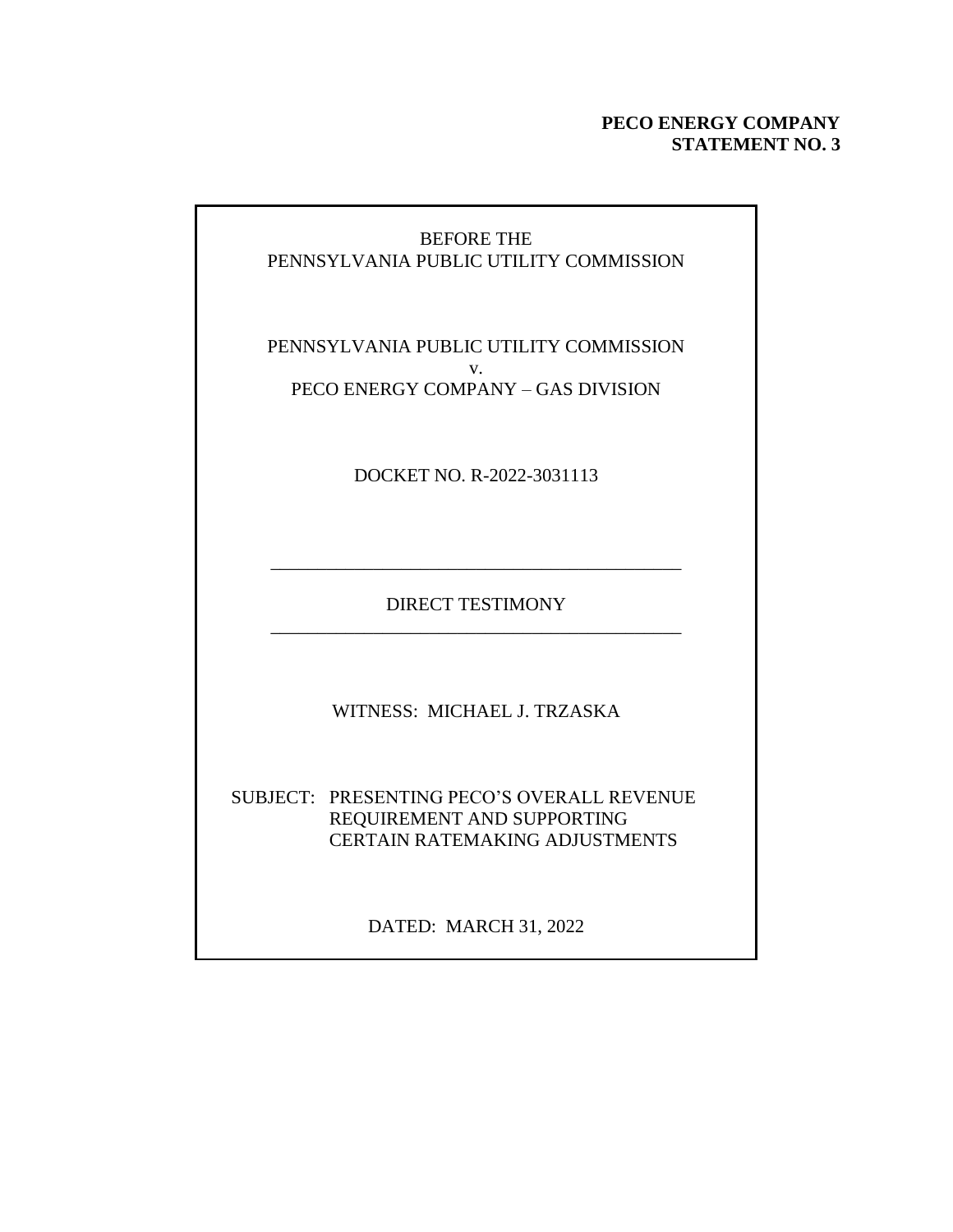# **PECO ENERGY COMPANY STATEMENT NO. 3**

# BEFORE THE PENNSYLVANIA PUBLIC UTILITY COMMISSION

PENNSYLVANIA PUBLIC UTILITY COMMISSION v. PECO ENERGY COMPANY – GAS DIVISION

DOCKET NO. R-2022-3031113

DIRECT TESTIMONY \_\_\_\_\_\_\_\_\_\_\_\_\_\_\_\_\_\_\_\_\_\_\_\_\_\_\_\_\_\_\_\_\_\_\_\_\_\_\_\_\_\_\_\_

\_\_\_\_\_\_\_\_\_\_\_\_\_\_\_\_\_\_\_\_\_\_\_\_\_\_\_\_\_\_\_\_\_\_\_\_\_\_\_\_\_\_\_\_

WITNESS: MICHAEL J. TRZASKA

SUBJECT: PRESENTING PECO'S OVERALL REVENUE REQUIREMENT AND SUPPORTING CERTAIN RATEMAKING ADJUSTMENTS

DATED: MARCH 31, 2022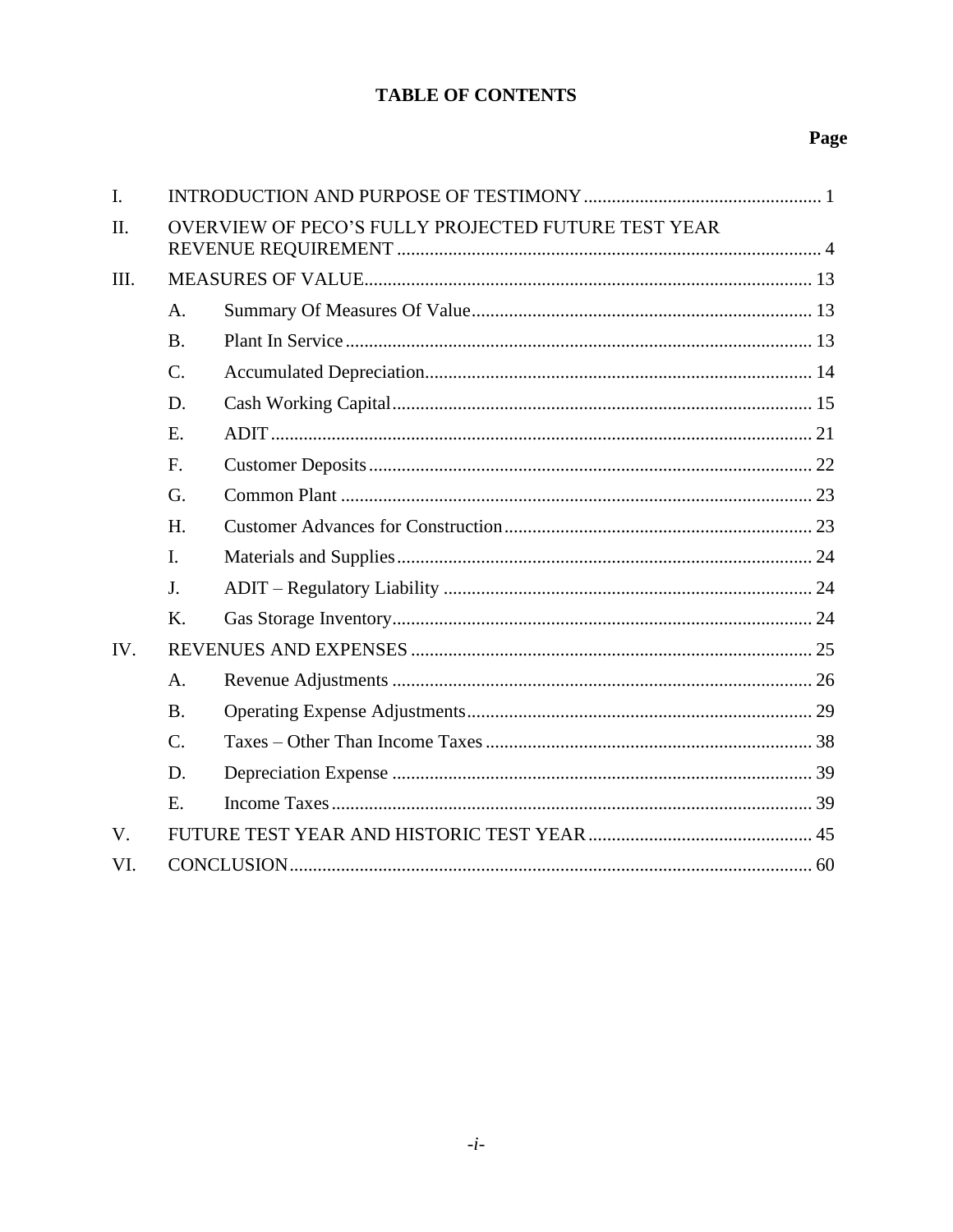# **TABLE OF CONTENTS**

# Page

| $\mathbf{I}$ . |                |                                                     |  |
|----------------|----------------|-----------------------------------------------------|--|
| II.            |                | OVERVIEW OF PECO'S FULLY PROJECTED FUTURE TEST YEAR |  |
| III.           |                |                                                     |  |
|                | A.             |                                                     |  |
|                | <b>B.</b>      |                                                     |  |
|                | $C$ .          |                                                     |  |
|                | D.             |                                                     |  |
|                | E.             |                                                     |  |
|                | F.             |                                                     |  |
|                | G.             |                                                     |  |
|                | H.             |                                                     |  |
|                | $\mathbf{I}$ . |                                                     |  |
|                | J.             |                                                     |  |
|                | K.             |                                                     |  |
| IV.            |                |                                                     |  |
|                | A.             |                                                     |  |
|                | <b>B.</b>      |                                                     |  |
|                | $C$ .          |                                                     |  |
|                | D.             |                                                     |  |
|                | Е.             |                                                     |  |
| $V_{\cdot}$    |                |                                                     |  |
| VI.            |                |                                                     |  |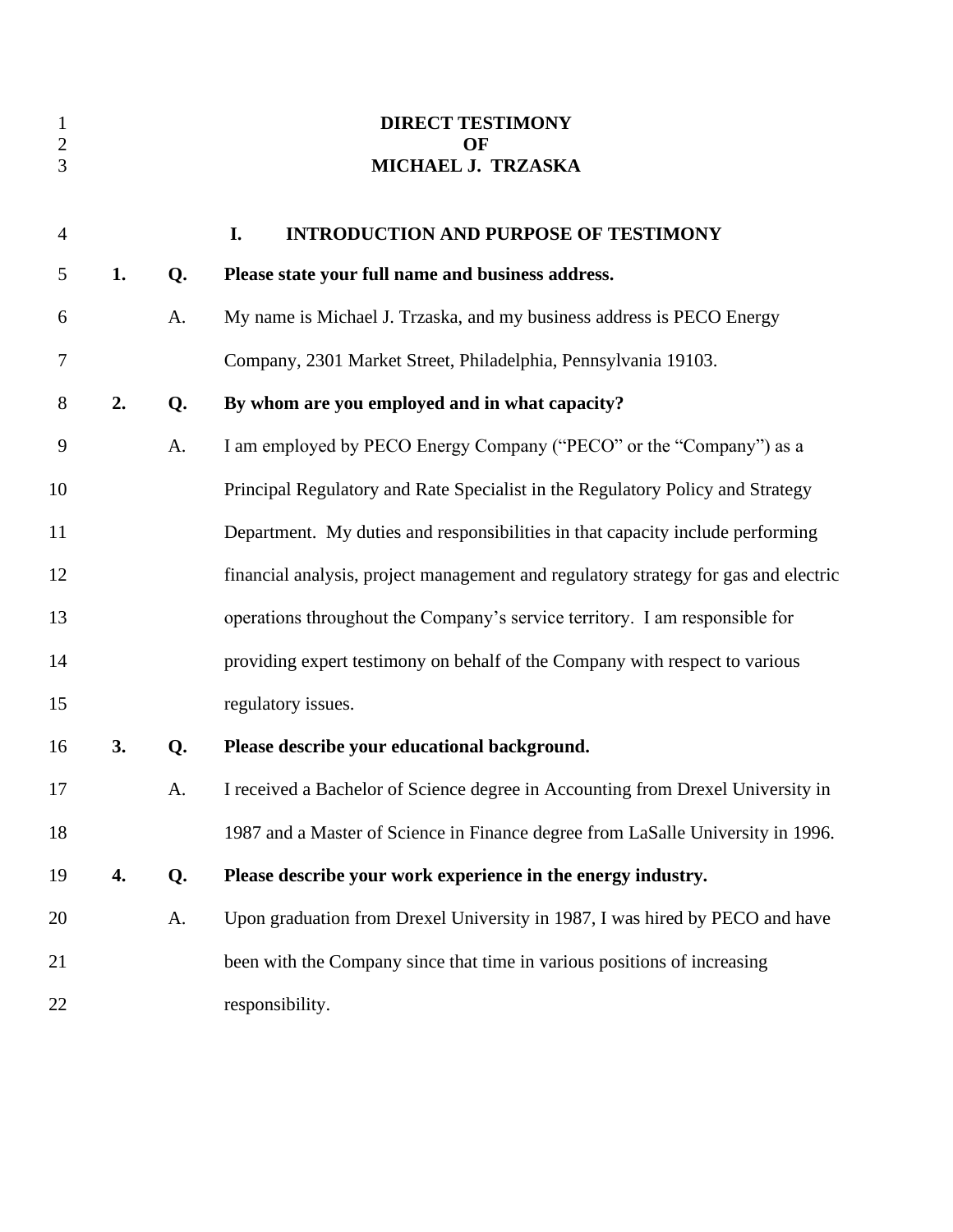<span id="page-2-0"></span>

|    |    | <b>DIRECT TESTIMONY</b><br>OF<br>MICHAEL J. TRZASKA                                 |
|----|----|-------------------------------------------------------------------------------------|
|    |    | I.<br><b>INTRODUCTION AND PURPOSE OF TESTIMONY</b>                                  |
| 1. | Q. | Please state your full name and business address.                                   |
|    | A. | My name is Michael J. Trzaska, and my business address is PECO Energy               |
|    |    | Company, 2301 Market Street, Philadelphia, Pennsylvania 19103.                      |
| 2. | Q. | By whom are you employed and in what capacity?                                      |
|    | A. | I am employed by PECO Energy Company ("PECO" or the "Company") as a                 |
|    |    | Principal Regulatory and Rate Specialist in the Regulatory Policy and Strategy      |
|    |    | Department. My duties and responsibilities in that capacity include performing      |
|    |    | financial analysis, project management and regulatory strategy for gas and electric |
|    |    | operations throughout the Company's service territory. I am responsible for         |
|    |    | providing expert testimony on behalf of the Company with respect to various         |
|    |    | regulatory issues.                                                                  |
| 3. | Q. | Please describe your educational background.                                        |
|    | A. | I received a Bachelor of Science degree in Accounting from Drexel University in     |
|    |    | 1987 and a Master of Science in Finance degree from LaSalle University in 1996.     |
| 4. | Q. | Please describe your work experience in the energy industry.                        |
|    | A. | Upon graduation from Drexel University in 1987, I was hired by PECO and have        |
|    |    | been with the Company since that time in various positions of increasing            |
|    |    | responsibility.                                                                     |
|    |    |                                                                                     |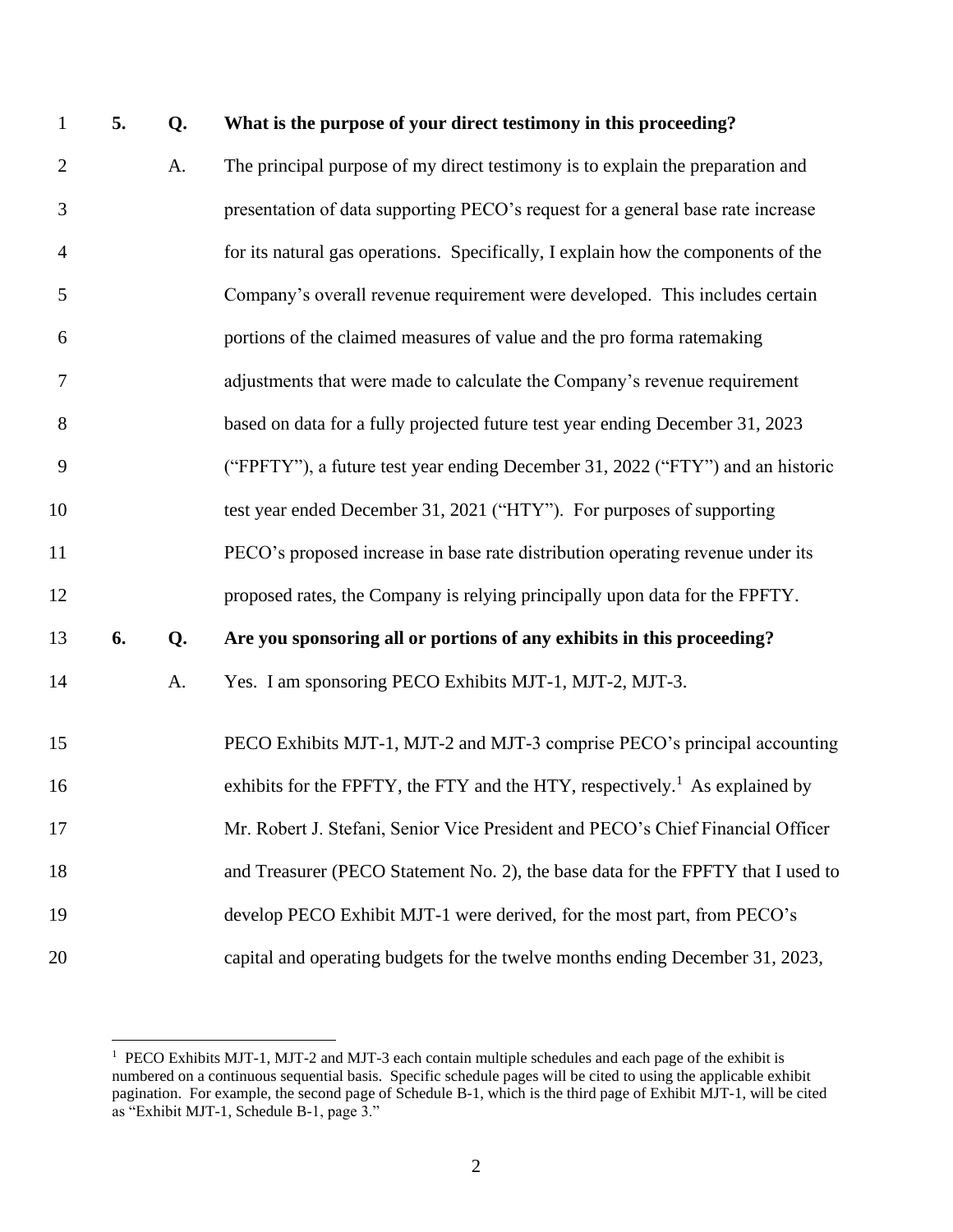# **5. Q. What is the purpose of your direct testimony in this proceeding?**

| $\mathbf{2}$   |    | A. | The principal purpose of my direct testimony is to explain the preparation and          |
|----------------|----|----|-----------------------------------------------------------------------------------------|
| 3              |    |    | presentation of data supporting PECO's request for a general base rate increase         |
| $\overline{4}$ |    |    | for its natural gas operations. Specifically, I explain how the components of the       |
| 5              |    |    | Company's overall revenue requirement were developed. This includes certain             |
| 6              |    |    | portions of the claimed measures of value and the pro forma ratemaking                  |
| 7              |    |    | adjustments that were made to calculate the Company's revenue requirement               |
| 8              |    |    | based on data for a fully projected future test year ending December 31, 2023           |
| 9              |    |    | ("FPFTY"), a future test year ending December 31, 2022 ("FTY") and an historic          |
| 10             |    |    | test year ended December 31, 2021 ("HTY"). For purposes of supporting                   |
| 11             |    |    | PECO's proposed increase in base rate distribution operating revenue under its          |
| 12             |    |    | proposed rates, the Company is relying principally upon data for the FPFTY.             |
| 13             | 6. | Q. | Are you sponsoring all or portions of any exhibits in this proceeding?                  |
| 14             |    | A. | Yes. I am sponsoring PECO Exhibits MJT-1, MJT-2, MJT-3.                                 |
| 15             |    |    | PECO Exhibits MJT-1, MJT-2 and MJT-3 comprise PECO's principal accounting               |
| 16             |    |    | exhibits for the FPFTY, the FTY and the HTY, respectively. <sup>1</sup> As explained by |
| 17             |    |    | Mr. Robert J. Stefani, Senior Vice President and PECO's Chief Financial Officer         |
| 18             |    |    | and Treasurer (PECO Statement No. 2), the base data for the FPFTY that I used to        |
| 19             |    |    | develop PECO Exhibit MJT-1 were derived, for the most part, from PECO's                 |
| 20             |    |    | capital and operating budgets for the twelve months ending December 31, 2023,           |

<sup>&</sup>lt;sup>1</sup> PECO Exhibits MJT-1, MJT-2 and MJT-3 each contain multiple schedules and each page of the exhibit is numbered on a continuous sequential basis. Specific schedule pages will be cited to using the applicable exhibit pagination. For example, the second page of Schedule B-1, which is the third page of Exhibit MJT-1, will be cited as "Exhibit MJT-1, Schedule B-1, page 3."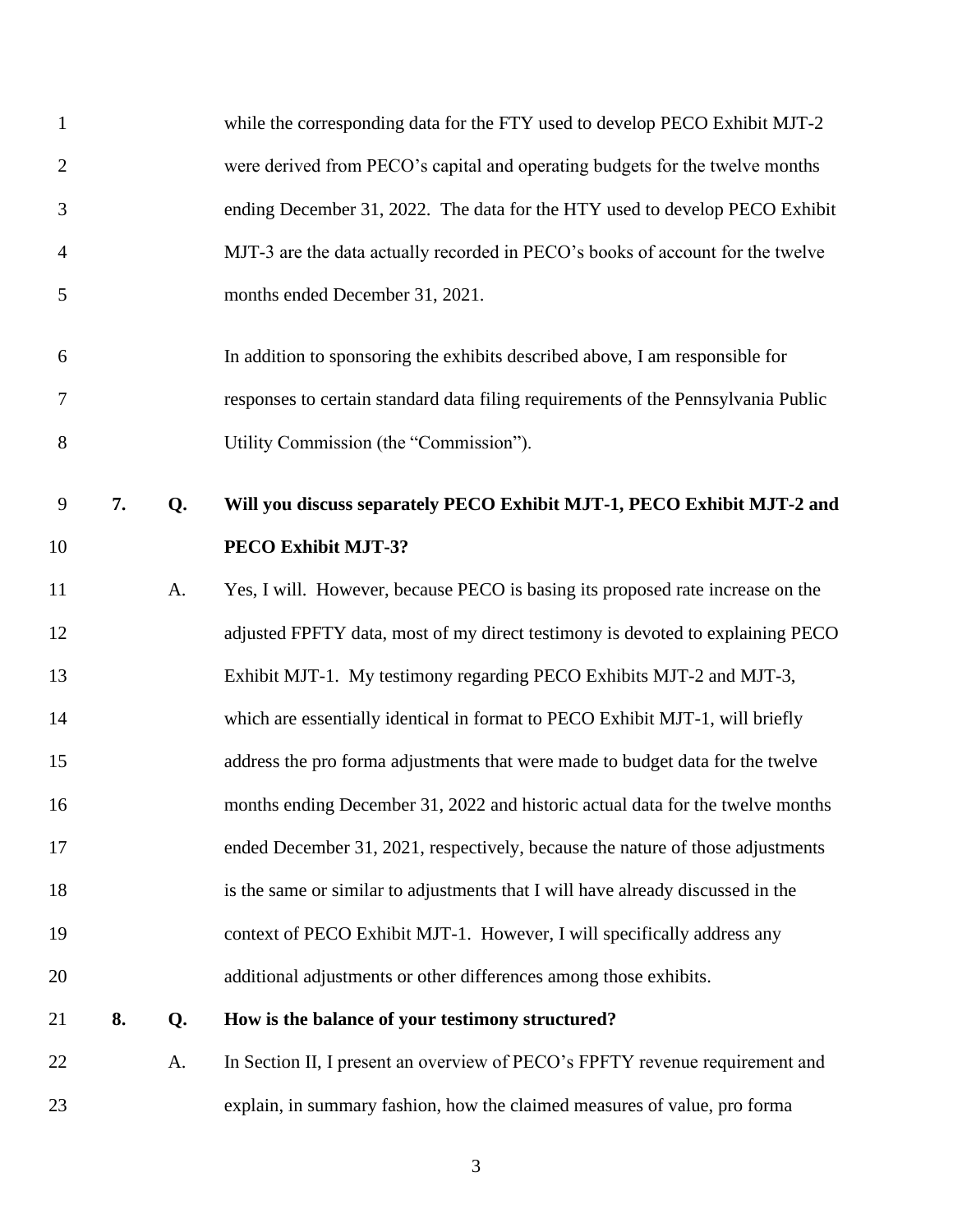| $\mathbf{1}$   |    |    | while the corresponding data for the FTY used to develop PECO Exhibit MJT-2       |
|----------------|----|----|-----------------------------------------------------------------------------------|
| $\overline{2}$ |    |    | were derived from PECO's capital and operating budgets for the twelve months      |
| 3              |    |    | ending December 31, 2022. The data for the HTY used to develop PECO Exhibit       |
| $\overline{4}$ |    |    | MJT-3 are the data actually recorded in PECO's books of account for the twelve    |
| 5              |    |    | months ended December 31, 2021.                                                   |
| 6              |    |    | In addition to sponsoring the exhibits described above, I am responsible for      |
| 7              |    |    | responses to certain standard data filing requirements of the Pennsylvania Public |
| 8              |    |    | Utility Commission (the "Commission").                                            |
| 9              | 7. | Q. | Will you discuss separately PECO Exhibit MJT-1, PECO Exhibit MJT-2 and            |
| 10             |    |    | PECO Exhibit MJT-3?                                                               |
| 11             |    | A. | Yes, I will. However, because PECO is basing its proposed rate increase on the    |
| 12             |    |    | adjusted FPFTY data, most of my direct testimony is devoted to explaining PECO    |
| 13             |    |    | Exhibit MJT-1. My testimony regarding PECO Exhibits MJT-2 and MJT-3,              |
| 14             |    |    | which are essentially identical in format to PECO Exhibit MJT-1, will briefly     |
| 15             |    |    | address the pro forma adjustments that were made to budget data for the twelve    |
| 16             |    |    | months ending December 31, 2022 and historic actual data for the twelve months    |
| 17             |    |    | ended December 31, 2021, respectively, because the nature of those adjustments    |
| 18             |    |    | is the same or similar to adjustments that I will have already discussed in the   |
| 19             |    |    | context of PECO Exhibit MJT-1. However, I will specifically address any           |
| 20             |    |    | additional adjustments or other differences among those exhibits.                 |
| 21             | 8. | Q. | How is the balance of your testimony structured?                                  |
| 22             |    | A. | In Section II, I present an overview of PECO's FPFTY revenue requirement and      |
| 23             |    |    | explain, in summary fashion, how the claimed measures of value, pro forma         |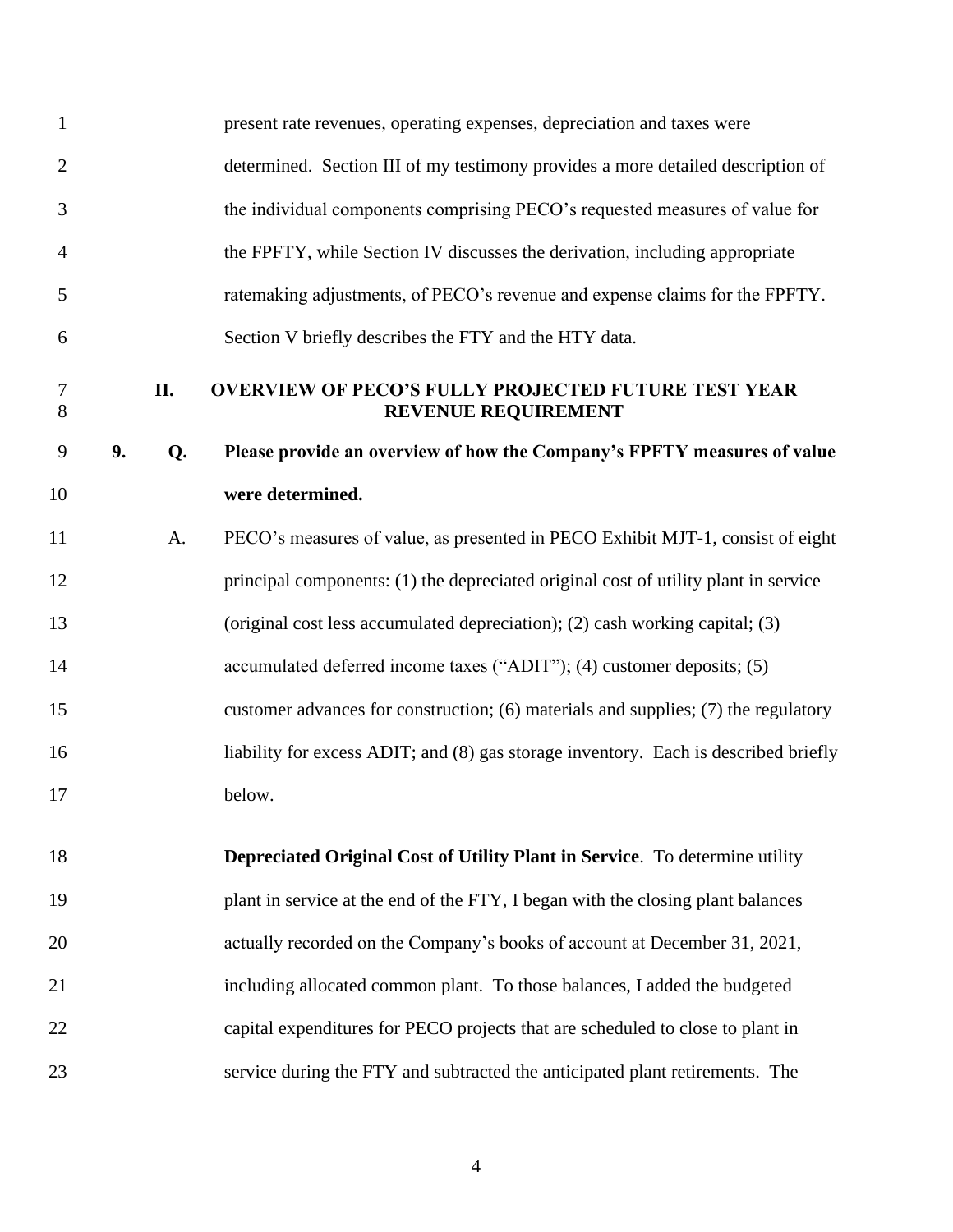<span id="page-5-0"></span>

| 1                   |    |     | present rate revenues, operating expenses, depreciation and taxes were              |
|---------------------|----|-----|-------------------------------------------------------------------------------------|
| $\overline{c}$      |    |     | determined. Section III of my testimony provides a more detailed description of     |
| 3                   |    |     | the individual components comprising PECO's requested measures of value for         |
| 4                   |    |     | the FPFTY, while Section IV discusses the derivation, including appropriate         |
| 5                   |    |     | ratemaking adjustments, of PECO's revenue and expense claims for the FPFTY.         |
| 6                   |    |     | Section V briefly describes the FTY and the HTY data.                               |
| $\overline{7}$<br>8 |    | II. | <b>OVERVIEW OF PECO'S FULLY PROJECTED FUTURE TEST YEAR</b><br>REVENUE REQUIREMENT   |
| 9                   | 9. | Q.  | Please provide an overview of how the Company's FPFTY measures of value             |
| 10                  |    |     | were determined.                                                                    |
| 11                  |    | A.  | PECO's measures of value, as presented in PECO Exhibit MJT-1, consist of eight      |
| 12                  |    |     | principal components: (1) the depreciated original cost of utility plant in service |
| 13                  |    |     | (original cost less accumulated depreciation); (2) cash working capital; (3)        |
| 14                  |    |     | accumulated deferred income taxes ("ADIT"); (4) customer deposits; (5)              |
| 15                  |    |     | customer advances for construction; (6) materials and supplies; (7) the regulatory  |
| 16                  |    |     | liability for excess ADIT; and (8) gas storage inventory. Each is described briefly |
| 17                  |    |     | below.                                                                              |
| 18                  |    |     | Depreciated Original Cost of Utility Plant in Service. To determine utility         |
|                     |    |     |                                                                                     |
| 19                  |    |     | plant in service at the end of the FTY, I began with the closing plant balances     |
| 20                  |    |     | actually recorded on the Company's books of account at December 31, 2021,           |
| 21                  |    |     | including allocated common plant. To those balances, I added the budgeted           |
| 22                  |    |     | capital expenditures for PECO projects that are scheduled to close to plant in      |
| 23                  |    |     | service during the FTY and subtracted the anticipated plant retirements. The        |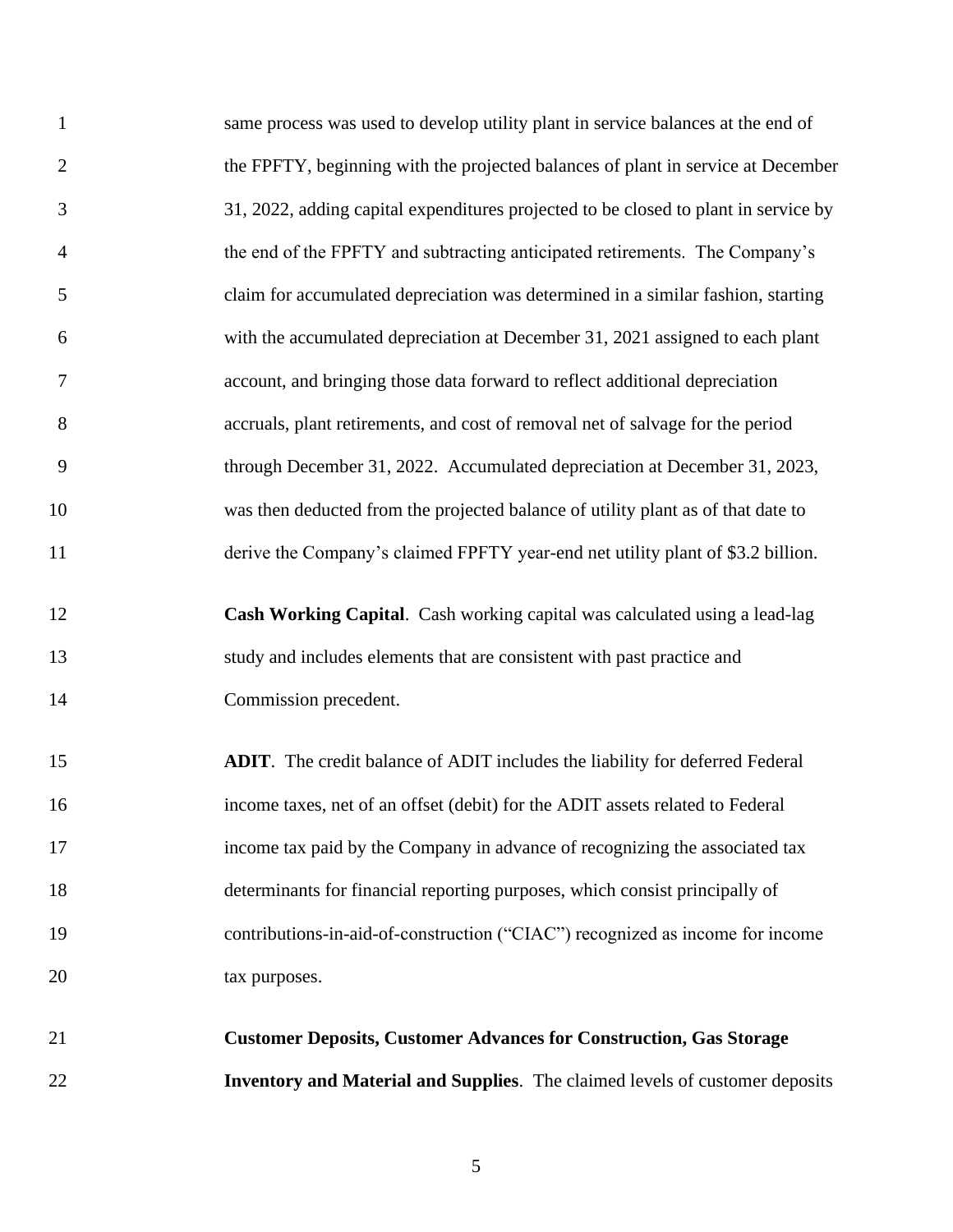| $\mathbf{1}$   | same process was used to develop utility plant in service balances at the end of     |
|----------------|--------------------------------------------------------------------------------------|
| $\overline{2}$ | the FPFTY, beginning with the projected balances of plant in service at December     |
| 3              | 31, 2022, adding capital expenditures projected to be closed to plant in service by  |
| $\overline{4}$ | the end of the FPFTY and subtracting anticipated retirements. The Company's          |
| 5              | claim for accumulated depreciation was determined in a similar fashion, starting     |
| 6              | with the accumulated depreciation at December 31, 2021 assigned to each plant        |
| 7              | account, and bringing those data forward to reflect additional depreciation          |
| 8              | accruals, plant retirements, and cost of removal net of salvage for the period       |
| 9              | through December 31, 2022. Accumulated depreciation at December 31, 2023,            |
| 10             | was then deducted from the projected balance of utility plant as of that date to     |
| 11             | derive the Company's claimed FPFTY year-end net utility plant of \$3.2 billion.      |
| 12             | Cash Working Capital. Cash working capital was calculated using a lead-lag           |
| 13             | study and includes elements that are consistent with past practice and               |
| 14             | Commission precedent.                                                                |
| 15             | <b>ADIT</b> . The credit balance of ADIT includes the liability for deferred Federal |
| 16             | income taxes, net of an offset (debit) for the ADIT assets related to Federal        |
| 17             | income tax paid by the Company in advance of recognizing the associated tax          |
|                | determinants for financial reporting purposes, which consist principally of          |
| 18             |                                                                                      |
| 19             | contributions-in-aid-of-construction ("CIAC") recognized as income for income        |
| 20             | tax purposes.                                                                        |

**Inventory and Material and Supplies**. The claimed levels of customer deposits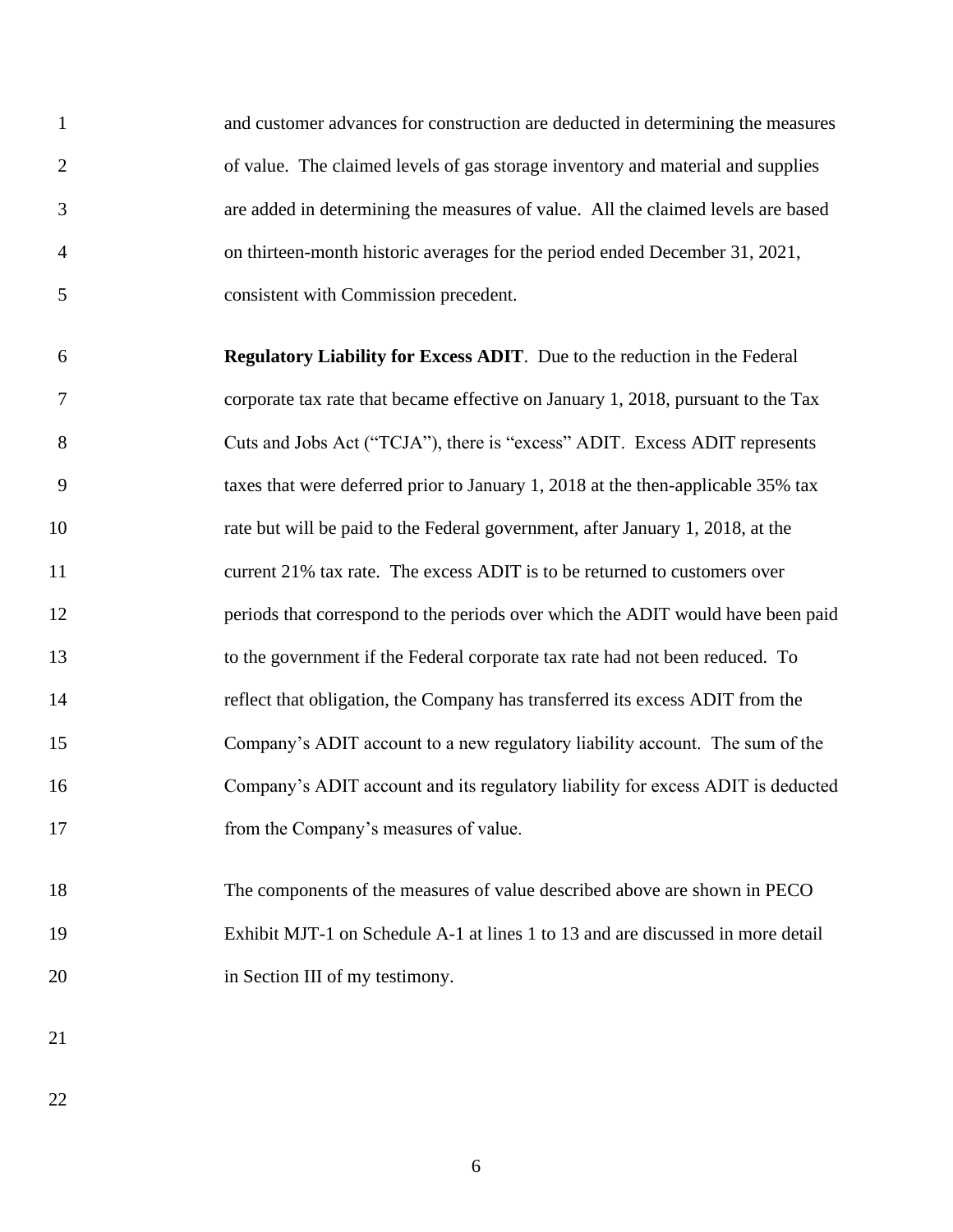and customer advances for construction are deducted in determining the measures of value. The claimed levels of gas storage inventory and material and supplies are added in determining the measures of value. All the claimed levels are based on thirteen-month historic averages for the period ended December 31, 2021, consistent with Commission precedent.

 **Regulatory Liability for Excess ADIT**. Due to the reduction in the Federal corporate tax rate that became effective on January 1, 2018, pursuant to the Tax 8 Cuts and Jobs Act ("TCJA"), there is "excess" ADIT. Excess ADIT represents taxes that were deferred prior to January 1, 2018 at the then-applicable 35% tax rate but will be paid to the Federal government, after January 1, 2018, at the current 21% tax rate. The excess ADIT is to be returned to customers over 12 periods that correspond to the periods over which the ADIT would have been paid to the government if the Federal corporate tax rate had not been reduced. To reflect that obligation, the Company has transferred its excess ADIT from the Company's ADIT account to a new regulatory liability account. The sum of the Company's ADIT account and its regulatory liability for excess ADIT is deducted 17 from the Company's measures of value.

 The components of the measures of value described above are shown in PECO Exhibit MJT-1 on Schedule A-1 at lines 1 to 13 and are discussed in more detail 20 in Section III of my testimony.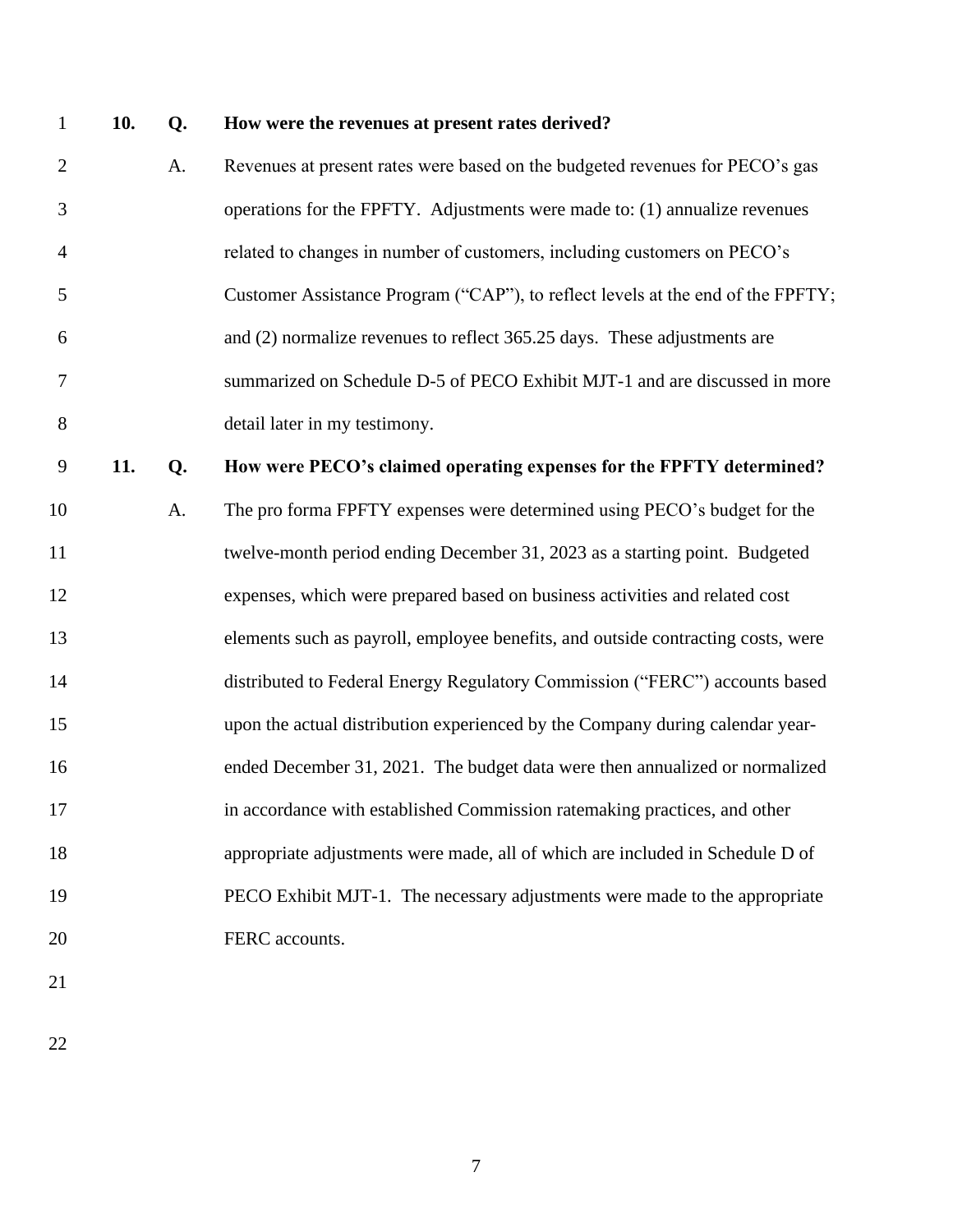#### **10. Q. How were the revenues at present rates derived?**

- 2 A. Revenues at present rates were based on the budgeted revenues for PECO's gas operations for the FPFTY. Adjustments were made to: (1) annualize revenues related to changes in number of customers, including customers on PECO's Customer Assistance Program ("CAP"), to reflect levels at the end of the FPFTY; and (2) normalize revenues to reflect 365.25 days. These adjustments are summarized on Schedule D-5 of PECO Exhibit MJT-1 and are discussed in more detail later in my testimony. **11. Q. How were PECO's claimed operating expenses for the FPFTY determined?**
- A. The pro forma FPFTY expenses were determined using PECO's budget for the twelve-month period ending December 31, 2023 as a starting point. Budgeted expenses, which were prepared based on business activities and related cost elements such as payroll, employee benefits, and outside contracting costs, were distributed to Federal Energy Regulatory Commission ("FERC") accounts based upon the actual distribution experienced by the Company during calendar year- ended December 31, 2021. The budget data were then annualized or normalized in accordance with established Commission ratemaking practices, and other appropriate adjustments were made, all of which are included in Schedule D of PECO Exhibit MJT-1. The necessary adjustments were made to the appropriate 20 FERC accounts.
-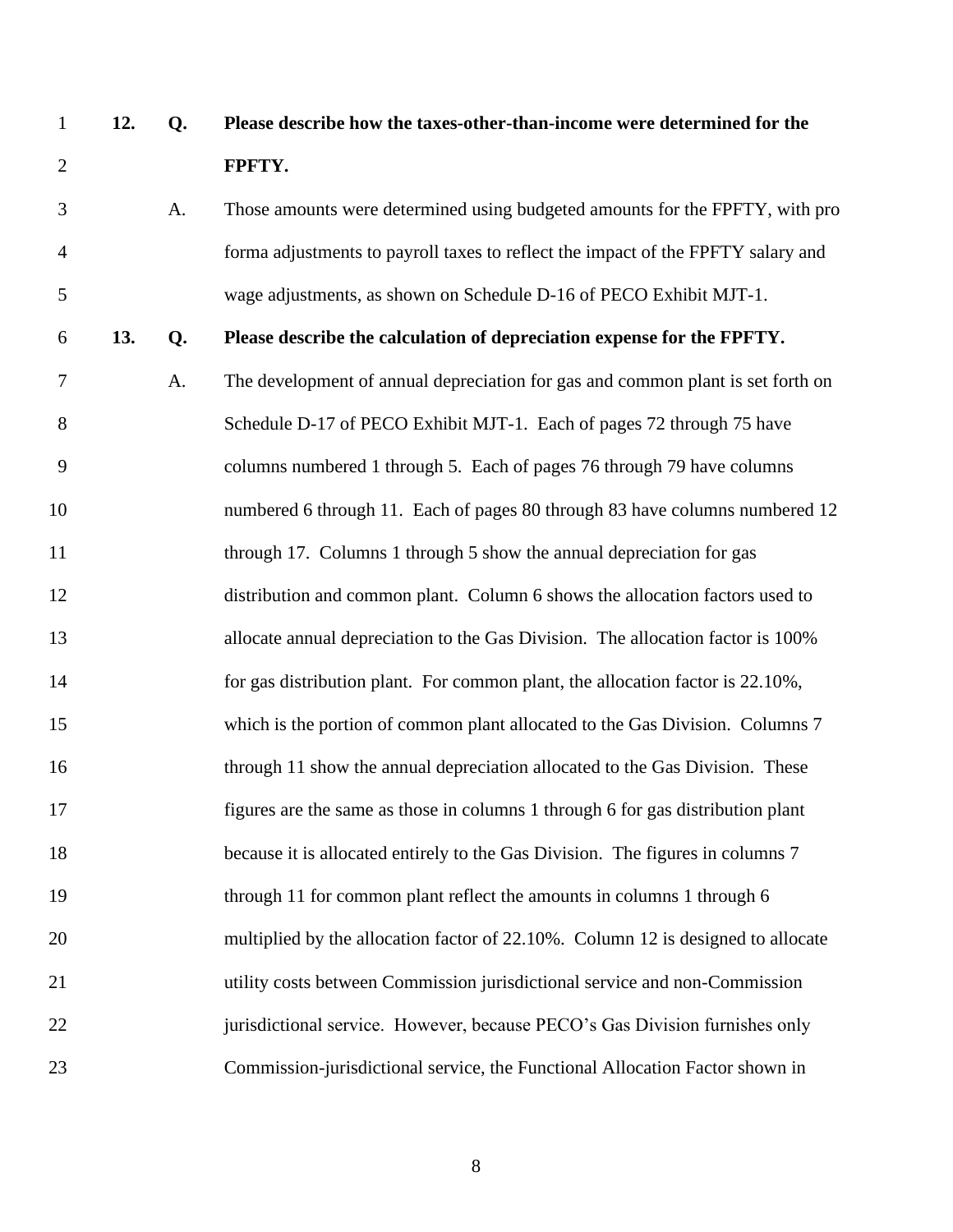| $\mathbf{1}$   | 12. | Q. | Please describe how the taxes-other-than-income were determined for the          |
|----------------|-----|----|----------------------------------------------------------------------------------|
| $\overline{2}$ |     |    | FPFTY.                                                                           |
| 3              |     | A. | Those amounts were determined using budgeted amounts for the FPFTY, with pro     |
| $\overline{4}$ |     |    | forma adjustments to payroll taxes to reflect the impact of the FPFTY salary and |
| 5              |     |    | wage adjustments, as shown on Schedule D-16 of PECO Exhibit MJT-1.               |
| 6              | 13. | Q. | Please describe the calculation of depreciation expense for the FPFTY.           |
| 7              |     | A. | The development of annual depreciation for gas and common plant is set forth on  |
| 8              |     |    | Schedule D-17 of PECO Exhibit MJT-1. Each of pages 72 through 75 have            |
| 9              |     |    | columns numbered 1 through 5. Each of pages 76 through 79 have columns           |
| 10             |     |    | numbered 6 through 11. Each of pages 80 through 83 have columns numbered 12      |
| 11             |     |    | through 17. Columns 1 through 5 show the annual depreciation for gas             |
| 12             |     |    | distribution and common plant. Column 6 shows the allocation factors used to     |
| 13             |     |    | allocate annual depreciation to the Gas Division. The allocation factor is 100%  |
| 14             |     |    | for gas distribution plant. For common plant, the allocation factor is 22.10%,   |
| 15             |     |    | which is the portion of common plant allocated to the Gas Division. Columns 7    |
| 16             |     |    | through 11 show the annual depreciation allocated to the Gas Division. These     |
| 17             |     |    | figures are the same as those in columns 1 through 6 for gas distribution plant  |
| 18             |     |    | because it is allocated entirely to the Gas Division. The figures in columns 7   |
| 19             |     |    | through 11 for common plant reflect the amounts in columns 1 through 6           |
| 20             |     |    | multiplied by the allocation factor of 22.10%. Column 12 is designed to allocate |
| 21             |     |    | utility costs between Commission jurisdictional service and non-Commission       |
| 22             |     |    | jurisdictional service. However, because PECO's Gas Division furnishes only      |
| 23             |     |    | Commission-jurisdictional service, the Functional Allocation Factor shown in     |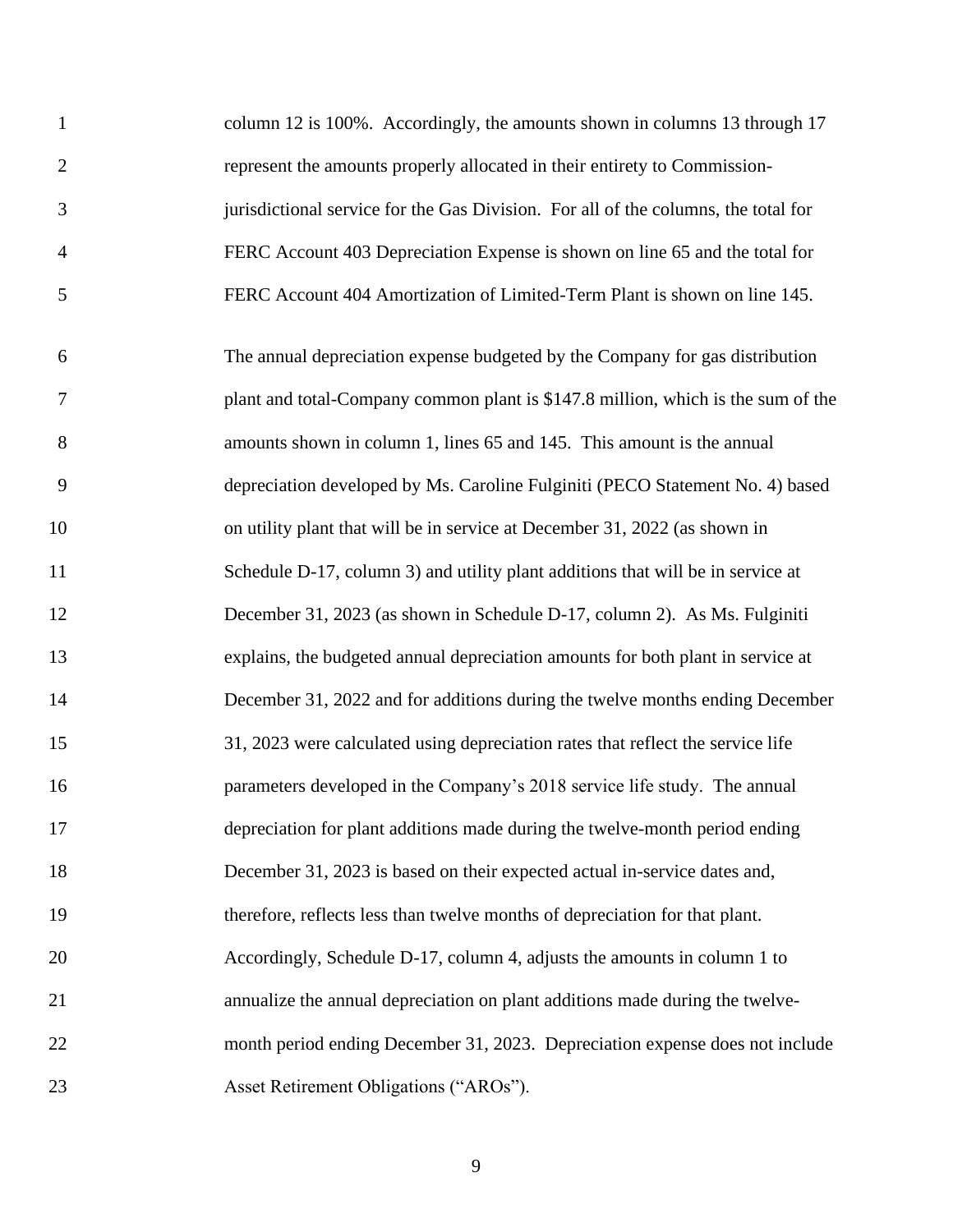| $\mathbf{1}$   | column 12 is 100%. Accordingly, the amounts shown in columns 13 through 17         |
|----------------|------------------------------------------------------------------------------------|
| $\overline{2}$ | represent the amounts properly allocated in their entirety to Commission-          |
| 3              | jurisdictional service for the Gas Division. For all of the columns, the total for |
| $\overline{4}$ | FERC Account 403 Depreciation Expense is shown on line 65 and the total for        |
| 5              | FERC Account 404 Amortization of Limited-Term Plant is shown on line 145.          |
| 6              | The annual depreciation expense budgeted by the Company for gas distribution       |
| 7              | plant and total-Company common plant is \$147.8 million, which is the sum of the   |
| 8              | amounts shown in column 1, lines 65 and 145. This amount is the annual             |
| 9              | depreciation developed by Ms. Caroline Fulginiti (PECO Statement No. 4) based      |
| 10             | on utility plant that will be in service at December 31, 2022 (as shown in         |
| 11             | Schedule D-17, column 3) and utility plant additions that will be in service at    |
| 12             | December 31, 2023 (as shown in Schedule D-17, column 2). As Ms. Fulginiti          |
| 13             | explains, the budgeted annual depreciation amounts for both plant in service at    |
| 14             | December 31, 2022 and for additions during the twelve months ending December       |
| 15             | 31, 2023 were calculated using depreciation rates that reflect the service life    |
| 16             | parameters developed in the Company's 2018 service life study. The annual          |
| 17             | depreciation for plant additions made during the twelve-month period ending        |
| 18             | December 31, 2023 is based on their expected actual in-service dates and,          |
| 19             | therefore, reflects less than twelve months of depreciation for that plant.        |
| 20             | Accordingly, Schedule D-17, column 4, adjusts the amounts in column 1 to           |
| 21             | annualize the annual depreciation on plant additions made during the twelve-       |
| 22             | month period ending December 31, 2023. Depreciation expense does not include       |
| 23             | Asset Retirement Obligations ("AROs").                                             |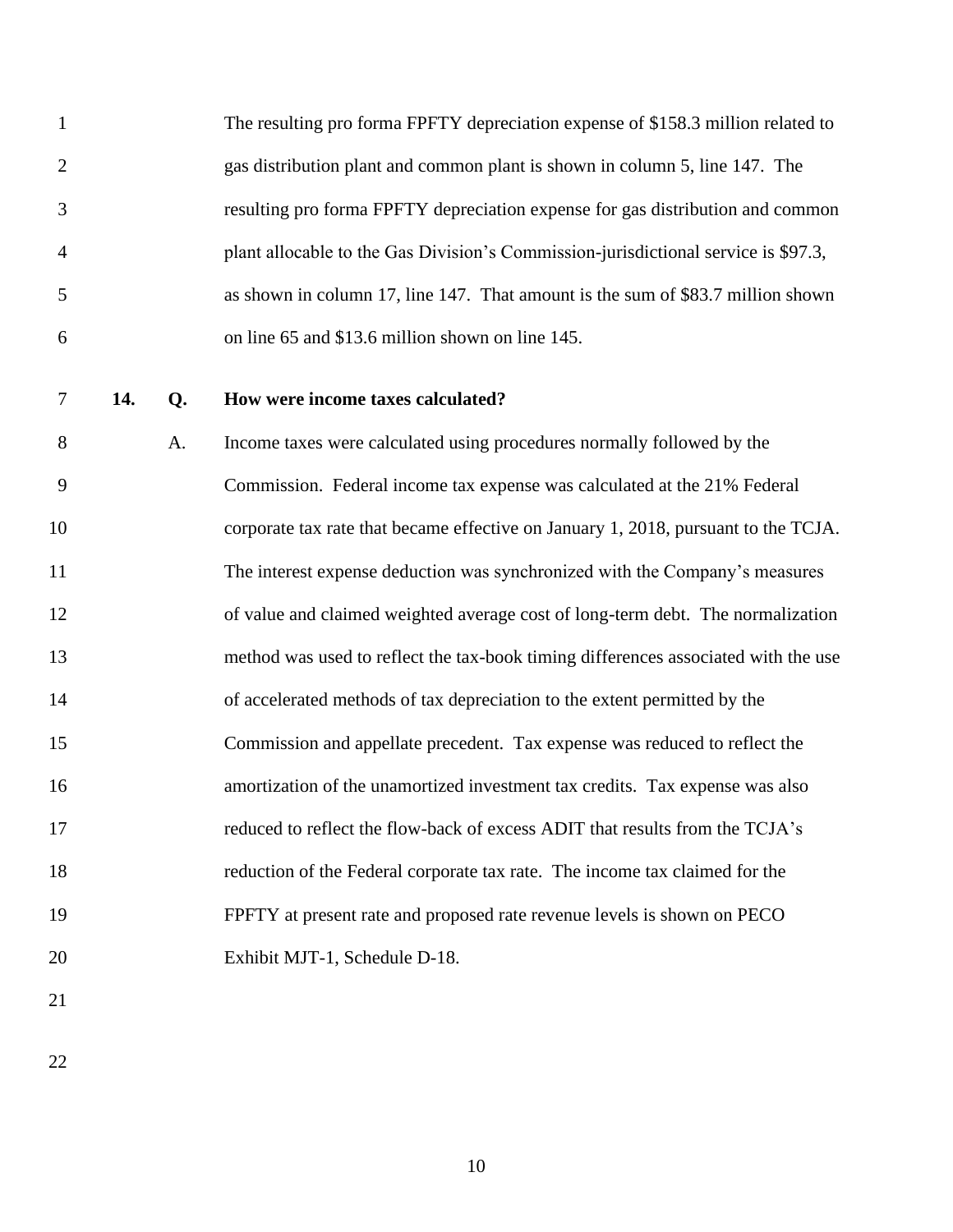|                | The resulting pro forma FPFTY depreciation expense of \$158.3 million related to   |
|----------------|------------------------------------------------------------------------------------|
| 2              | gas distribution plant and common plant is shown in column 5, line 147. The        |
| 3              | resulting pro forma FPFTY depreciation expense for gas distribution and common     |
| $\overline{4}$ | plant allocable to the Gas Division's Commission-jurisdictional service is \$97.3, |
| 5              | as shown in column 17, line 147. That amount is the sum of \$83.7 million shown    |
| 6              | on line 65 and \$13.6 million shown on line 145.                                   |

## **14. Q. How were income taxes calculated?**

 A. Income taxes were calculated using procedures normally followed by the Commission. Federal income tax expense was calculated at the 21% Federal corporate tax rate that became effective on January 1, 2018, pursuant to the TCJA. The interest expense deduction was synchronized with the Company's measures of value and claimed weighted average cost of long-term debt. The normalization method was used to reflect the tax-book timing differences associated with the use of accelerated methods of tax depreciation to the extent permitted by the Commission and appellate precedent. Tax expense was reduced to reflect the amortization of the unamortized investment tax credits. Tax expense was also reduced to reflect the flow-back of excess ADIT that results from the TCJA's reduction of the Federal corporate tax rate. The income tax claimed for the FPFTY at present rate and proposed rate revenue levels is shown on PECO Exhibit MJT-1, Schedule D-18.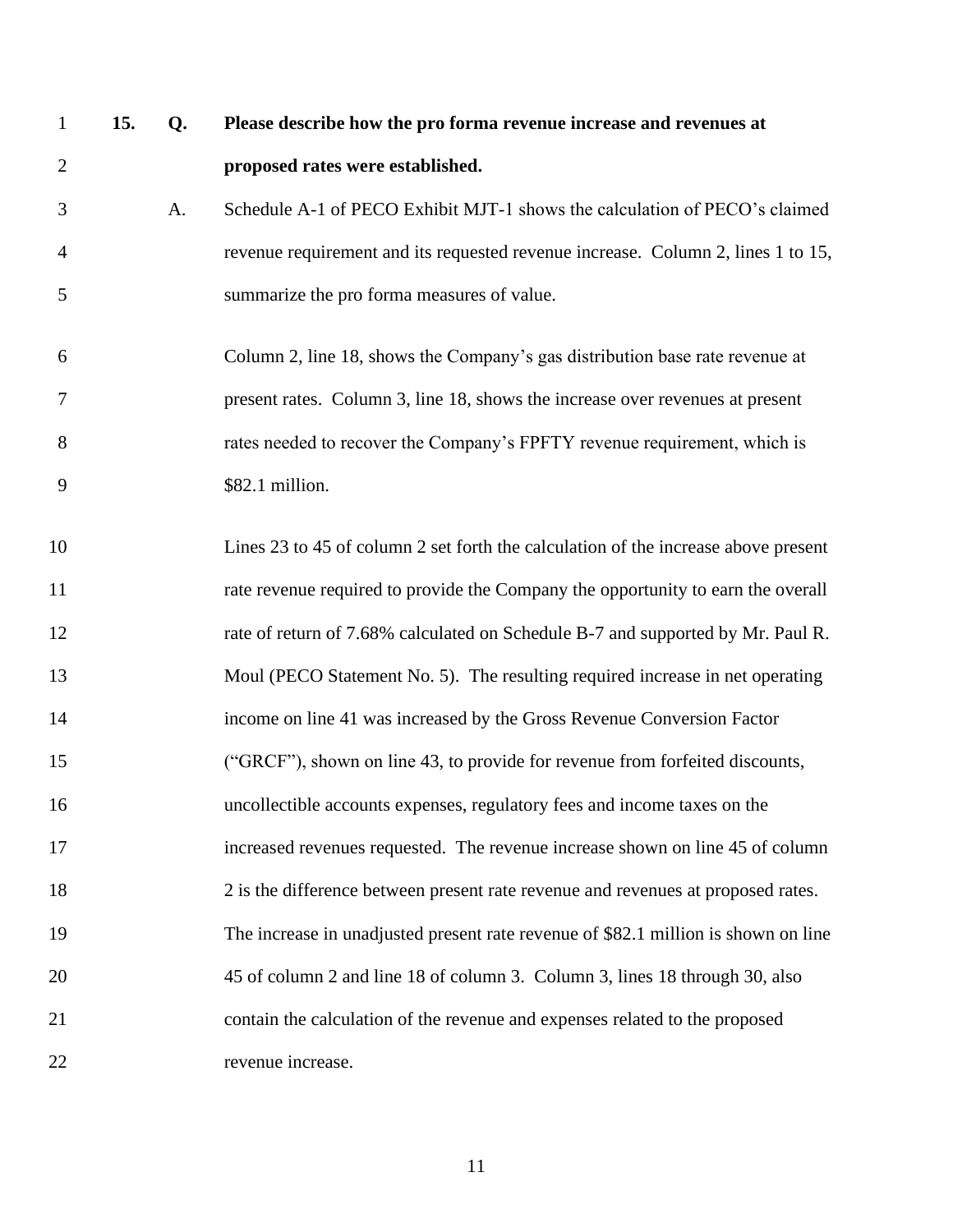- **15. Q. Please describe how the pro forma revenue increase and revenues at proposed rates were established.**
- A. Schedule A-1 of PECO Exhibit MJT-1 shows the calculation of PECO's claimed revenue requirement and its requested revenue increase. Column 2, lines 1 to 15, summarize the pro forma measures of value.
- Column 2, line 18, shows the Company's gas distribution base rate revenue at present rates. Column 3, line 18, shows the increase over revenues at present rates needed to recover the Company's FPFTY revenue requirement, which is \$82.1 million.
- Lines 23 to 45 of column 2 set forth the calculation of the increase above present rate revenue required to provide the Company the opportunity to earn the overall rate of return of 7.68% calculated on Schedule B-7 and supported by Mr. Paul R. Moul (PECO Statement No. 5). The resulting required increase in net operating income on line 41 was increased by the Gross Revenue Conversion Factor ("GRCF"), shown on line 43, to provide for revenue from forfeited discounts, uncollectible accounts expenses, regulatory fees and income taxes on the increased revenues requested. The revenue increase shown on line 45 of column 2 is the difference between present rate revenue and revenues at proposed rates. The increase in unadjusted present rate revenue of \$82.1 million is shown on line 45 of column 2 and line 18 of column 3. Column 3, lines 18 through 30, also contain the calculation of the revenue and expenses related to the proposed revenue increase.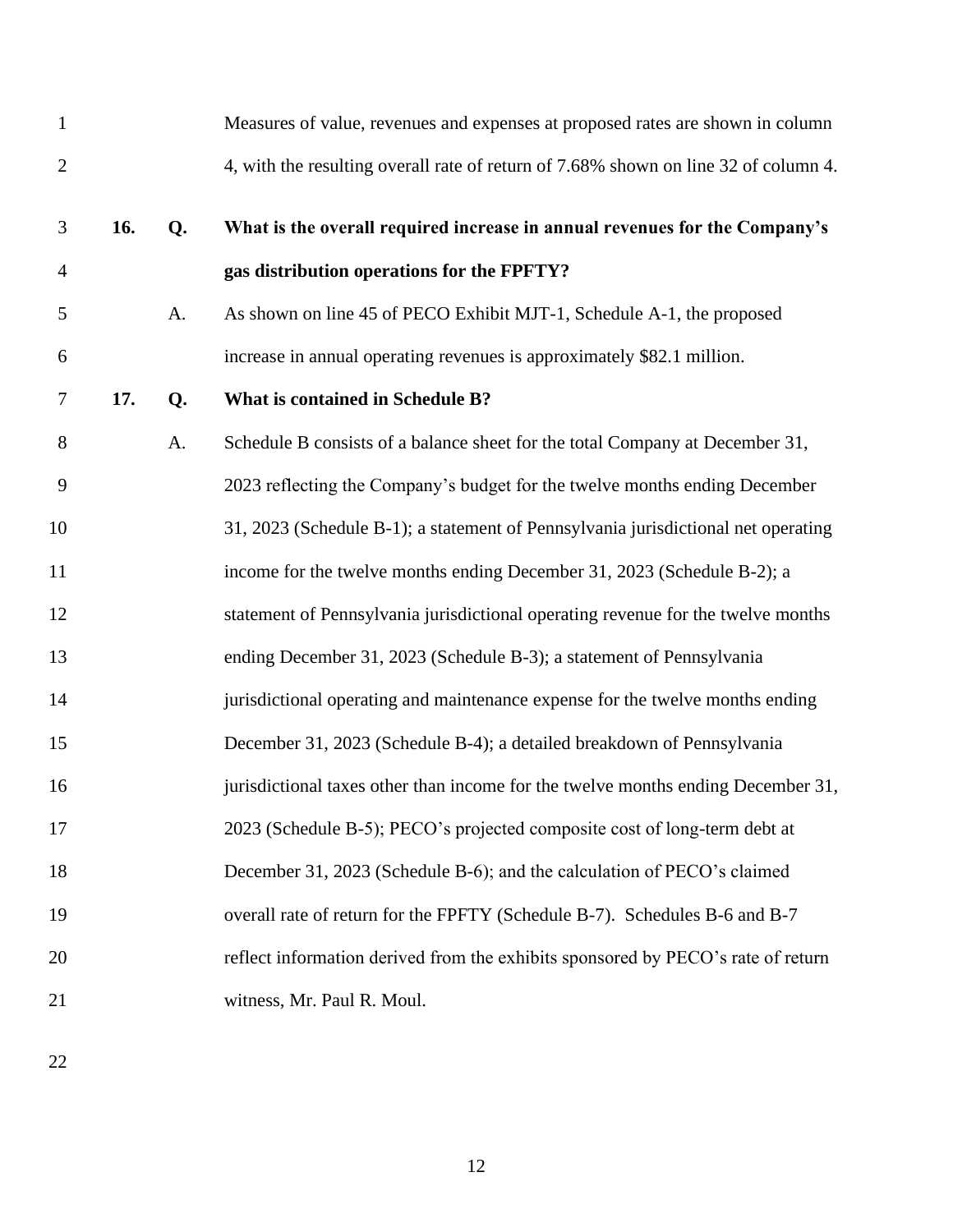| $\mathbf{1}$   |     |    | Measures of value, revenues and expenses at proposed rates are shown in column      |
|----------------|-----|----|-------------------------------------------------------------------------------------|
| $\overline{2}$ |     |    | 4, with the resulting overall rate of return of 7.68% shown on line 32 of column 4. |
| 3              | 16. | Q. | What is the overall required increase in annual revenues for the Company's          |
| 4              |     |    | gas distribution operations for the FPFTY?                                          |
| 5              |     | A. | As shown on line 45 of PECO Exhibit MJT-1, Schedule A-1, the proposed               |
| 6              |     |    | increase in annual operating revenues is approximately \$82.1 million.              |
| $\tau$         | 17. | Q. | What is contained in Schedule B?                                                    |
| 8              |     | A. | Schedule B consists of a balance sheet for the total Company at December 31,        |
| 9              |     |    | 2023 reflecting the Company's budget for the twelve months ending December          |
| 10             |     |    | 31, 2023 (Schedule B-1); a statement of Pennsylvania jurisdictional net operating   |
| 11             |     |    | income for the twelve months ending December 31, 2023 (Schedule B-2); a             |
| 12             |     |    | statement of Pennsylvania jurisdictional operating revenue for the twelve months    |
| 13             |     |    | ending December 31, 2023 (Schedule B-3); a statement of Pennsylvania                |
| 14             |     |    | jurisdictional operating and maintenance expense for the twelve months ending       |
| 15             |     |    | December 31, 2023 (Schedule B-4); a detailed breakdown of Pennsylvania              |
| 16             |     |    | jurisdictional taxes other than income for the twelve months ending December 31,    |
| 17             |     |    | 2023 (Schedule B-5); PECO's projected composite cost of long-term debt at           |
| 18             |     |    | December 31, 2023 (Schedule B-6); and the calculation of PECO's claimed             |
| 19             |     |    | overall rate of return for the FPFTY (Schedule B-7). Schedules B-6 and B-7          |
| 20             |     |    | reflect information derived from the exhibits sponsored by PECO's rate of return    |
| 21             |     |    | witness, Mr. Paul R. Moul.                                                          |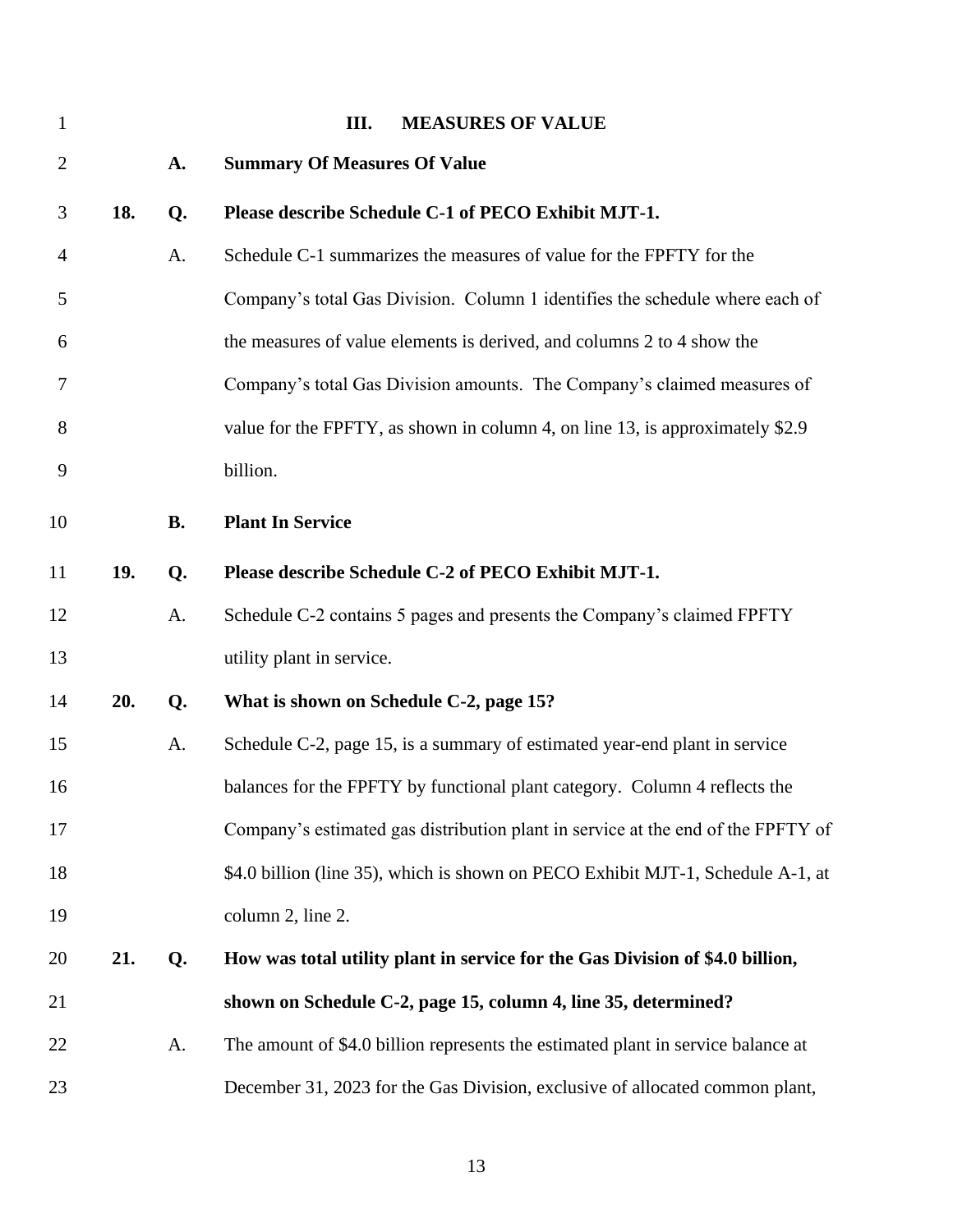<span id="page-14-2"></span><span id="page-14-1"></span><span id="page-14-0"></span>

| $\mathbf{1}$   |     |           | <b>MEASURES OF VALUE</b><br>III.                                                 |
|----------------|-----|-----------|----------------------------------------------------------------------------------|
| $\overline{2}$ |     | A.        | <b>Summary Of Measures Of Value</b>                                              |
| 3              | 18. | Q.        | Please describe Schedule C-1 of PECO Exhibit MJT-1.                              |
| $\overline{4}$ |     | A.        | Schedule C-1 summarizes the measures of value for the FPFTY for the              |
| 5              |     |           | Company's total Gas Division. Column 1 identifies the schedule where each of     |
| 6              |     |           | the measures of value elements is derived, and columns 2 to 4 show the           |
| 7              |     |           | Company's total Gas Division amounts. The Company's claimed measures of          |
| 8              |     |           | value for the FPFTY, as shown in column 4, on line 13, is approximately \$2.9    |
| 9              |     |           | billion.                                                                         |
| 10             |     | <b>B.</b> | <b>Plant In Service</b>                                                          |
| 11             | 19. | Q.        | Please describe Schedule C-2 of PECO Exhibit MJT-1.                              |
| 12             |     | A.        | Schedule C-2 contains 5 pages and presents the Company's claimed FPFTY           |
| 13             |     |           | utility plant in service.                                                        |
| 14             | 20. | Q.        | What is shown on Schedule C-2, page 15?                                          |
| 15             |     | A.        | Schedule C-2, page 15, is a summary of estimated year-end plant in service       |
| 16             |     |           | balances for the FPFTY by functional plant category. Column 4 reflects the       |
| 17             |     |           | Company's estimated gas distribution plant in service at the end of the FPFTY of |
| 18             |     |           | \$4.0 billion (line 35), which is shown on PECO Exhibit MJT-1, Schedule A-1, at  |
| 19             |     |           | column 2, line 2.                                                                |
| 20             | 21. | Q.        | How was total utility plant in service for the Gas Division of \$4.0 billion,    |
| 21             |     |           | shown on Schedule C-2, page 15, column 4, line 35, determined?                   |
| 22             |     | A.        | The amount of \$4.0 billion represents the estimated plant in service balance at |
| 23             |     |           | December 31, 2023 for the Gas Division, exclusive of allocated common plant,     |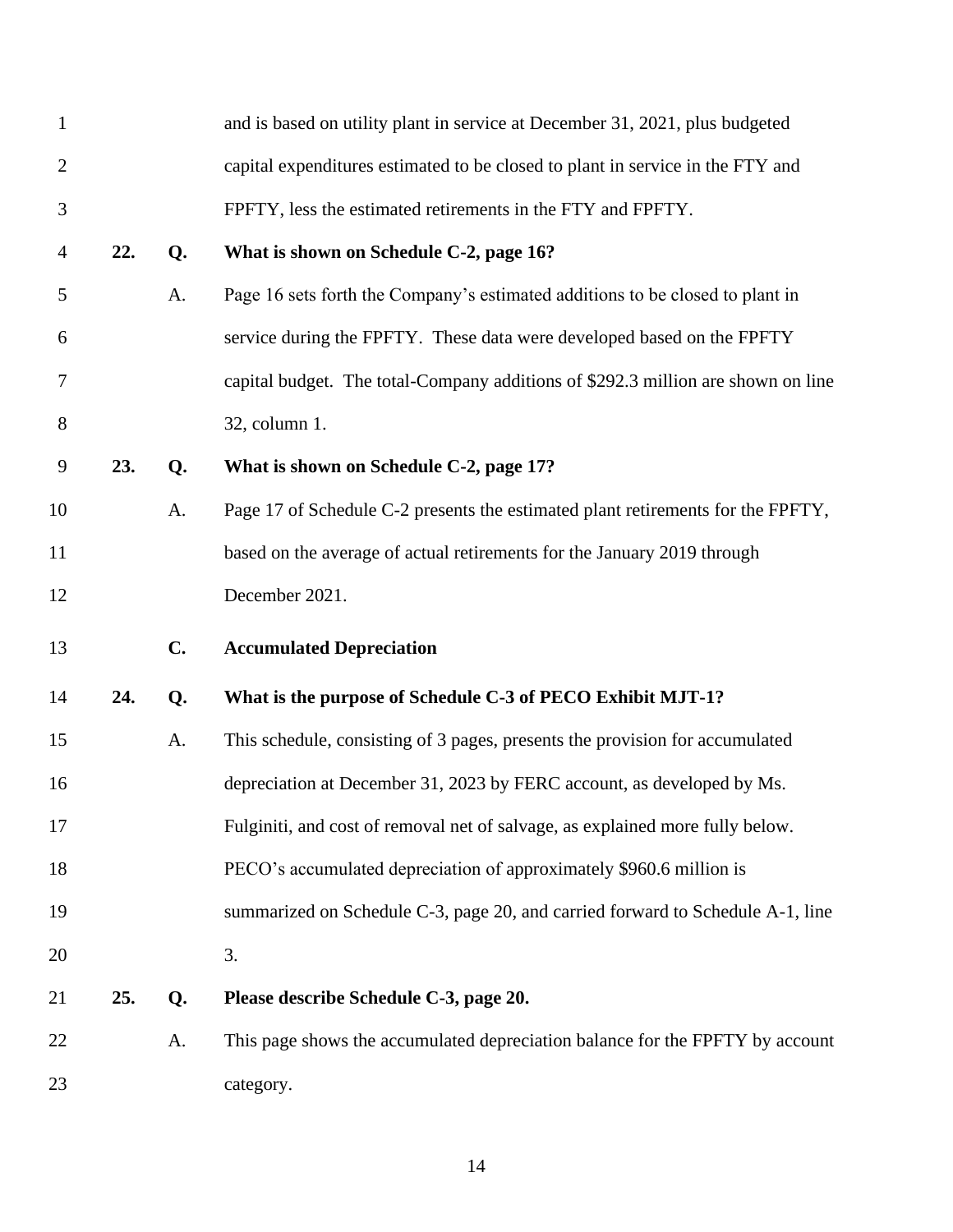<span id="page-15-0"></span>

| $\mathbf{1}$   |     |    | and is based on utility plant in service at December 31, 2021, plus budgeted     |
|----------------|-----|----|----------------------------------------------------------------------------------|
| $\mathbf{2}$   |     |    | capital expenditures estimated to be closed to plant in service in the FTY and   |
| 3              |     |    | FPFTY, less the estimated retirements in the FTY and FPFTY.                      |
| $\overline{4}$ | 22. | Q. | What is shown on Schedule C-2, page 16?                                          |
| 5              |     | A. | Page 16 sets forth the Company's estimated additions to be closed to plant in    |
| 6              |     |    | service during the FPFTY. These data were developed based on the FPFTY           |
| 7              |     |    | capital budget. The total-Company additions of \$292.3 million are shown on line |
| 8              |     |    | 32, column 1.                                                                    |
| 9              | 23. | Q. | What is shown on Schedule C-2, page 17?                                          |
| 10             |     | A. | Page 17 of Schedule C-2 presents the estimated plant retirements for the FPFTY,  |
| 11             |     |    | based on the average of actual retirements for the January 2019 through          |
| 12             |     |    | December 2021.                                                                   |
| 13             |     | C. | <b>Accumulated Depreciation</b>                                                  |
|                |     |    |                                                                                  |
| 14             | 24. | Q. | What is the purpose of Schedule C-3 of PECO Exhibit MJT-1?                       |
| 15             |     | A. | This schedule, consisting of 3 pages, presents the provision for accumulated     |
| 16             |     |    | depreciation at December 31, 2023 by FERC account, as developed by Ms.           |
| 17             |     |    | Fulginiti, and cost of removal net of salvage, as explained more fully below.    |
| 18             |     |    | PECO's accumulated depreciation of approximately \$960.6 million is              |
| 19             |     |    | summarized on Schedule C-3, page 20, and carried forward to Schedule A-1, line   |
| 20             |     |    | 3.                                                                               |
| 21             | 25. | Q. | Please describe Schedule C-3, page 20.                                           |
| 22             |     | A. | This page shows the accumulated depreciation balance for the FPFTY by account    |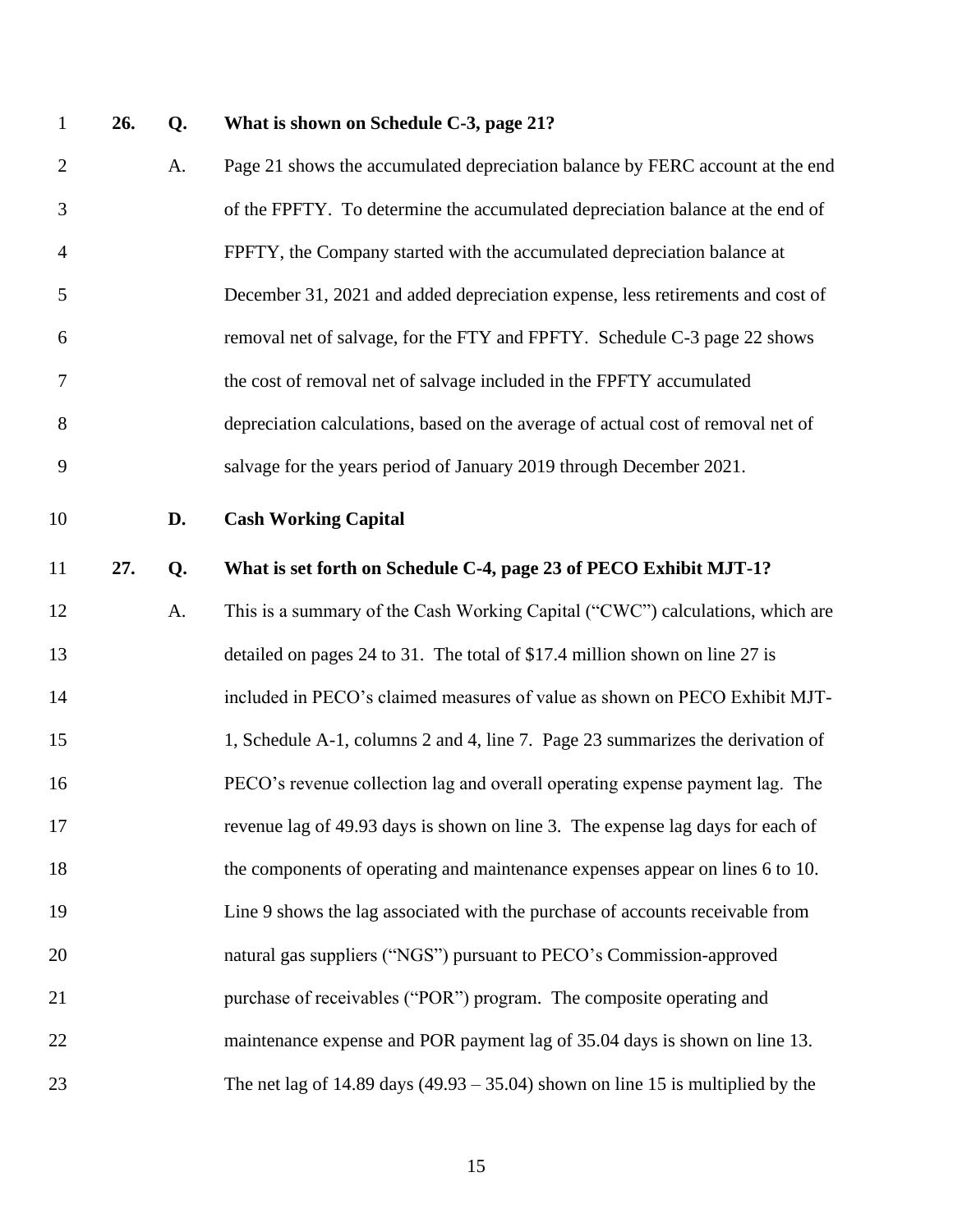## **26. Q. What is shown on Schedule C-3, page 21?**

<span id="page-16-0"></span> A. Page 21 shows the accumulated depreciation balance by FERC account at the end of the FPFTY. To determine the accumulated depreciation balance at the end of FPFTY, the Company started with the accumulated depreciation balance at December 31, 2021 and added depreciation expense, less retirements and cost of removal net of salvage, for the FTY and FPFTY. Schedule C-3 page 22 shows the cost of removal net of salvage included in the FPFTY accumulated depreciation calculations, based on the average of actual cost of removal net of salvage for the years period of January 2019 through December 2021. **D. Cash Working Capital 27. Q. What is set forth on Schedule C-4, page 23 of PECO Exhibit MJT-1?** 12 A. This is a summary of the Cash Working Capital ("CWC") calculations, which are detailed on pages 24 to 31. The total of \$17.4 million shown on line 27 is included in PECO's claimed measures of value as shown on PECO Exhibit MJT- 1, Schedule A-1, columns 2 and 4, line 7. Page 23 summarizes the derivation of PECO's revenue collection lag and overall operating expense payment lag. The revenue lag of 49.93 days is shown on line 3. The expense lag days for each of the components of operating and maintenance expenses appear on lines 6 to 10. Line 9 shows the lag associated with the purchase of accounts receivable from natural gas suppliers ("NGS") pursuant to PECO's Commission-approved purchase of receivables ("POR") program. The composite operating and maintenance expense and POR payment lag of 35.04 days is shown on line 13. The net lag of 14.89 days (49.93 – 35.04) shown on line 15 is multiplied by the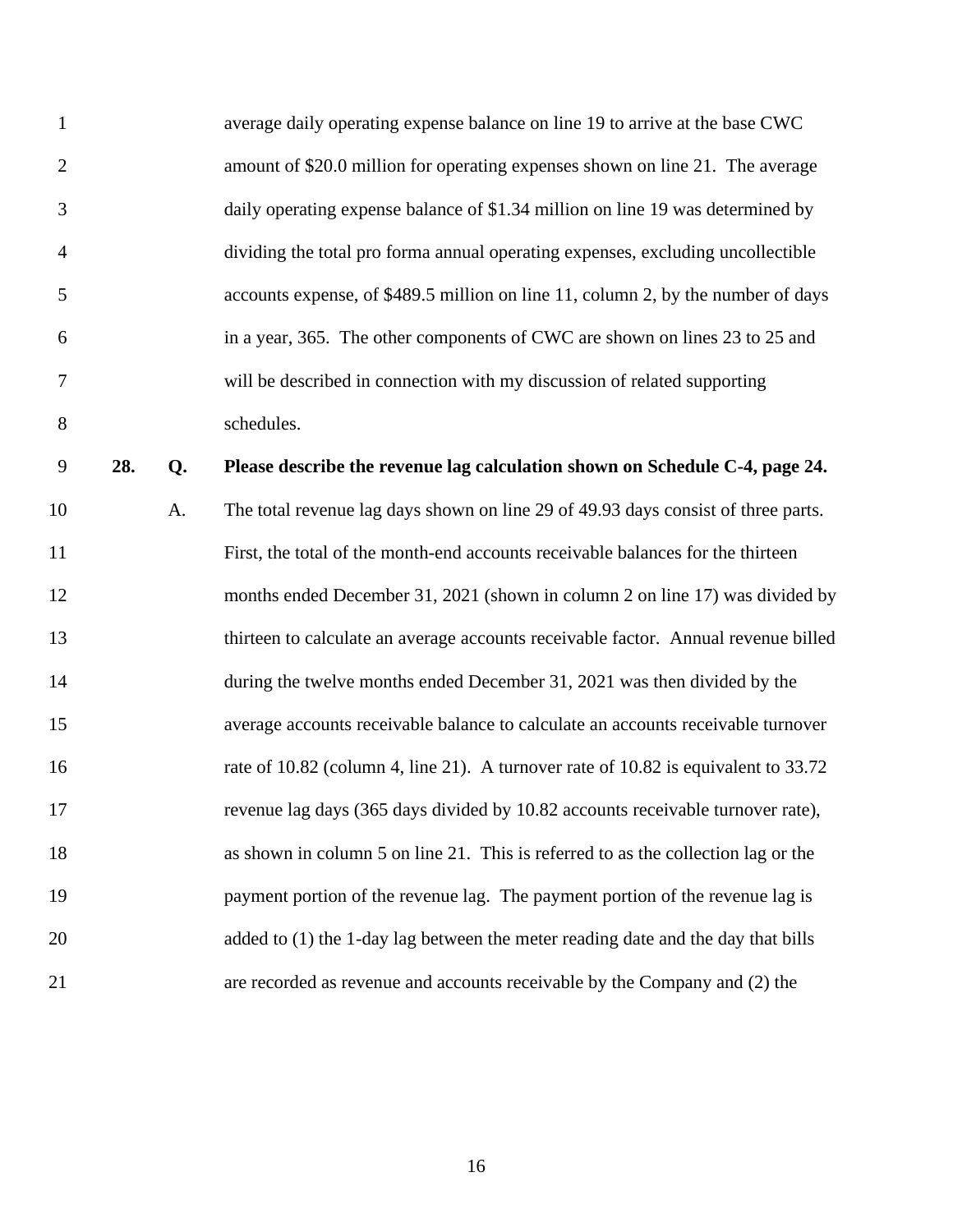| $\mathbf{1}$   |     |    | average daily operating expense balance on line 19 to arrive at the base CWC       |
|----------------|-----|----|------------------------------------------------------------------------------------|
| $\overline{2}$ |     |    | amount of \$20.0 million for operating expenses shown on line 21. The average      |
| 3              |     |    | daily operating expense balance of \$1.34 million on line 19 was determined by     |
| $\overline{4}$ |     |    | dividing the total pro forma annual operating expenses, excluding uncollectible    |
| 5              |     |    | accounts expense, of \$489.5 million on line 11, column 2, by the number of days   |
| 6              |     |    | in a year, 365. The other components of CWC are shown on lines 23 to 25 and        |
| $\tau$         |     |    | will be described in connection with my discussion of related supporting           |
| 8              |     |    | schedules.                                                                         |
| 9              | 28. | Q. | Please describe the revenue lag calculation shown on Schedule C-4, page 24.        |
| 10             |     | A. | The total revenue lag days shown on line 29 of 49.93 days consist of three parts.  |
| 11             |     |    | First, the total of the month-end accounts receivable balances for the thirteen    |
| 12             |     |    | months ended December 31, 2021 (shown in column 2 on line 17) was divided by       |
| 13             |     |    | thirteen to calculate an average accounts receivable factor. Annual revenue billed |
| 14             |     |    | during the twelve months ended December 31, 2021 was then divided by the           |
| 15             |     |    | average accounts receivable balance to calculate an accounts receivable turnover   |
| 16             |     |    | rate of 10.82 (column 4, line 21). A turnover rate of 10.82 is equivalent to 33.72 |
| 17             |     |    | revenue lag days (365 days divided by 10.82 accounts receivable turnover rate),    |
| 18             |     |    | as shown in column 5 on line 21. This is referred to as the collection lag or the  |
| 19             |     |    | payment portion of the revenue lag. The payment portion of the revenue lag is      |
| 20             |     |    | added to (1) the 1-day lag between the meter reading date and the day that bills   |
| 21             |     |    | are recorded as revenue and accounts receivable by the Company and (2) the         |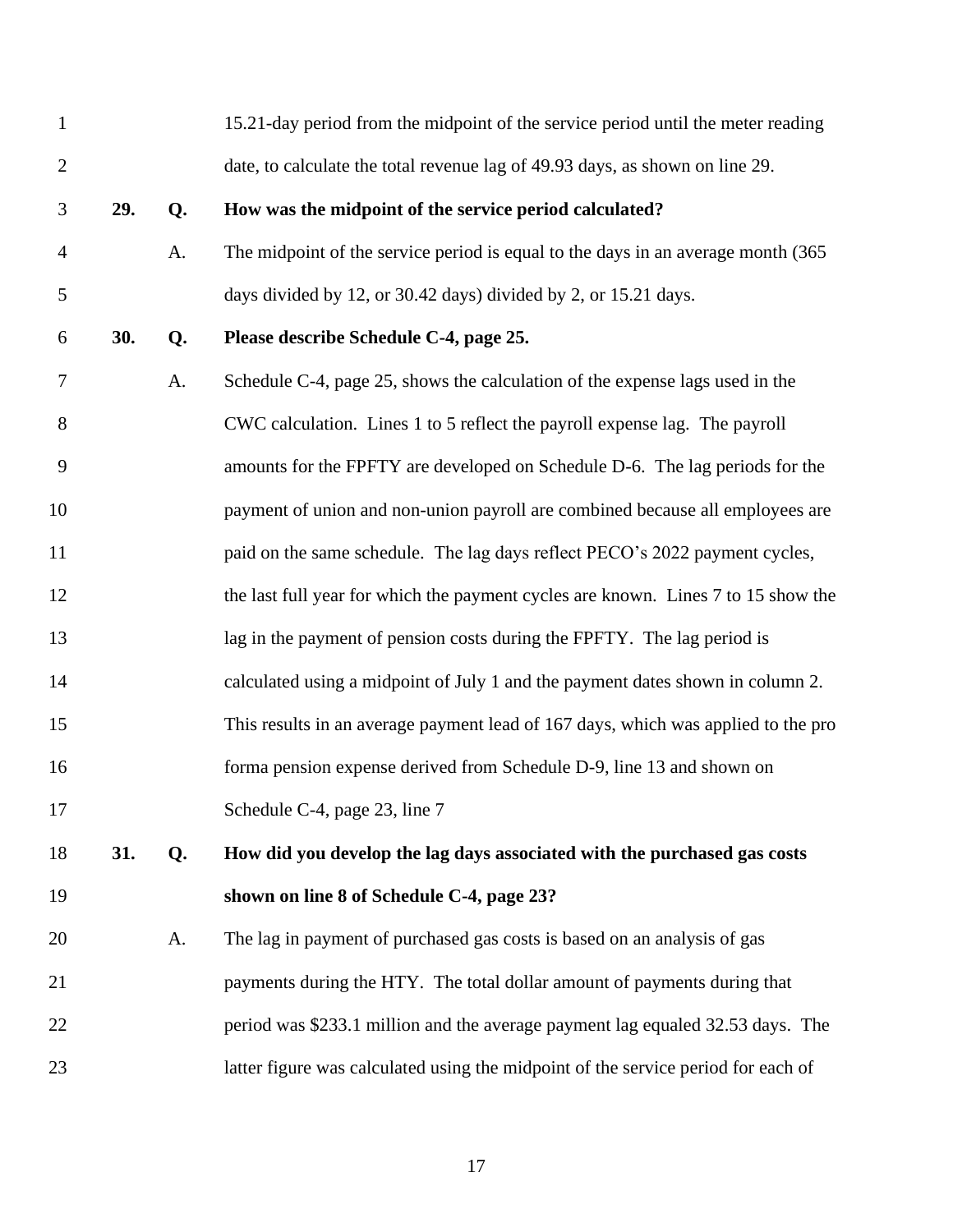|     |    | 15.21-day period from the midpoint of the service period until the meter reading  |
|-----|----|-----------------------------------------------------------------------------------|
|     |    | date, to calculate the total revenue lag of 49.93 days, as shown on line 29.      |
| 29. | Q. | How was the midpoint of the service period calculated?                            |
|     | A. | The midpoint of the service period is equal to the days in an average month (365) |
|     |    | days divided by 12, or 30.42 days) divided by 2, or 15.21 days.                   |
| 30. | Q. | Please describe Schedule C-4, page 25.                                            |
|     | A. | Schedule C-4, page 25, shows the calculation of the expense lags used in the      |
|     |    | CWC calculation. Lines 1 to 5 reflect the payroll expense lag. The payroll        |
|     |    | amounts for the FPFTY are developed on Schedule D-6. The lag periods for the      |
|     |    | payment of union and non-union payroll are combined because all employees are     |
|     |    | paid on the same schedule. The lag days reflect PECO's 2022 payment cycles,       |
|     |    | the last full year for which the payment cycles are known. Lines 7 to 15 show the |
|     |    | lag in the payment of pension costs during the FPFTY. The lag period is           |
|     |    | calculated using a midpoint of July 1 and the payment dates shown in column 2.    |
|     |    | This results in an average payment lead of 167 days, which was applied to the pro |
|     |    | forma pension expense derived from Schedule D-9, line 13 and shown on             |
|     |    | Schedule C-4, page 23, line 7                                                     |
| 31. | Q. | How did you develop the lag days associated with the purchased gas costs          |
|     |    | shown on line 8 of Schedule C-4, page 23?                                         |
|     | A. | The lag in payment of purchased gas costs is based on an analysis of gas          |
|     |    | payments during the HTY. The total dollar amount of payments during that          |
|     |    | period was \$233.1 million and the average payment lag equaled 32.53 days. The    |
|     |    | latter figure was calculated using the midpoint of the service period for each of |
|     |    |                                                                                   |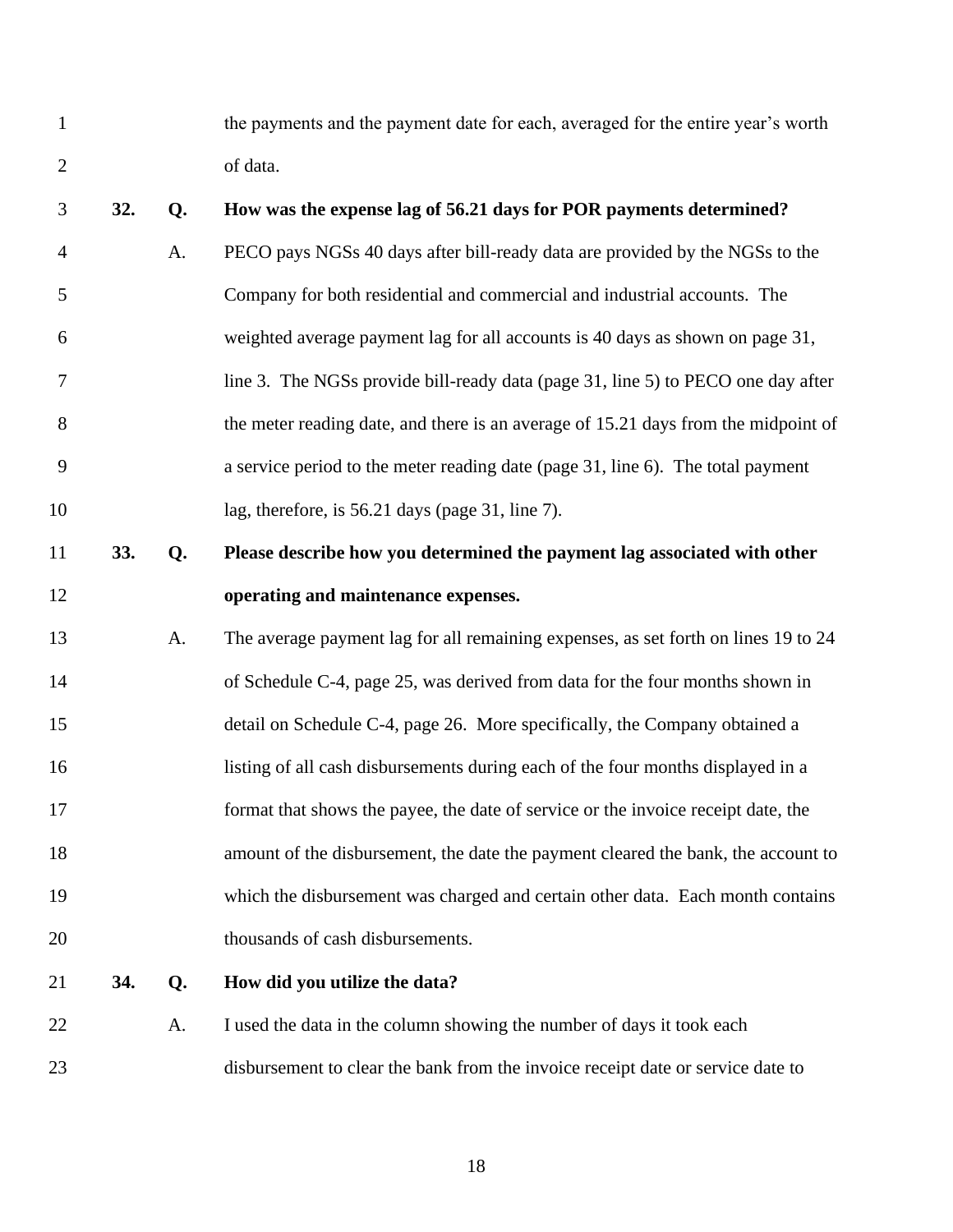the payments and the payment date for each, averaged for the entire year's worth of data.

| 3              | 32. | Q. | How was the expense lag of 56.21 days for POR payments determined?                 |
|----------------|-----|----|------------------------------------------------------------------------------------|
| $\overline{4}$ |     | A. | PECO pays NGSs 40 days after bill-ready data are provided by the NGSs to the       |
| 5              |     |    | Company for both residential and commercial and industrial accounts. The           |
| 6              |     |    | weighted average payment lag for all accounts is 40 days as shown on page 31,      |
| 7              |     |    | line 3. The NGSs provide bill-ready data (page 31, line 5) to PECO one day after   |
| 8              |     |    | the meter reading date, and there is an average of 15.21 days from the midpoint of |
| 9              |     |    | a service period to the meter reading date (page 31, line 6). The total payment    |
| 10             |     |    | lag, therefore, is 56.21 days (page 31, line 7).                                   |
| 11             | 33. | Q. | Please describe how you determined the payment lag associated with other           |
| 12             |     |    | operating and maintenance expenses.                                                |
| 13             |     | A. | The average payment lag for all remaining expenses, as set forth on lines 19 to 24 |
| 14             |     |    | of Schedule C-4, page 25, was derived from data for the four months shown in       |
| 15             |     |    | detail on Schedule C-4, page 26. More specifically, the Company obtained a         |
| 16             |     |    | listing of all cash disbursements during each of the four months displayed in a    |
| 17             |     |    | format that shows the payee, the date of service or the invoice receipt date, the  |
| 18             |     |    | amount of the disbursement, the date the payment cleared the bank, the account to  |
| 19             |     |    | which the disbursement was charged and certain other data. Each month contains     |
| 20             |     |    | thousands of cash disbursements.                                                   |
| 21             | 34. | Q. | How did you utilize the data?                                                      |
| 22             |     | A. | I used the data in the column showing the number of days it took each              |
|                |     |    |                                                                                    |

disbursement to clear the bank from the invoice receipt date or service date to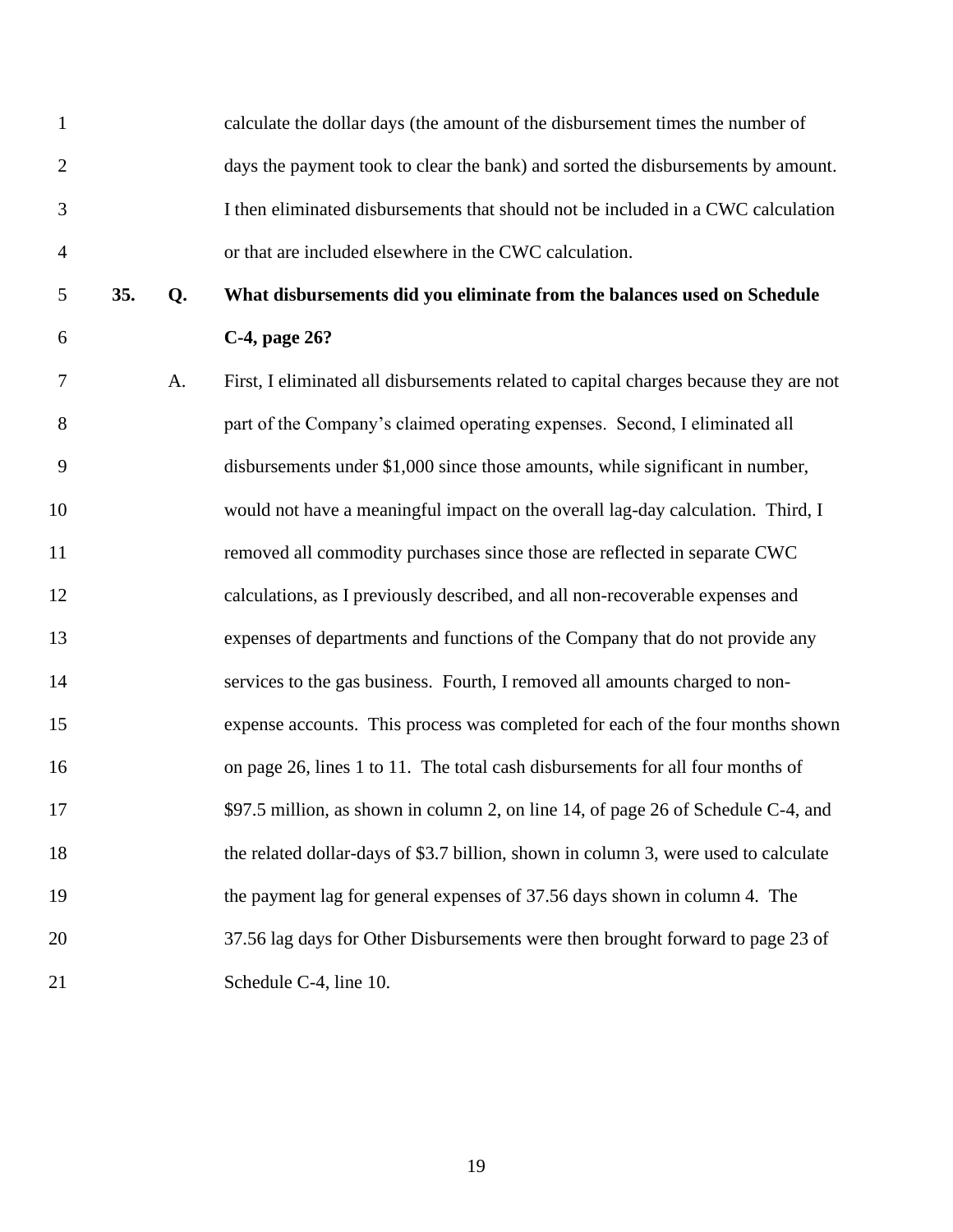| $\mathbf{1}$   |     |    | calculate the dollar days (the amount of the disbursement times the number of         |
|----------------|-----|----|---------------------------------------------------------------------------------------|
| $\overline{2}$ |     |    | days the payment took to clear the bank) and sorted the disbursements by amount.      |
| 3              |     |    | I then eliminated disbursements that should not be included in a CWC calculation      |
| $\overline{4}$ |     |    | or that are included elsewhere in the CWC calculation.                                |
| 5              | 35. | Q. | What disbursements did you eliminate from the balances used on Schedule               |
| 6              |     |    | C-4, page 26?                                                                         |
| 7              |     | A. | First, I eliminated all disbursements related to capital charges because they are not |
| 8              |     |    | part of the Company's claimed operating expenses. Second, I eliminated all            |
| 9              |     |    | disbursements under \$1,000 since those amounts, while significant in number,         |
| 10             |     |    | would not have a meaningful impact on the overall lag-day calculation. Third, I       |
| 11             |     |    | removed all commodity purchases since those are reflected in separate CWC             |
| 12             |     |    | calculations, as I previously described, and all non-recoverable expenses and         |
| 13             |     |    | expenses of departments and functions of the Company that do not provide any          |
| 14             |     |    | services to the gas business. Fourth, I removed all amounts charged to non-           |
| 15             |     |    | expense accounts. This process was completed for each of the four months shown        |
| 16             |     |    | on page 26, lines 1 to 11. The total cash disbursements for all four months of        |
| 17             |     |    | \$97.5 million, as shown in column 2, on line 14, of page 26 of Schedule C-4, and     |
| 18             |     |    | the related dollar-days of \$3.7 billion, shown in column 3, were used to calculate   |
| 19             |     |    | the payment lag for general expenses of 37.56 days shown in column 4. The             |
| 20             |     |    | 37.56 lag days for Other Disbursements were then brought forward to page 23 of        |
| 21             |     |    | Schedule C-4, line 10.                                                                |
|                |     |    |                                                                                       |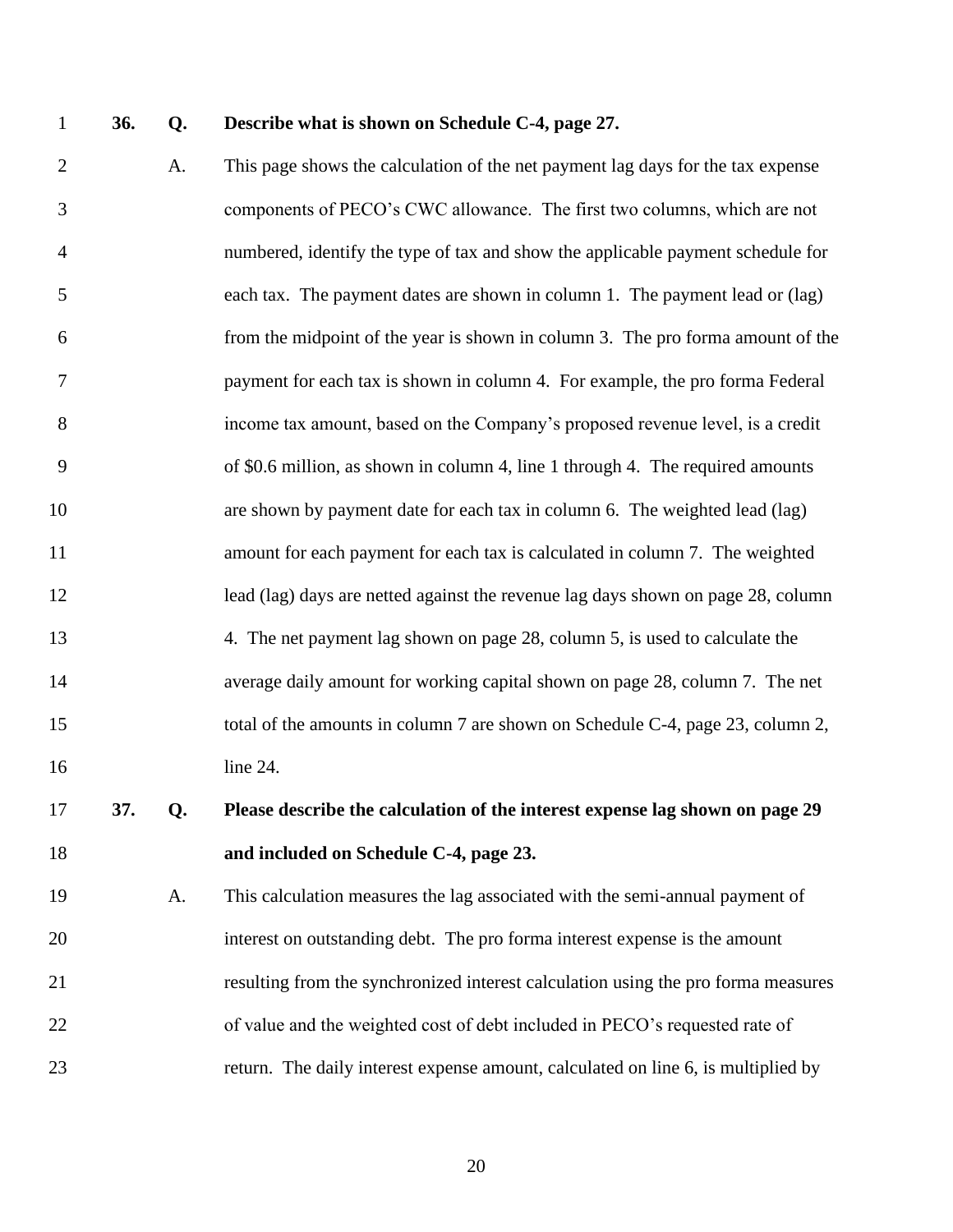#### **36. Q. Describe what is shown on Schedule C-4, page 27.**

 A. This page shows the calculation of the net payment lag days for the tax expense components of PECO's CWC allowance. The first two columns, which are not numbered, identify the type of tax and show the applicable payment schedule for each tax. The payment dates are shown in column 1. The payment lead or (lag) from the midpoint of the year is shown in column 3. The pro forma amount of the payment for each tax is shown in column 4. For example, the pro forma Federal income tax amount, based on the Company's proposed revenue level, is a credit of \$0.6 million, as shown in column 4, line 1 through 4. The required amounts are shown by payment date for each tax in column 6. The weighted lead (lag) amount for each payment for each tax is calculated in column 7. The weighted 12 lead (lag) days are netted against the revenue lag days shown on page 28, column 4. The net payment lag shown on page 28, column 5, is used to calculate the average daily amount for working capital shown on page 28, column 7. The net 15 total of the amounts in column 7 are shown on Schedule C-4, page 23, column 2, line 24.

# **37. Q. Please describe the calculation of the interest expense lag shown on page 29 and included on Schedule C-4, page 23.**

 A. This calculation measures the lag associated with the semi-annual payment of interest on outstanding debt. The pro forma interest expense is the amount resulting from the synchronized interest calculation using the pro forma measures 22 of value and the weighted cost of debt included in PECO's requested rate of return. The daily interest expense amount, calculated on line 6, is multiplied by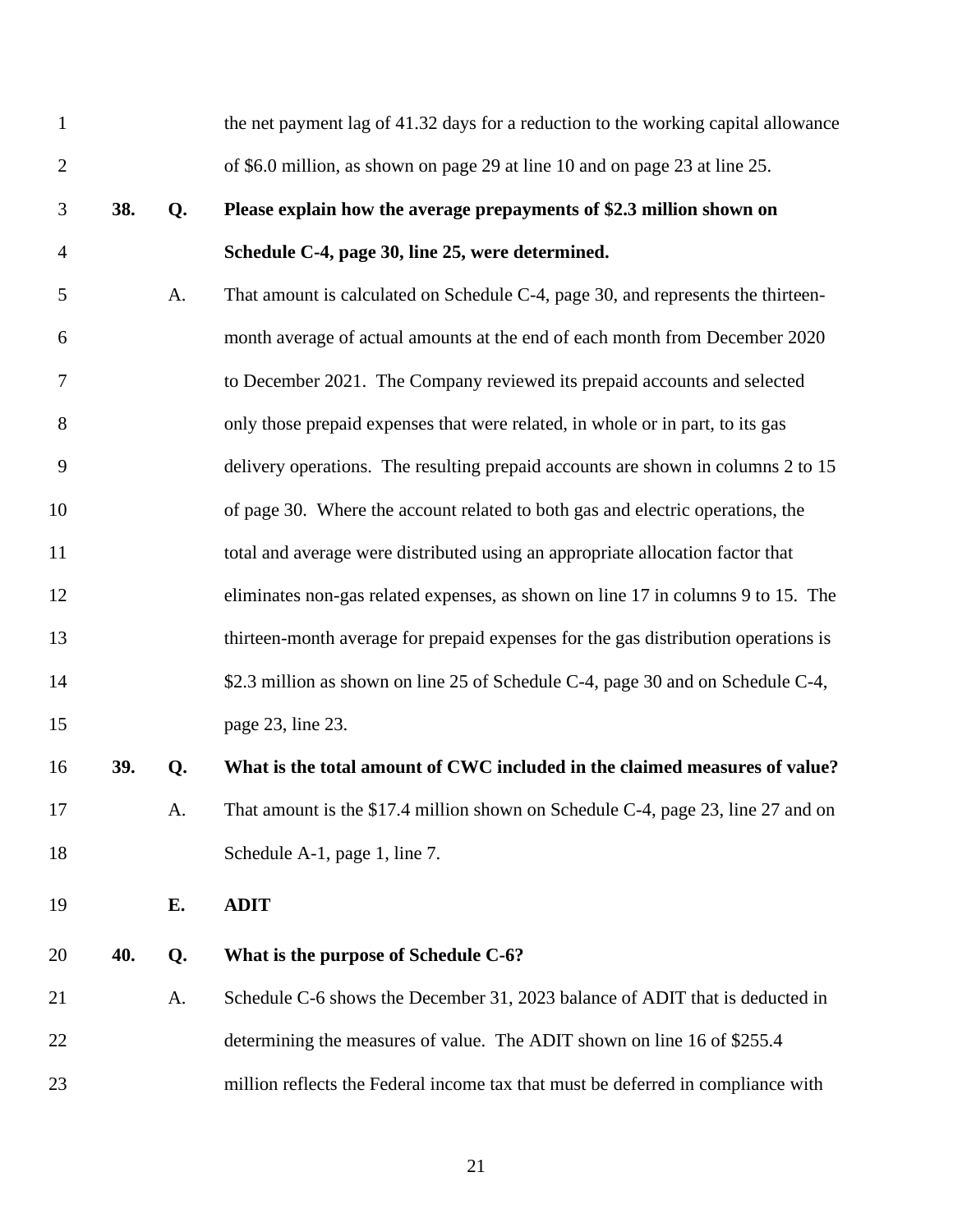<span id="page-22-0"></span>

| $\mathbf{1}$   |     |    | the net payment lag of 41.32 days for a reduction to the working capital allowance |
|----------------|-----|----|------------------------------------------------------------------------------------|
| $\mathbf{2}$   |     |    | of \$6.0 million, as shown on page 29 at line 10 and on page 23 at line 25.        |
| 3              | 38. | Q. | Please explain how the average prepayments of \$2.3 million shown on               |
| $\overline{4}$ |     |    | Schedule C-4, page 30, line 25, were determined.                                   |
| 5              |     | A. | That amount is calculated on Schedule C-4, page 30, and represents the thirteen-   |
| 6              |     |    | month average of actual amounts at the end of each month from December 2020        |
| 7              |     |    | to December 2021. The Company reviewed its prepaid accounts and selected           |
| 8              |     |    | only those prepaid expenses that were related, in whole or in part, to its gas     |
| 9              |     |    | delivery operations. The resulting prepaid accounts are shown in columns 2 to 15   |
| 10             |     |    | of page 30. Where the account related to both gas and electric operations, the     |
| 11             |     |    | total and average were distributed using an appropriate allocation factor that     |
| 12             |     |    | eliminates non-gas related expenses, as shown on line 17 in columns 9 to 15. The   |
| 13             |     |    | thirteen-month average for prepaid expenses for the gas distribution operations is |
| 14             |     |    | \$2.3 million as shown on line 25 of Schedule C-4, page 30 and on Schedule C-4,    |
| 15             |     |    | page 23, line 23.                                                                  |
| 16             | 39. | Q. | What is the total amount of CWC included in the claimed measures of value?         |
| 17             |     | A. | That amount is the \$17.4 million shown on Schedule C-4, page 23, line 27 and on   |
| 18             |     |    | Schedule A-1, page 1, line 7.                                                      |
| 19             |     | Е. | <b>ADIT</b>                                                                        |
| 20             | 40. | Q. | What is the purpose of Schedule C-6?                                               |
| 21             |     | A. | Schedule C-6 shows the December 31, 2023 balance of ADIT that is deducted in       |
| 22             |     |    | determining the measures of value. The ADIT shown on line 16 of \$255.4            |
| 23             |     |    | million reflects the Federal income tax that must be deferred in compliance with   |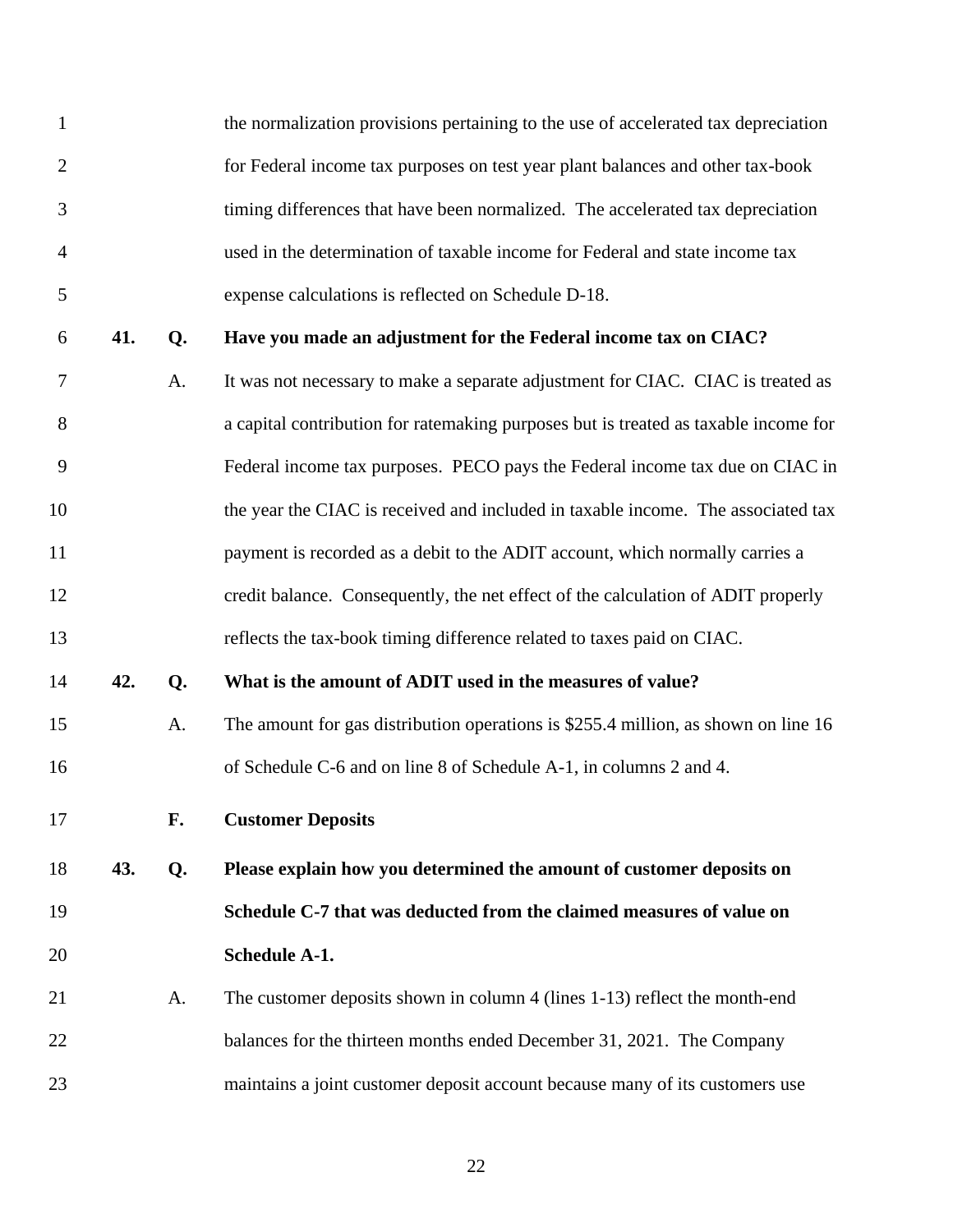<span id="page-23-0"></span>

| $\mathbf{1}$   |     |    | the normalization provisions pertaining to the use of accelerated tax depreciation  |
|----------------|-----|----|-------------------------------------------------------------------------------------|
| $\overline{2}$ |     |    | for Federal income tax purposes on test year plant balances and other tax-book      |
| 3              |     |    | timing differences that have been normalized. The accelerated tax depreciation      |
| $\overline{4}$ |     |    | used in the determination of taxable income for Federal and state income tax        |
| 5              |     |    | expense calculations is reflected on Schedule D-18.                                 |
| 6              | 41. | Q. | Have you made an adjustment for the Federal income tax on CIAC?                     |
| 7              |     | A. | It was not necessary to make a separate adjustment for CIAC. CIAC is treated as     |
| 8              |     |    | a capital contribution for ratemaking purposes but is treated as taxable income for |
| 9              |     |    | Federal income tax purposes. PECO pays the Federal income tax due on CIAC in        |
| 10             |     |    | the year the CIAC is received and included in taxable income. The associated tax    |
| 11             |     |    | payment is recorded as a debit to the ADIT account, which normally carries a        |
| 12             |     |    | credit balance. Consequently, the net effect of the calculation of ADIT properly    |
| 13             |     |    | reflects the tax-book timing difference related to taxes paid on CIAC.              |
| 14             | 42. | Q. | What is the amount of ADIT used in the measures of value?                           |
| 15             |     | A. | The amount for gas distribution operations is \$255.4 million, as shown on line 16  |
| 16             |     |    | of Schedule C-6 and on line 8 of Schedule A-1, in columns 2 and 4.                  |
| 17             |     | F. | <b>Customer Deposits</b>                                                            |
| 18             | 43. | Q. | Please explain how you determined the amount of customer deposits on                |
| 19             |     |    | Schedule C-7 that was deducted from the claimed measures of value on                |
| 20             |     |    | <b>Schedule A-1.</b>                                                                |
| 21             |     | A. | The customer deposits shown in column 4 (lines 1-13) reflect the month-end          |
| 22             |     |    | balances for the thirteen months ended December 31, 2021. The Company               |
| 23             |     |    | maintains a joint customer deposit account because many of its customers use        |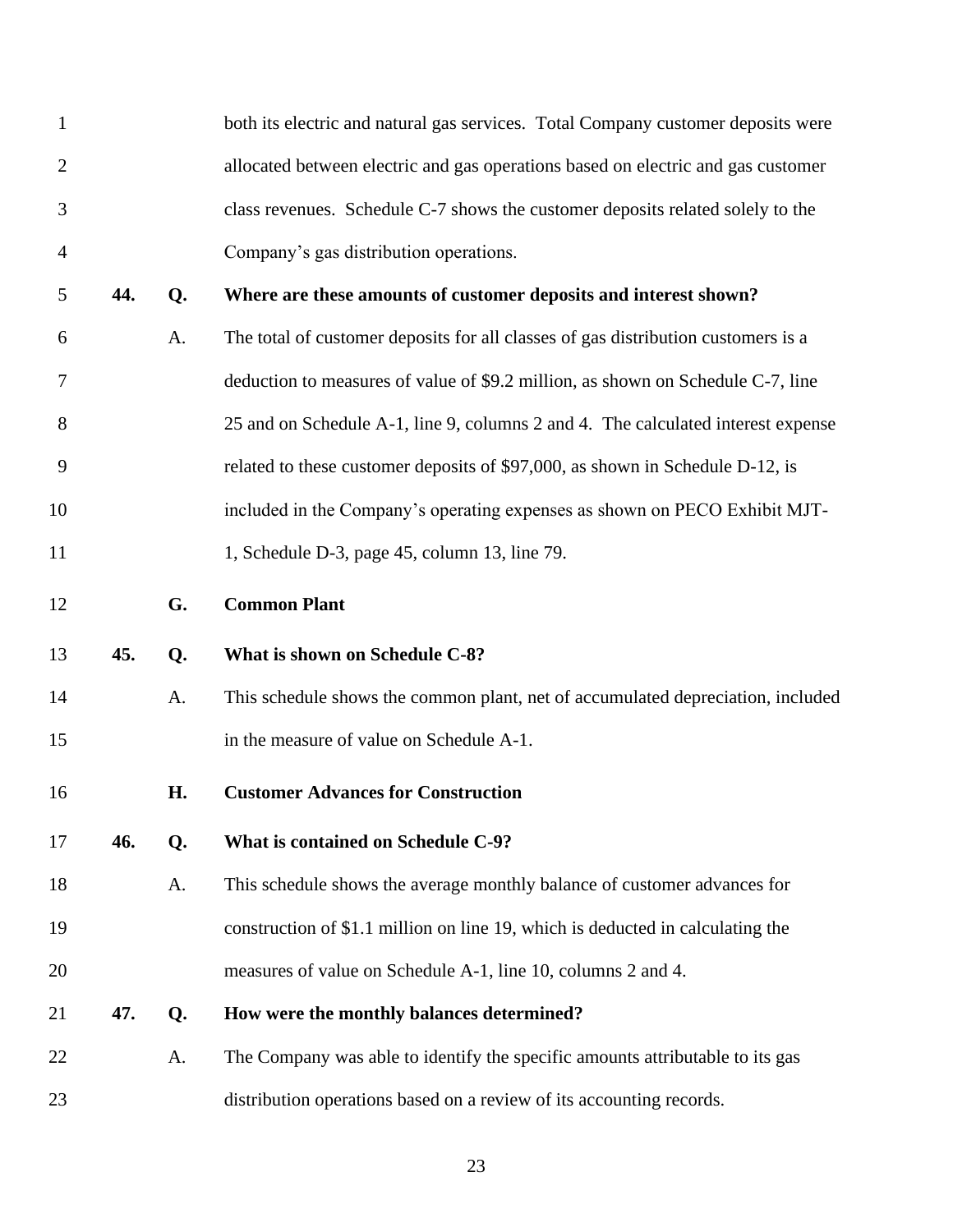<span id="page-24-1"></span><span id="page-24-0"></span>

| $\mathbf{1}$   |     |    | both its electric and natural gas services. Total Company customer deposits were  |
|----------------|-----|----|-----------------------------------------------------------------------------------|
| $\overline{2}$ |     |    | allocated between electric and gas operations based on electric and gas customer  |
| 3              |     |    | class revenues. Schedule C-7 shows the customer deposits related solely to the    |
| 4              |     |    | Company's gas distribution operations.                                            |
| 5              | 44. | Q. | Where are these amounts of customer deposits and interest shown?                  |
| 6              |     | A. | The total of customer deposits for all classes of gas distribution customers is a |
| 7              |     |    | deduction to measures of value of \$9.2 million, as shown on Schedule C-7, line   |
| 8              |     |    | 25 and on Schedule A-1, line 9, columns 2 and 4. The calculated interest expense  |
| 9              |     |    | related to these customer deposits of \$97,000, as shown in Schedule D-12, is     |
| 10             |     |    | included in the Company's operating expenses as shown on PECO Exhibit MJT-        |
| 11             |     |    | 1, Schedule D-3, page 45, column 13, line 79.                                     |
| 12             |     | G. | <b>Common Plant</b>                                                               |
| 13             | 45. | Q. | What is shown on Schedule C-8?                                                    |
| 14             |     | A. | This schedule shows the common plant, net of accumulated depreciation, included   |
| 15             |     |    | in the measure of value on Schedule A-1.                                          |
| 16             |     | Н. | <b>Customer Advances for Construction</b>                                         |
| 17             | 46. | Q. | What is contained on Schedule C-9?                                                |
| 18             |     | A. | This schedule shows the average monthly balance of customer advances for          |
| 19             |     |    | construction of \$1.1 million on line 19, which is deducted in calculating the    |
| 20             |     |    | measures of value on Schedule A-1, line 10, columns 2 and 4.                      |
| 21             | 47. | Q. | How were the monthly balances determined?                                         |
| 22             |     | A. | The Company was able to identify the specific amounts attributable to its gas     |
| 23             |     |    | distribution operations based on a review of its accounting records.              |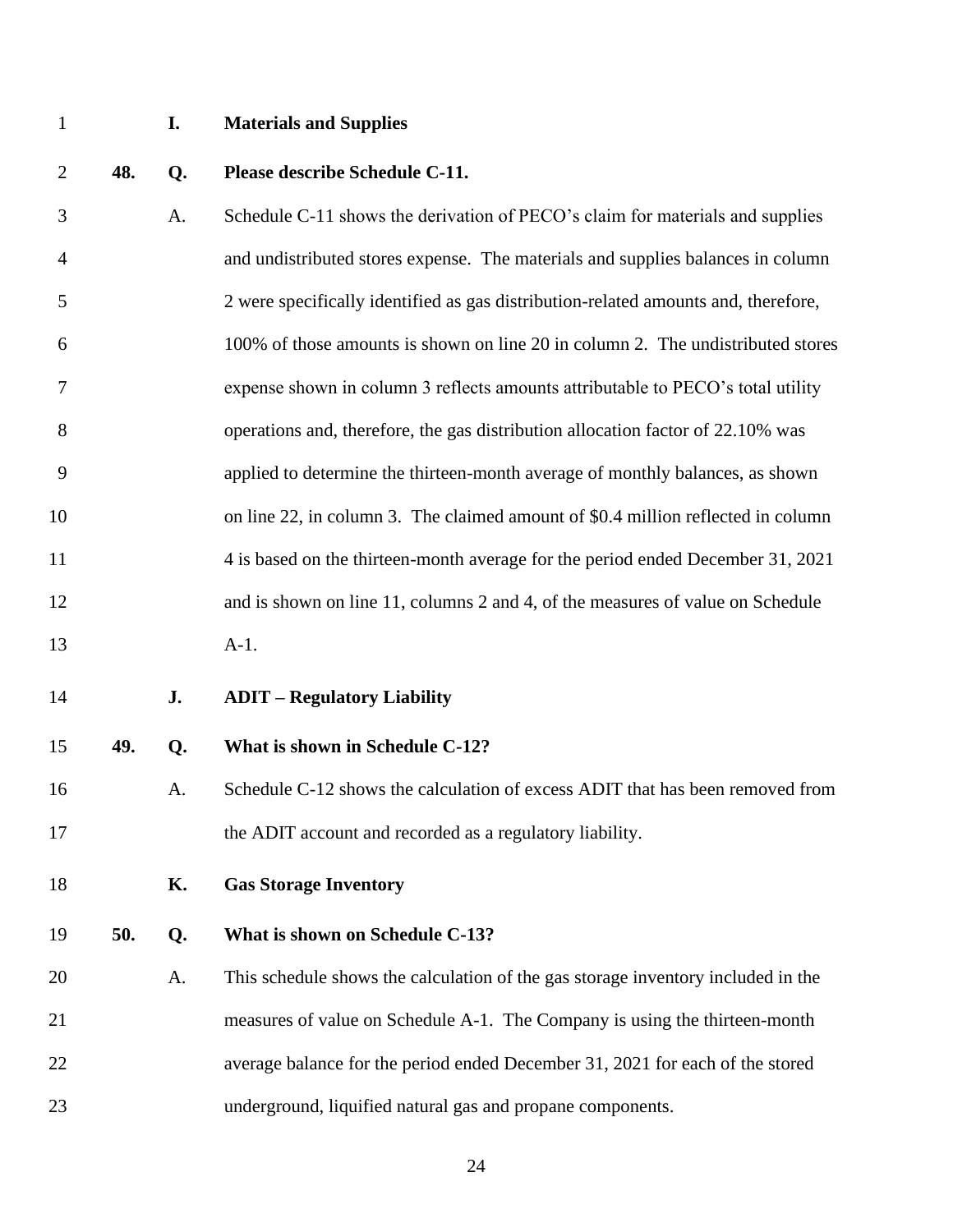## <span id="page-25-0"></span>**I. Materials and Supplies**

- **48. Q. Please describe Schedule C-11.** A. Schedule C-11 shows the derivation of PECO's claim for materials and supplies and undistributed stores expense. The materials and supplies balances in column 2 were specifically identified as gas distribution-related amounts and, therefore, 100% of those amounts is shown on line 20 in column 2. The undistributed stores expense shown in column 3 reflects amounts attributable to PECO's total utility operations and, therefore, the gas distribution allocation factor of 22.10% was applied to determine the thirteen-month average of monthly balances, as shown 10 on line 22, in column 3. The claimed amount of \$0.4 million reflected in column 4 is based on the thirteen-month average for the period ended December 31, 2021 and is shown on line 11, columns 2 and 4, of the measures of value on Schedule A-1. **J. ADIT – Regulatory Liability 49. Q. What is shown in Schedule C-12?** A. Schedule C-12 shows the calculation of excess ADIT that has been removed from the ADIT account and recorded as a regulatory liability. **K. Gas Storage Inventory**
- <span id="page-25-2"></span><span id="page-25-1"></span>**50. Q. What is shown on Schedule C-13?**
- A. This schedule shows the calculation of the gas storage inventory included in the measures of value on Schedule A-1. The Company is using the thirteen-month average balance for the period ended December 31, 2021 for each of the stored underground, liquified natural gas and propane components.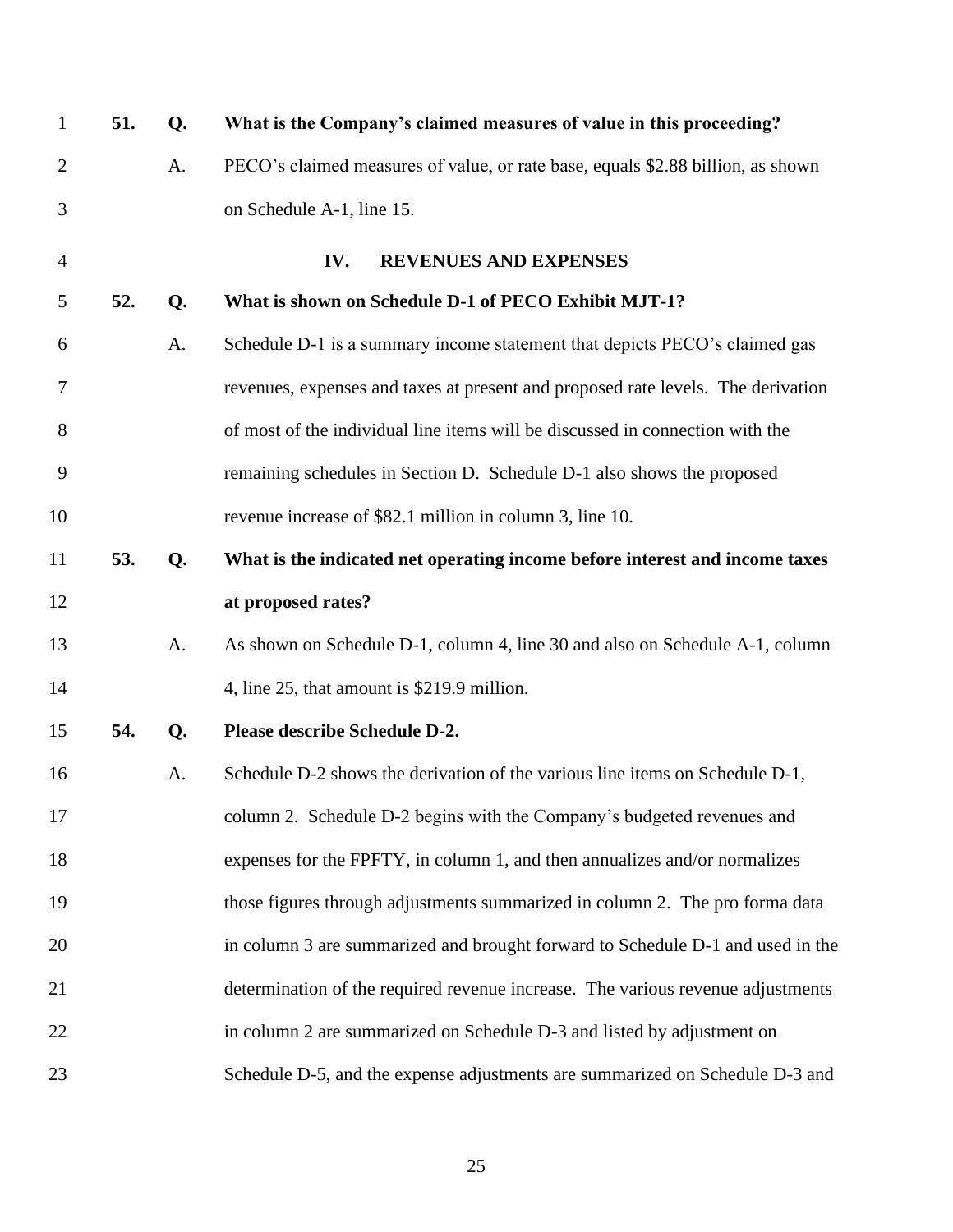<span id="page-26-0"></span>

| $\mathbf{1}$   | 51. | Q. | What is the Company's claimed measures of value in this proceeding?              |
|----------------|-----|----|----------------------------------------------------------------------------------|
| $\overline{2}$ |     | A. | PECO's claimed measures of value, or rate base, equals \$2.88 billion, as shown  |
| 3              |     |    | on Schedule A-1, line 15.                                                        |
| $\overline{4}$ |     |    | REVENUES AND EXPENSES<br>IV.                                                     |
| 5              | 52. | Q. | What is shown on Schedule D-1 of PECO Exhibit MJT-1?                             |
| 6              |     | A. | Schedule D-1 is a summary income statement that depicts PECO's claimed gas       |
| 7              |     |    | revenues, expenses and taxes at present and proposed rate levels. The derivation |
| 8              |     |    | of most of the individual line items will be discussed in connection with the    |
| 9              |     |    | remaining schedules in Section D. Schedule D-1 also shows the proposed           |
| 10             |     |    | revenue increase of \$82.1 million in column 3, line 10.                         |
| 11             | 53. | Q. | What is the indicated net operating income before interest and income taxes      |
| 12             |     |    | at proposed rates?                                                               |
| 13             |     | A. | As shown on Schedule D-1, column 4, line 30 and also on Schedule A-1, column     |
| 14             |     |    | 4, line 25, that amount is \$219.9 million.                                      |
| 15             | 54. | Q. | Please describe Schedule D-2.                                                    |
| 16             |     | A. | Schedule D-2 shows the derivation of the various line items on Schedule D-1,     |
| 17             |     |    | column 2. Schedule D-2 begins with the Company's budgeted revenues and           |
| 18             |     |    | expenses for the FPFTY, in column 1, and then annualizes and/or normalizes       |
| 19             |     |    | those figures through adjustments summarized in column 2. The pro forma data     |
| 20             |     |    | in column 3 are summarized and brought forward to Schedule D-1 and used in the   |
| 21             |     |    | determination of the required revenue increase. The various revenue adjustments  |
| 22             |     |    | in column 2 are summarized on Schedule D-3 and listed by adjustment on           |
| 23             |     |    | Schedule D-5, and the expense adjustments are summarized on Schedule D-3 and     |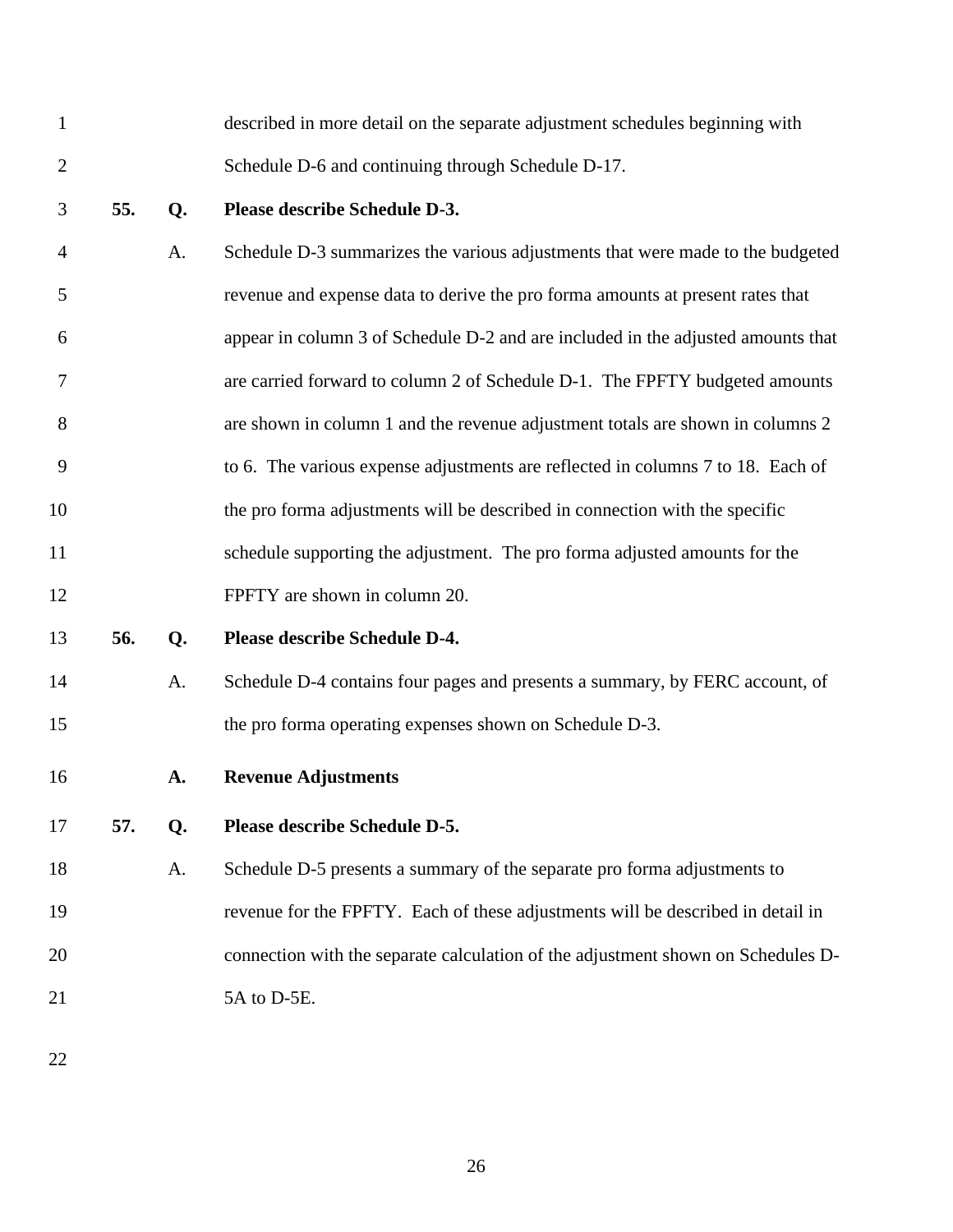<span id="page-27-0"></span>

| $\mathbf{1}$   |     |    | described in more detail on the separate adjustment schedules beginning with     |
|----------------|-----|----|----------------------------------------------------------------------------------|
| $\overline{2}$ |     |    | Schedule D-6 and continuing through Schedule D-17.                               |
| 3              | 55. | Q. | Please describe Schedule D-3.                                                    |
| $\overline{4}$ |     | A. | Schedule D-3 summarizes the various adjustments that were made to the budgeted   |
| 5              |     |    | revenue and expense data to derive the pro forma amounts at present rates that   |
| 6              |     |    | appear in column 3 of Schedule D-2 and are included in the adjusted amounts that |
| 7              |     |    | are carried forward to column 2 of Schedule D-1. The FPFTY budgeted amounts      |
| 8              |     |    | are shown in column 1 and the revenue adjustment totals are shown in columns 2   |
| 9              |     |    | to 6. The various expense adjustments are reflected in columns 7 to 18. Each of  |
| 10             |     |    | the pro forma adjustments will be described in connection with the specific      |
| 11             |     |    | schedule supporting the adjustment. The pro forma adjusted amounts for the       |
| 12             |     |    | FPFTY are shown in column 20.                                                    |
| 13             | 56. | Q. | Please describe Schedule D-4.                                                    |
| 14             |     | A. | Schedule D-4 contains four pages and presents a summary, by FERC account, of     |
| 15             |     |    | the pro forma operating expenses shown on Schedule D-3.                          |
| 16             |     | A. | <b>Revenue Adjustments</b>                                                       |
| 17             | 57. | Q. | Please describe Schedule D-5.                                                    |
| 18             |     | A. | Schedule D-5 presents a summary of the separate pro forma adjustments to         |
| 19             |     |    | revenue for the FPFTY. Each of these adjustments will be described in detail in  |
| 20             |     |    | connection with the separate calculation of the adjustment shown on Schedules D- |
| 21             |     |    | 5A to D-5E.                                                                      |
|                |     |    |                                                                                  |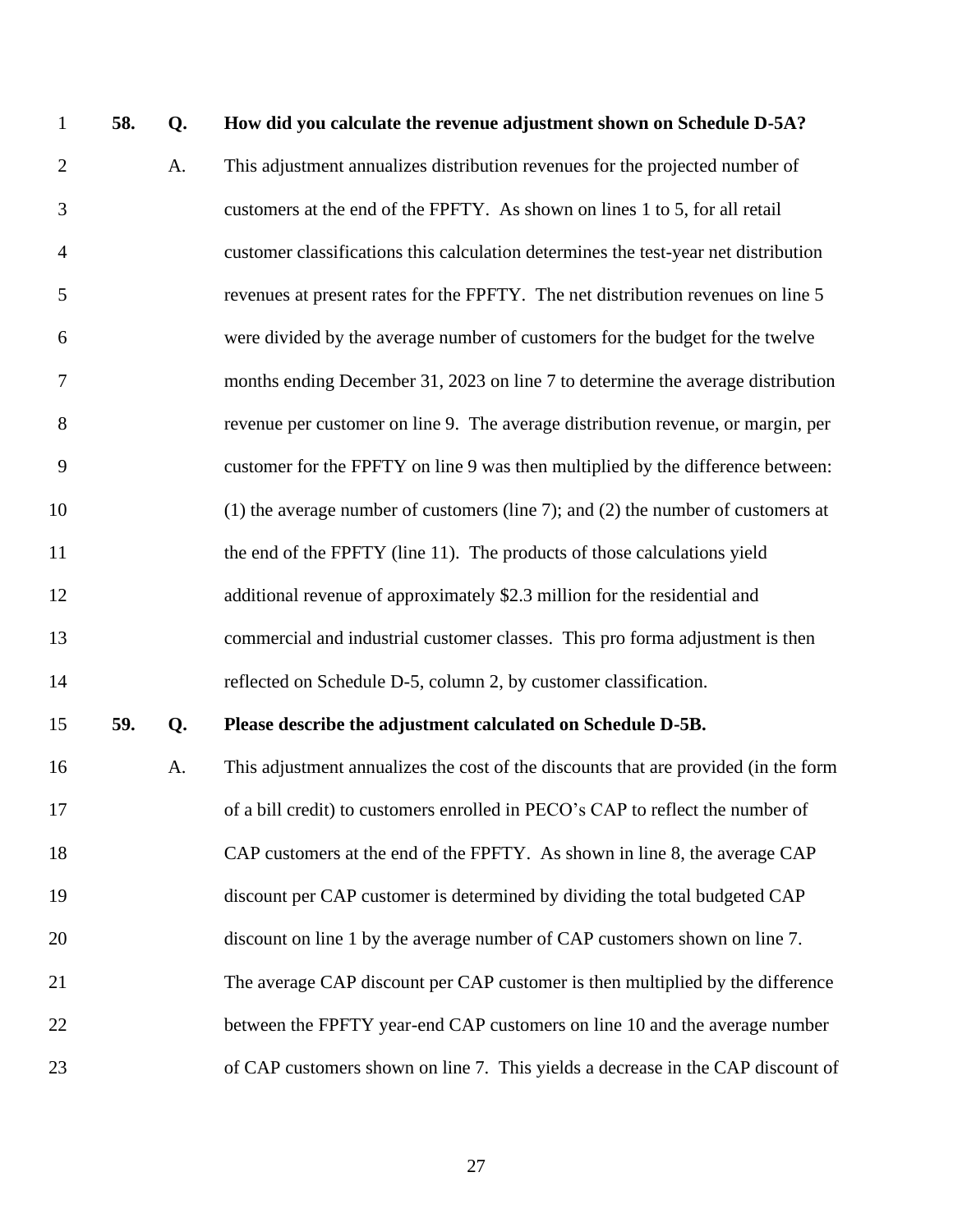| $\mathbf{1}$   | 58. | Q. | How did you calculate the revenue adjustment shown on Schedule D-5A?                |
|----------------|-----|----|-------------------------------------------------------------------------------------|
| $\overline{2}$ |     | A. | This adjustment annualizes distribution revenues for the projected number of        |
| 3              |     |    | customers at the end of the FPFTY. As shown on lines 1 to 5, for all retail         |
| $\overline{4}$ |     |    | customer classifications this calculation determines the test-year net distribution |
| 5              |     |    | revenues at present rates for the FPFTY. The net distribution revenues on line 5    |
| 6              |     |    | were divided by the average number of customers for the budget for the twelve       |
| 7              |     |    | months ending December 31, 2023 on line 7 to determine the average distribution     |
| 8              |     |    | revenue per customer on line 9. The average distribution revenue, or margin, per    |
| 9              |     |    | customer for the FPFTY on line 9 was then multiplied by the difference between:     |
| 10             |     |    | $(1)$ the average number of customers (line 7); and (2) the number of customers at  |
| 11             |     |    | the end of the FPFTY (line 11). The products of those calculations yield            |
| 12             |     |    | additional revenue of approximately \$2.3 million for the residential and           |
| 13             |     |    | commercial and industrial customer classes. This pro forma adjustment is then       |
| 14             |     |    | reflected on Schedule D-5, column 2, by customer classification.                    |
| 15             | 59. | Q. | Please describe the adjustment calculated on Schedule D-5B.                         |
| 16             |     | A. | This adjustment annualizes the cost of the discounts that are provided (in the form |
| 17             |     |    | of a bill credit) to customers enrolled in PECO's CAP to reflect the number of      |
| 18             |     |    | CAP customers at the end of the FPFTY. As shown in line 8, the average CAP          |
| 19             |     |    | discount per CAP customer is determined by dividing the total budgeted CAP          |
| 20             |     |    | discount on line 1 by the average number of CAP customers shown on line 7.          |
| 21             |     |    | The average CAP discount per CAP customer is then multiplied by the difference      |
| 22             |     |    | between the FPFTY year-end CAP customers on line 10 and the average number          |
| 23             |     |    | of CAP customers shown on line 7. This yields a decrease in the CAP discount of     |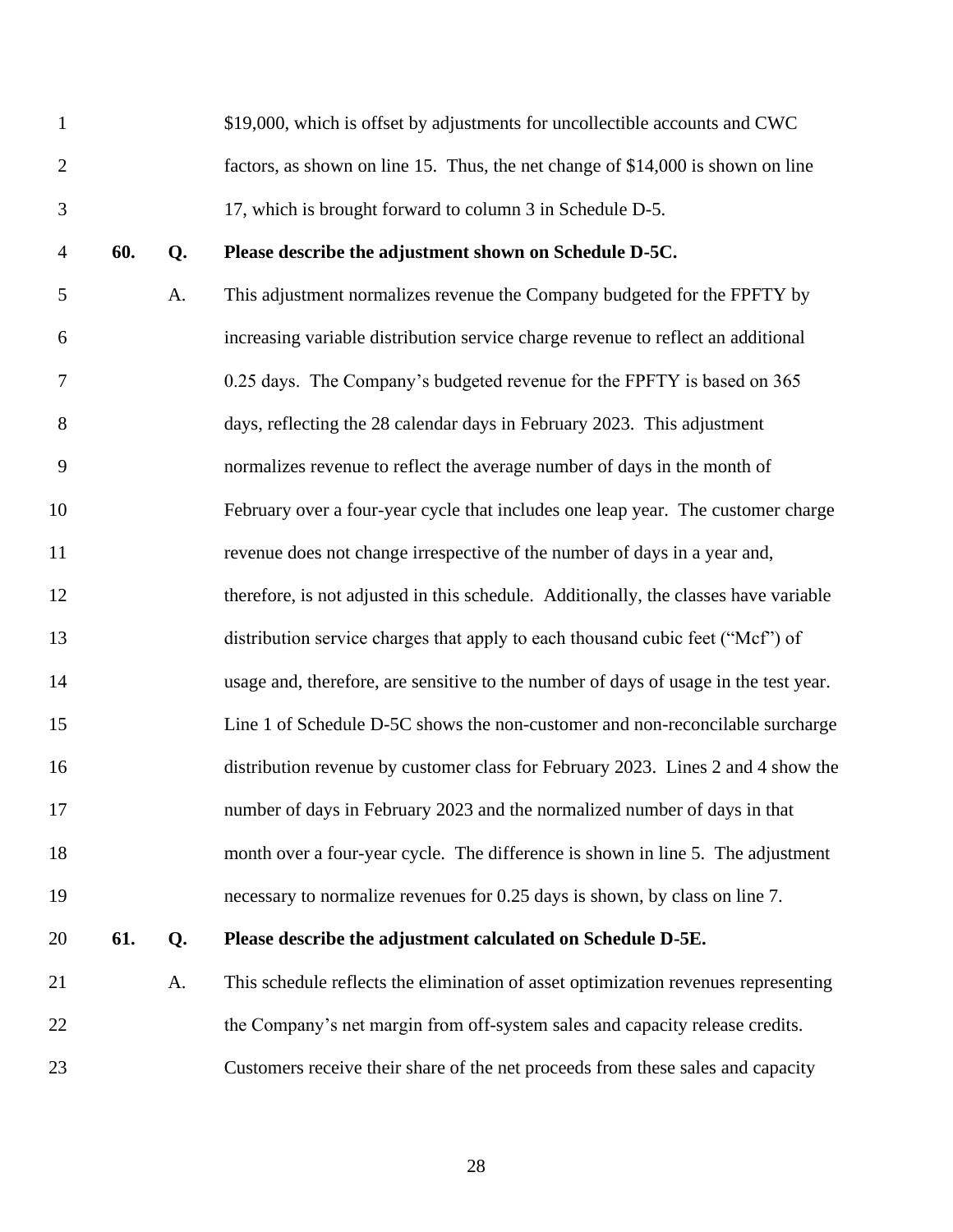|               | \$19,000, which is offset by adjustments for uncollectible accounts and CWC     |
|---------------|---------------------------------------------------------------------------------|
|               | factors, as shown on line 15. Thus, the net change of \$14,000 is shown on line |
| $\mathcal{F}$ | 17, which is brought forward to column 3 in Schedule D-5.                       |

## **60. Q. Please describe the adjustment shown on Schedule D-5C.**

 A. This adjustment normalizes revenue the Company budgeted for the FPFTY by increasing variable distribution service charge revenue to reflect an additional 0.25 days. The Company's budgeted revenue for the FPFTY is based on 365 days, reflecting the 28 calendar days in February 2023. This adjustment normalizes revenue to reflect the average number of days in the month of February over a four-year cycle that includes one leap year. The customer charge revenue does not change irrespective of the number of days in a year and, 12 therefore, is not adjusted in this schedule. Additionally, the classes have variable distribution service charges that apply to each thousand cubic feet ("Mcf") of usage and, therefore, are sensitive to the number of days of usage in the test year. Line 1 of Schedule D-5C shows the non-customer and non-reconcilable surcharge distribution revenue by customer class for February 2023. Lines 2 and 4 show the number of days in February 2023 and the normalized number of days in that month over a four-year cycle. The difference is shown in line 5. The adjustment necessary to normalize revenues for 0.25 days is shown, by class on line 7.

# **61. Q. Please describe the adjustment calculated on Schedule D-5E.**

 A. This schedule reflects the elimination of asset optimization revenues representing 22 the Company's net margin from off-system sales and capacity release credits. Customers receive their share of the net proceeds from these sales and capacity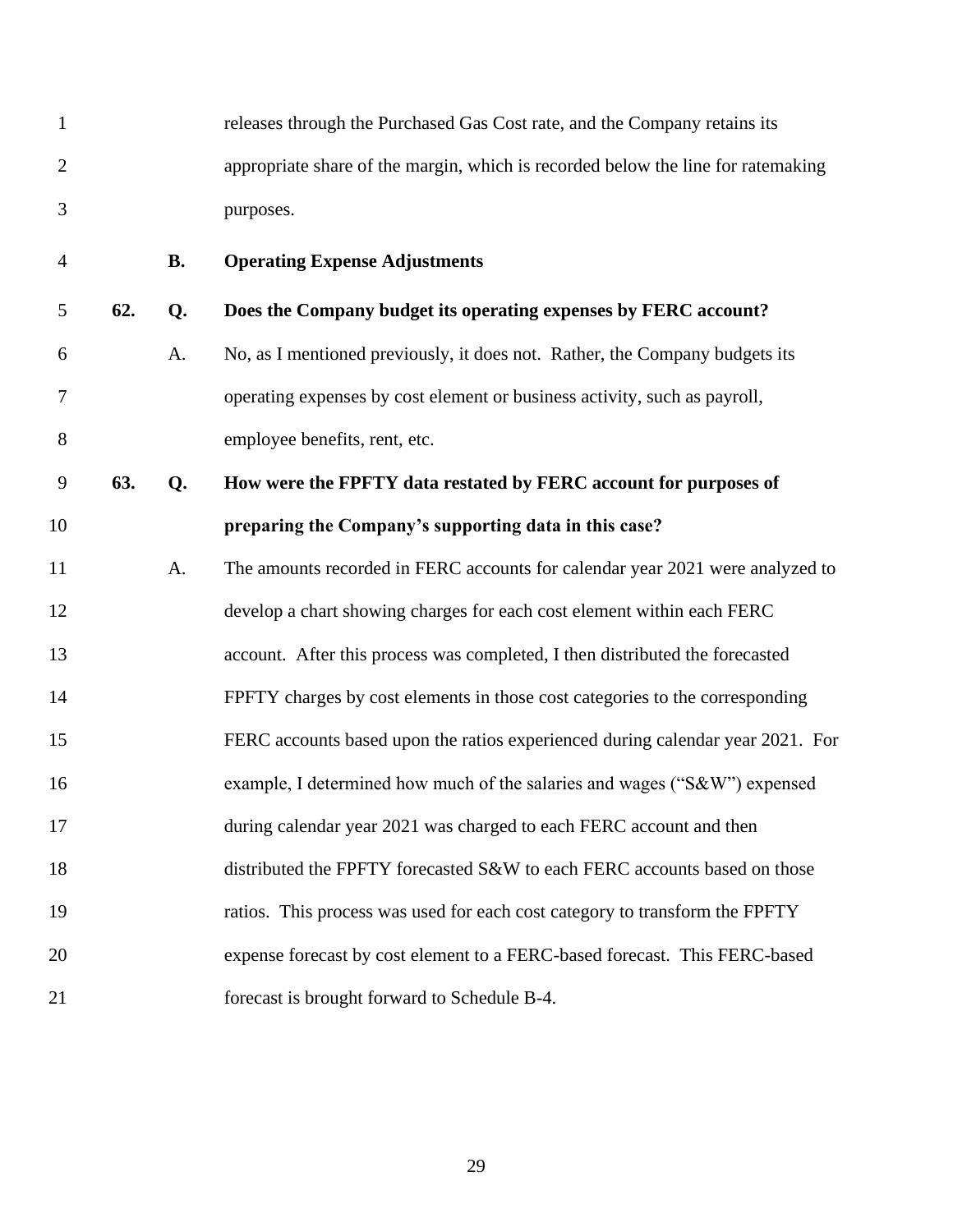<span id="page-30-0"></span>

| 1              |     |           | releases through the Purchased Gas Cost rate, and the Company retains its        |
|----------------|-----|-----------|----------------------------------------------------------------------------------|
| $\overline{2}$ |     |           | appropriate share of the margin, which is recorded below the line for ratemaking |
| 3              |     |           | purposes.                                                                        |
| $\overline{4}$ |     | <b>B.</b> | <b>Operating Expense Adjustments</b>                                             |
| 5              | 62. | Q.        | Does the Company budget its operating expenses by FERC account?                  |
| 6              |     | A.        | No, as I mentioned previously, it does not. Rather, the Company budgets its      |
| $\tau$         |     |           | operating expenses by cost element or business activity, such as payroll,        |
| 8              |     |           | employee benefits, rent, etc.                                                    |
| 9              | 63. | Q.        | How were the FPFTY data restated by FERC account for purposes of                 |
| 10             |     |           | preparing the Company's supporting data in this case?                            |
| 11             |     | A.        | The amounts recorded in FERC accounts for calendar year 2021 were analyzed to    |
| 12             |     |           | develop a chart showing charges for each cost element within each FERC           |
| 13             |     |           | account. After this process was completed, I then distributed the forecasted     |
| 14             |     |           | FPFTY charges by cost elements in those cost categories to the corresponding     |
| 15             |     |           | FERC accounts based upon the ratios experienced during calendar year 2021. For   |
| 16             |     |           | example, I determined how much of the salaries and wages ("S&W") expensed        |
| 17             |     |           | during calendar year 2021 was charged to each FERC account and then              |
| 18             |     |           | distributed the FPFTY forecasted S&W to each FERC accounts based on those        |
| 19             |     |           | ratios. This process was used for each cost category to transform the FPFTY      |
| 20             |     |           | expense forecast by cost element to a FERC-based forecast. This FERC-based       |
| 21             |     |           | forecast is brought forward to Schedule B-4.                                     |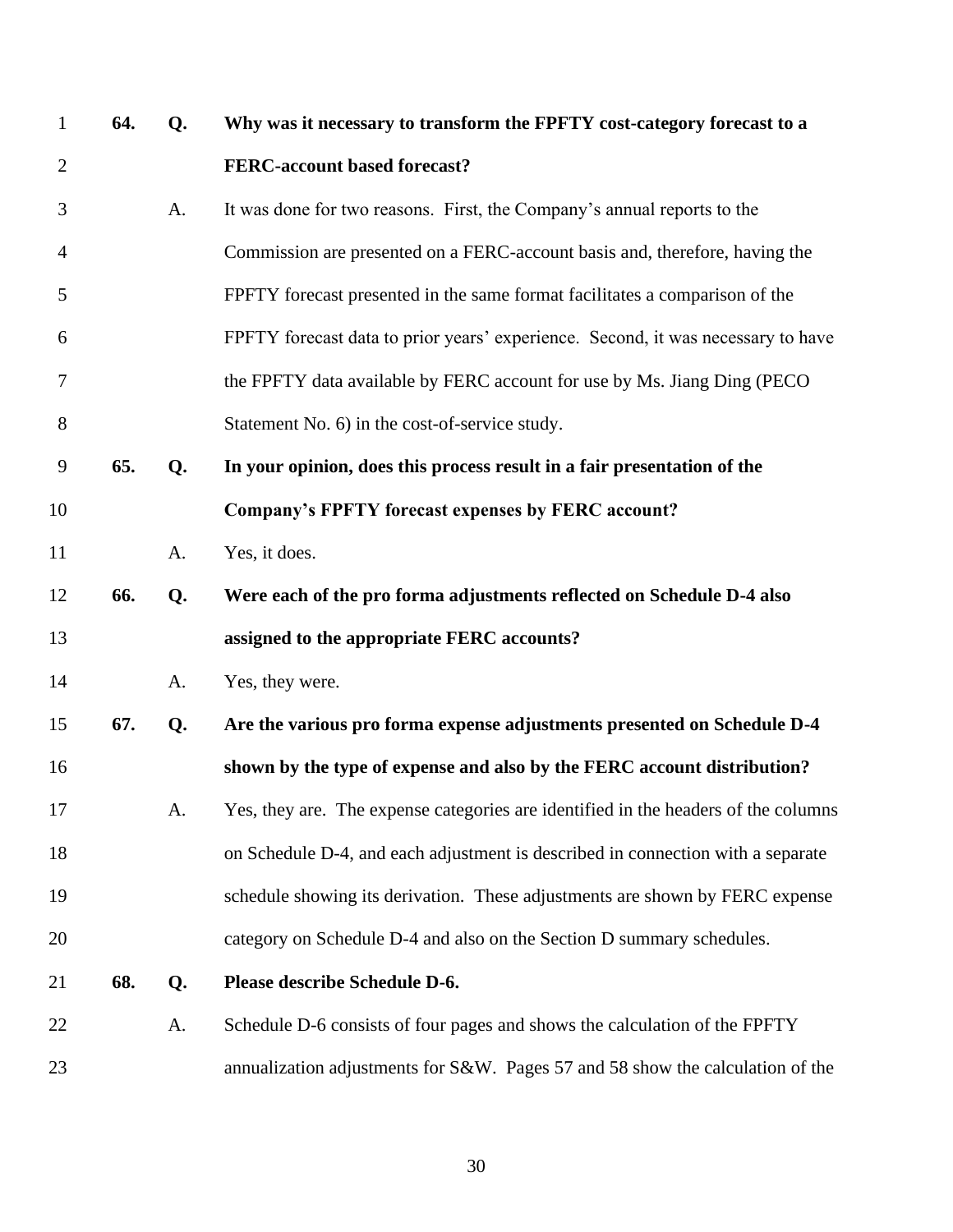| $\mathbf{1}$   | 64. | Q. | Why was it necessary to transform the FPFTY cost-category forecast to a            |
|----------------|-----|----|------------------------------------------------------------------------------------|
| $\overline{2}$ |     |    | FERC-account based forecast?                                                       |
| 3              |     | A. | It was done for two reasons. First, the Company's annual reports to the            |
| $\overline{4}$ |     |    | Commission are presented on a FERC-account basis and, therefore, having the        |
| 5              |     |    | FPFTY forecast presented in the same format facilitates a comparison of the        |
| 6              |     |    | FPFTY forecast data to prior years' experience. Second, it was necessary to have   |
| 7              |     |    | the FPFTY data available by FERC account for use by Ms. Jiang Ding (PECO)          |
| 8              |     |    | Statement No. 6) in the cost-of-service study.                                     |
| 9              | 65. | Q. | In your opinion, does this process result in a fair presentation of the            |
| 10             |     |    | Company's FPFTY forecast expenses by FERC account?                                 |
| 11             |     | A. | Yes, it does.                                                                      |
| 12             | 66. | Q. | Were each of the pro forma adjustments reflected on Schedule D-4 also              |
| 13             |     |    | assigned to the appropriate FERC accounts?                                         |
| 14             |     | A. | Yes, they were.                                                                    |
| 15             | 67. | Q. | Are the various pro forma expense adjustments presented on Schedule D-4            |
| 16             |     |    | shown by the type of expense and also by the FERC account distribution?            |
| 17             |     | A. | Yes, they are. The expense categories are identified in the headers of the columns |
| 18             |     |    | on Schedule D-4, and each adjustment is described in connection with a separate    |
| 19             |     |    | schedule showing its derivation. These adjustments are shown by FERC expense       |
| 20             |     |    | category on Schedule D-4 and also on the Section D summary schedules.              |
| 21             | 68. | Q. | Please describe Schedule D-6.                                                      |
| 22             |     | A. | Schedule D-6 consists of four pages and shows the calculation of the FPFTY         |
| 23             |     |    | annualization adjustments for S&W. Pages 57 and 58 show the calculation of the     |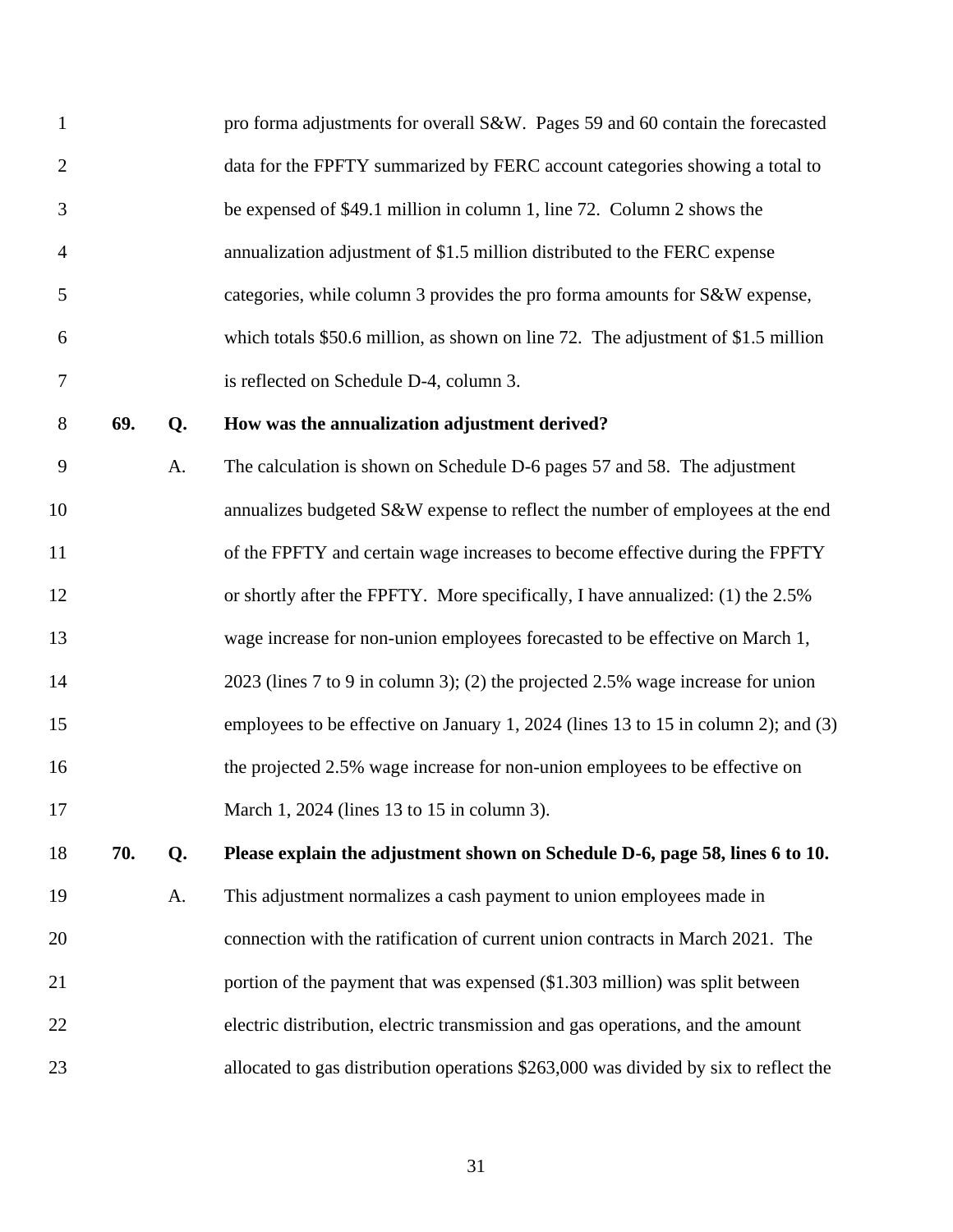| $\mathbf{1}$   |     |    | pro forma adjustments for overall S&W. Pages 59 and 60 contain the forecasted        |
|----------------|-----|----|--------------------------------------------------------------------------------------|
| $\overline{2}$ |     |    | data for the FPFTY summarized by FERC account categories showing a total to          |
| 3              |     |    | be expensed of \$49.1 million in column 1, line 72. Column 2 shows the               |
| 4              |     |    | annualization adjustment of \$1.5 million distributed to the FERC expense            |
| 5              |     |    | categories, while column 3 provides the pro forma amounts for S&W expense,           |
| 6              |     |    | which totals \$50.6 million, as shown on line 72. The adjustment of \$1.5 million    |
| 7              |     |    | is reflected on Schedule D-4, column 3.                                              |
| $8\,$          | 69. | Q. | How was the annualization adjustment derived?                                        |
| 9              |     | A. | The calculation is shown on Schedule D-6 pages 57 and 58. The adjustment             |
| 10             |     |    | annualizes budgeted S&W expense to reflect the number of employees at the end        |
| 11             |     |    | of the FPFTY and certain wage increases to become effective during the FPFTY         |
| 12             |     |    | or shortly after the FPFTY. More specifically, I have annualized: (1) the 2.5%       |
| 13             |     |    | wage increase for non-union employees forecasted to be effective on March 1,         |
| 14             |     |    | 2023 (lines 7 to 9 in column 3); (2) the projected 2.5% wage increase for union      |
| 15             |     |    | employees to be effective on January 1, 2024 (lines 13 to 15 in column 2); and (3)   |
| 16             |     |    | the projected 2.5% wage increase for non-union employees to be effective on          |
| 17             |     |    | March 1, 2024 (lines 13 to 15 in column 3).                                          |
| 18             | 70. | Q. | Please explain the adjustment shown on Schedule D-6, page 58, lines 6 to 10.         |
| 19             |     | A. | This adjustment normalizes a cash payment to union employees made in                 |
| 20             |     |    | connection with the ratification of current union contracts in March 2021. The       |
| 21             |     |    | portion of the payment that was expensed (\$1.303 million) was split between         |
| 22             |     |    | electric distribution, electric transmission and gas operations, and the amount      |
| 23             |     |    | allocated to gas distribution operations \$263,000 was divided by six to reflect the |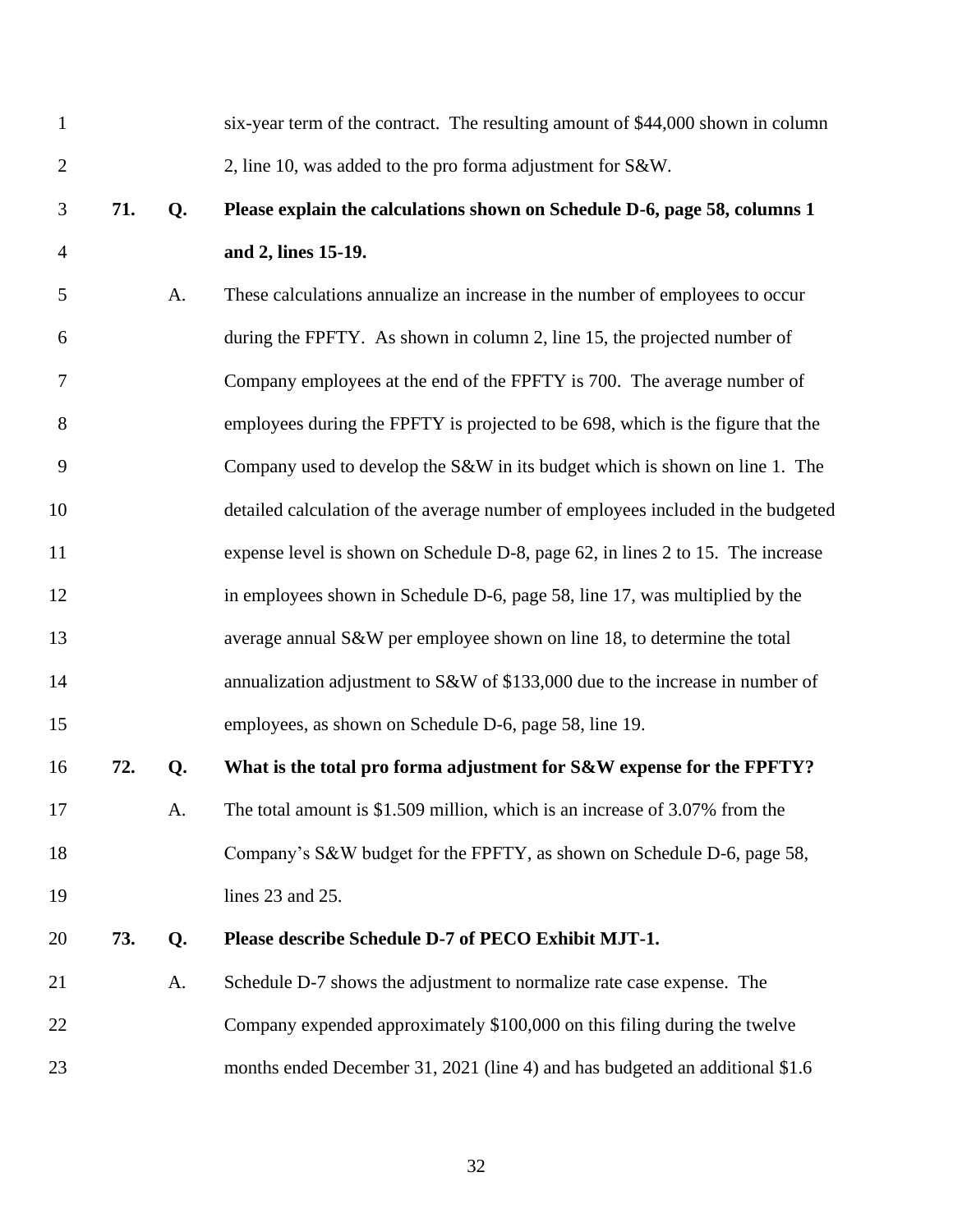| $\mathbf{1}$   |     |    | six-year term of the contract. The resulting amount of \$44,000 shown in column  |
|----------------|-----|----|----------------------------------------------------------------------------------|
| $\overline{2}$ |     |    | 2, line 10, was added to the pro forma adjustment for S&W.                       |
| 3              | 71. | Q. | Please explain the calculations shown on Schedule D-6, page 58, columns 1        |
| $\overline{4}$ |     |    | and 2, lines 15-19.                                                              |
| 5              |     | A. | These calculations annualize an increase in the number of employees to occur     |
| 6              |     |    | during the FPFTY. As shown in column 2, line 15, the projected number of         |
| 7              |     |    | Company employees at the end of the FPFTY is 700. The average number of          |
| 8              |     |    | employees during the FPFTY is projected to be 698, which is the figure that the  |
| 9              |     |    | Company used to develop the S&W in its budget which is shown on line 1. The      |
| 10             |     |    | detailed calculation of the average number of employees included in the budgeted |
| 11             |     |    | expense level is shown on Schedule D-8, page 62, in lines 2 to 15. The increase  |
| 12             |     |    | in employees shown in Schedule D-6, page 58, line 17, was multiplied by the      |
| 13             |     |    | average annual S&W per employee shown on line 18, to determine the total         |
| 14             |     |    | annualization adjustment to S&W of \$133,000 due to the increase in number of    |
| 15             |     |    | employees, as shown on Schedule D-6, page 58, line 19.                           |
| 16             | 72. | Q. | What is the total pro forma adjustment for S&W expense for the FPFTY?            |
| 17             |     | A. | The total amount is \$1.509 million, which is an increase of 3.07% from the      |
| 18             |     |    | Company's S&W budget for the FPFTY, as shown on Schedule D-6, page 58,           |
| 19             |     |    | lines 23 and 25.                                                                 |
| 20             | 73. | Q. | Please describe Schedule D-7 of PECO Exhibit MJT-1.                              |
| 21             |     | A. | Schedule D-7 shows the adjustment to normalize rate case expense. The            |
| 22             |     |    | Company expended approximately \$100,000 on this filing during the twelve        |
| 23             |     |    | months ended December 31, 2021 (line 4) and has budgeted an additional \$1.6     |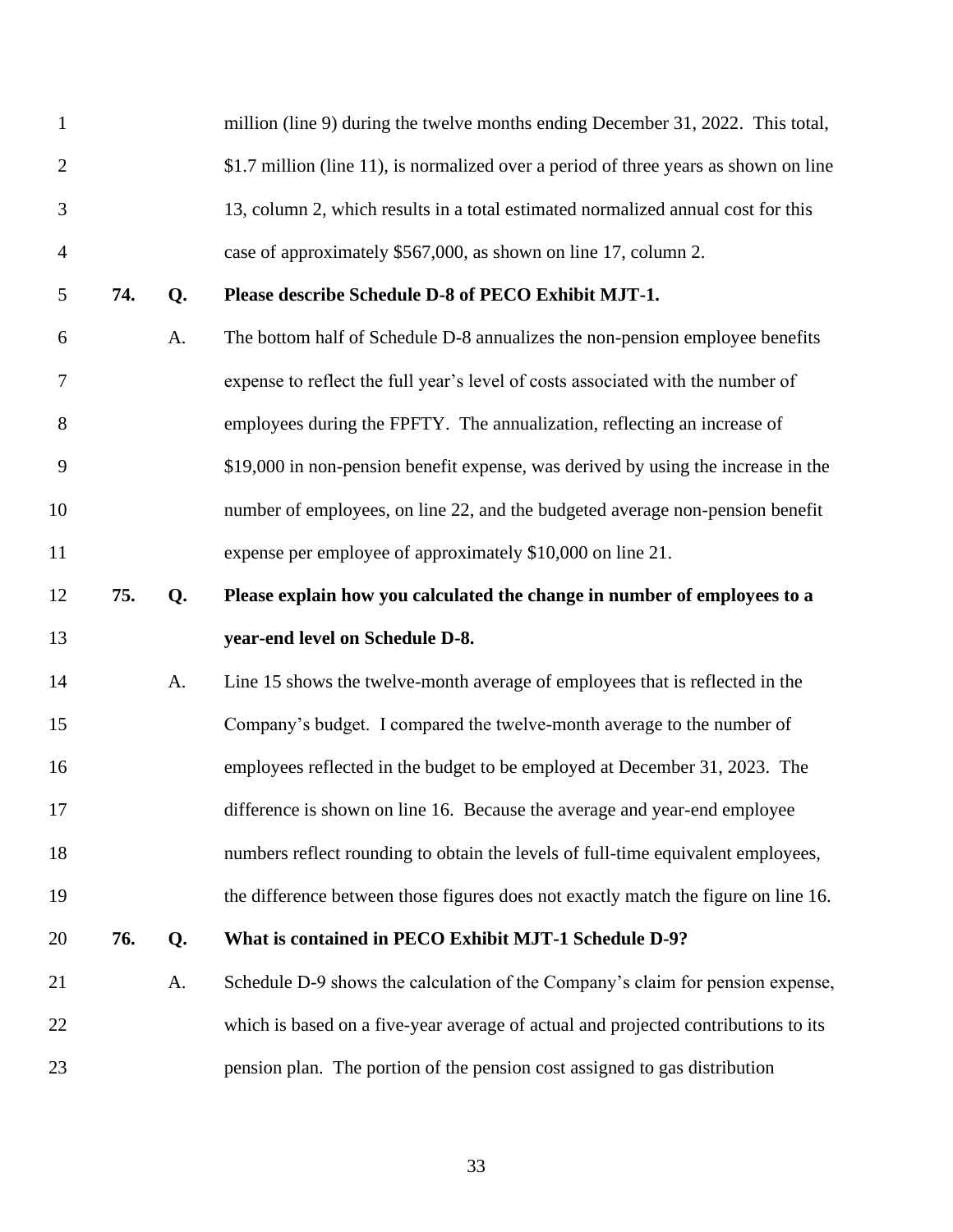| $\mathbf{1}$   |     |    | million (line 9) during the twelve months ending December 31, 2022. This total,      |
|----------------|-----|----|--------------------------------------------------------------------------------------|
| $\overline{2}$ |     |    | \$1.7 million (line 11), is normalized over a period of three years as shown on line |
| 3              |     |    | 13, column 2, which results in a total estimated normalized annual cost for this     |
| $\overline{4}$ |     |    | case of approximately \$567,000, as shown on line 17, column 2.                      |
| 5              | 74. | Q. | Please describe Schedule D-8 of PECO Exhibit MJT-1.                                  |
| 6              |     | A. | The bottom half of Schedule D-8 annualizes the non-pension employee benefits         |
| 7              |     |    | expense to reflect the full year's level of costs associated with the number of      |
| 8              |     |    | employees during the FPFTY. The annualization, reflecting an increase of             |
| 9              |     |    | \$19,000 in non-pension benefit expense, was derived by using the increase in the    |
| 10             |     |    | number of employees, on line 22, and the budgeted average non-pension benefit        |
| 11             |     |    | expense per employee of approximately \$10,000 on line 21.                           |
| 12             | 75. | Q. | Please explain how you calculated the change in number of employees to a             |
|                |     |    |                                                                                      |
| 13             |     |    | year-end level on Schedule D-8.                                                      |
| 14             |     | A. | Line 15 shows the twelve-month average of employees that is reflected in the         |
| 15             |     |    | Company's budget. I compared the twelve-month average to the number of               |
| 16             |     |    | employees reflected in the budget to be employed at December 31, 2023. The           |
| 17             |     |    | difference is shown on line 16. Because the average and year-end employee            |
| 18             |     |    | numbers reflect rounding to obtain the levels of full-time equivalent employees,     |
| 19             |     |    | the difference between those figures does not exactly match the figure on line 16.   |
| 20             | 76. | Q. | What is contained in PECO Exhibit MJT-1 Schedule D-9?                                |
| 21             |     | A. | Schedule D-9 shows the calculation of the Company's claim for pension expense,       |
| 22             |     |    | which is based on a five-year average of actual and projected contributions to its   |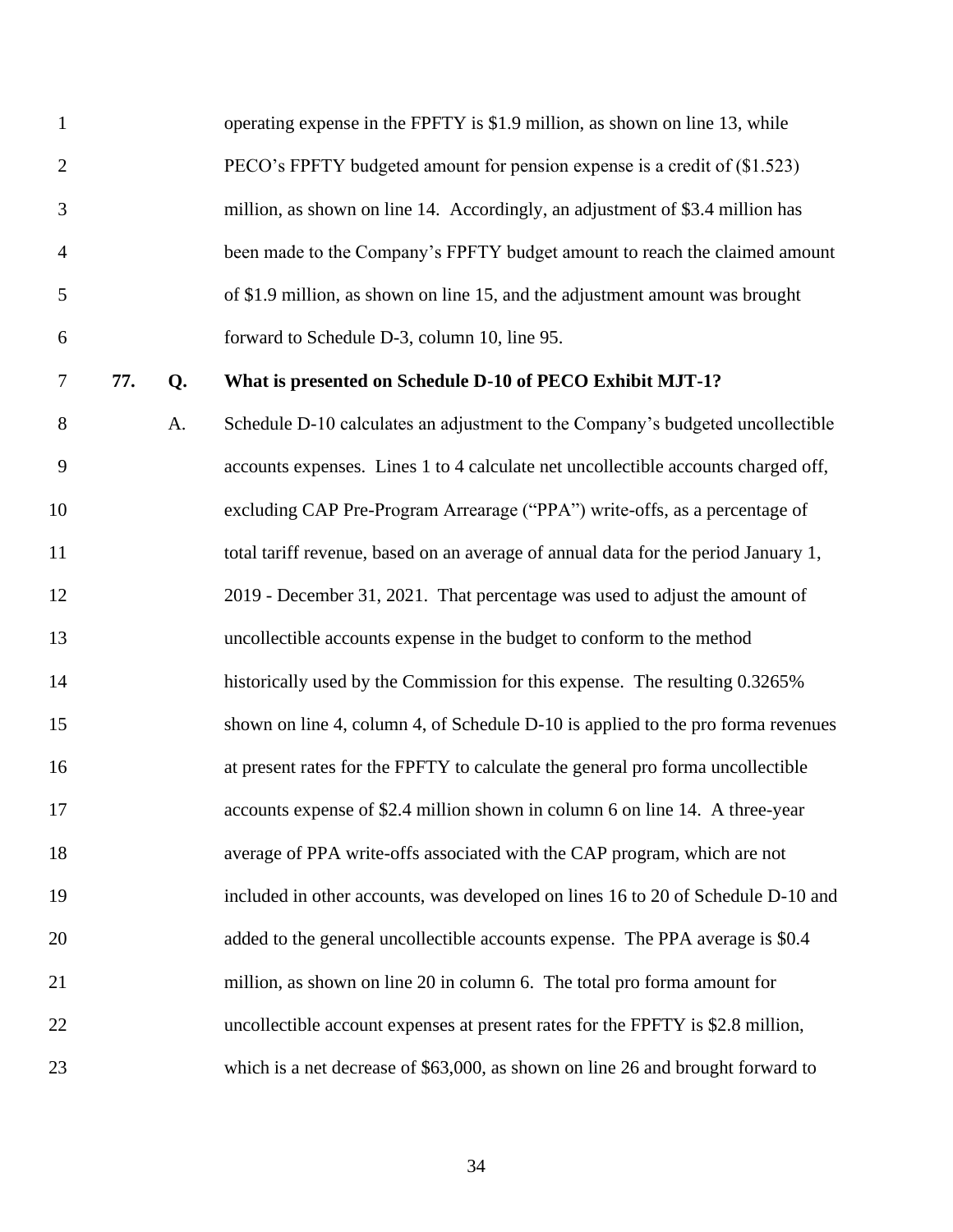| $\mathbf{1}$   |     |    | operating expense in the FPFTY is \$1.9 million, as shown on line 13, while        |
|----------------|-----|----|------------------------------------------------------------------------------------|
| $\overline{2}$ |     |    | PECO's FPFTY budgeted amount for pension expense is a credit of (\$1.523)          |
| 3              |     |    | million, as shown on line 14. Accordingly, an adjustment of \$3.4 million has      |
| $\overline{4}$ |     |    | been made to the Company's FPFTY budget amount to reach the claimed amount         |
| 5              |     |    | of \$1.9 million, as shown on line 15, and the adjustment amount was brought       |
| 6              |     |    | forward to Schedule D-3, column 10, line 95.                                       |
| $\tau$         | 77. | Q. | What is presented on Schedule D-10 of PECO Exhibit MJT-1?                          |
| 8              |     | A. | Schedule D-10 calculates an adjustment to the Company's budgeted uncollectible     |
| 9              |     |    | accounts expenses. Lines 1 to 4 calculate net uncollectible accounts charged off,  |
| 10             |     |    | excluding CAP Pre-Program Arrearage ("PPA") write-offs, as a percentage of         |
| 11             |     |    | total tariff revenue, based on an average of annual data for the period January 1, |
| 12             |     |    | 2019 - December 31, 2021. That percentage was used to adjust the amount of         |
| 13             |     |    | uncollectible accounts expense in the budget to conform to the method              |
| 14             |     |    | historically used by the Commission for this expense. The resulting 0.3265%        |
| 15             |     |    | shown on line 4, column 4, of Schedule D-10 is applied to the pro forma revenues   |
| 16             |     |    | at present rates for the FPFTY to calculate the general pro forma uncollectible    |
| 17             |     |    | accounts expense of \$2.4 million shown in column 6 on line 14. A three-year       |
| 18             |     |    | average of PPA write-offs associated with the CAP program, which are not           |
| 19             |     |    | included in other accounts, was developed on lines 16 to 20 of Schedule D-10 and   |
| 20             |     |    | added to the general uncollectible accounts expense. The PPA average is \$0.4      |
| 21             |     |    | million, as shown on line 20 in column 6. The total pro forma amount for           |
| 22             |     |    | uncollectible account expenses at present rates for the FPFTY is \$2.8 million,    |
| 23             |     |    | which is a net decrease of \$63,000, as shown on line 26 and brought forward to    |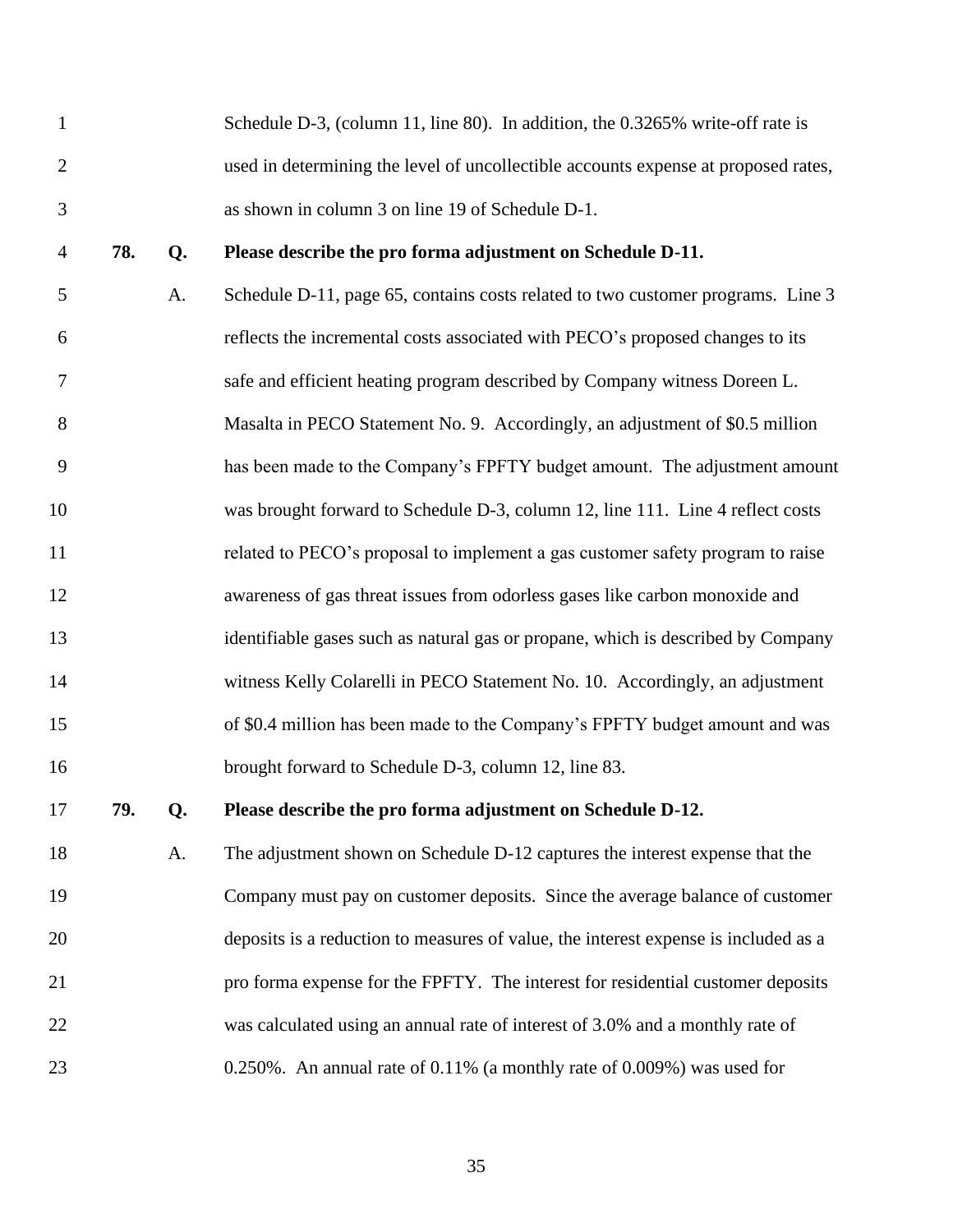|               | Schedule D-3, (column 11, line 80). In addition, the 0.3265% write-off rate is     |
|---------------|------------------------------------------------------------------------------------|
|               | used in determining the level of uncollectible accounts expense at proposed rates, |
| $\mathcal{R}$ | as shown in column 3 on line 19 of Schedule D-1.                                   |

## **78. Q. Please describe the pro forma adjustment on Schedule D-11.**

 A. Schedule D-11, page 65, contains costs related to two customer programs. Line 3 reflects the incremental costs associated with PECO's proposed changes to its safe and efficient heating program described by Company witness Doreen L. Masalta in PECO Statement No. 9. Accordingly, an adjustment of \$0.5 million has been made to the Company's FPFTY budget amount. The adjustment amount was brought forward to Schedule D-3, column 12, line 111. Line 4 reflect costs related to PECO's proposal to implement a gas customer safety program to raise awareness of gas threat issues from odorless gases like carbon monoxide and identifiable gases such as natural gas or propane, which is described by Company witness Kelly Colarelli in PECO Statement No. 10. Accordingly, an adjustment of \$0.4 million has been made to the Company's FPFTY budget amount and was brought forward to Schedule D-3, column 12, line 83.

## **79. Q. Please describe the pro forma adjustment on Schedule D-12.**

 A. The adjustment shown on Schedule D-12 captures the interest expense that the Company must pay on customer deposits. Since the average balance of customer deposits is a reduction to measures of value, the interest expense is included as a pro forma expense for the FPFTY. The interest for residential customer deposits was calculated using an annual rate of interest of 3.0% and a monthly rate of 0.250%. An annual rate of 0.11% (a monthly rate of 0.009%) was used for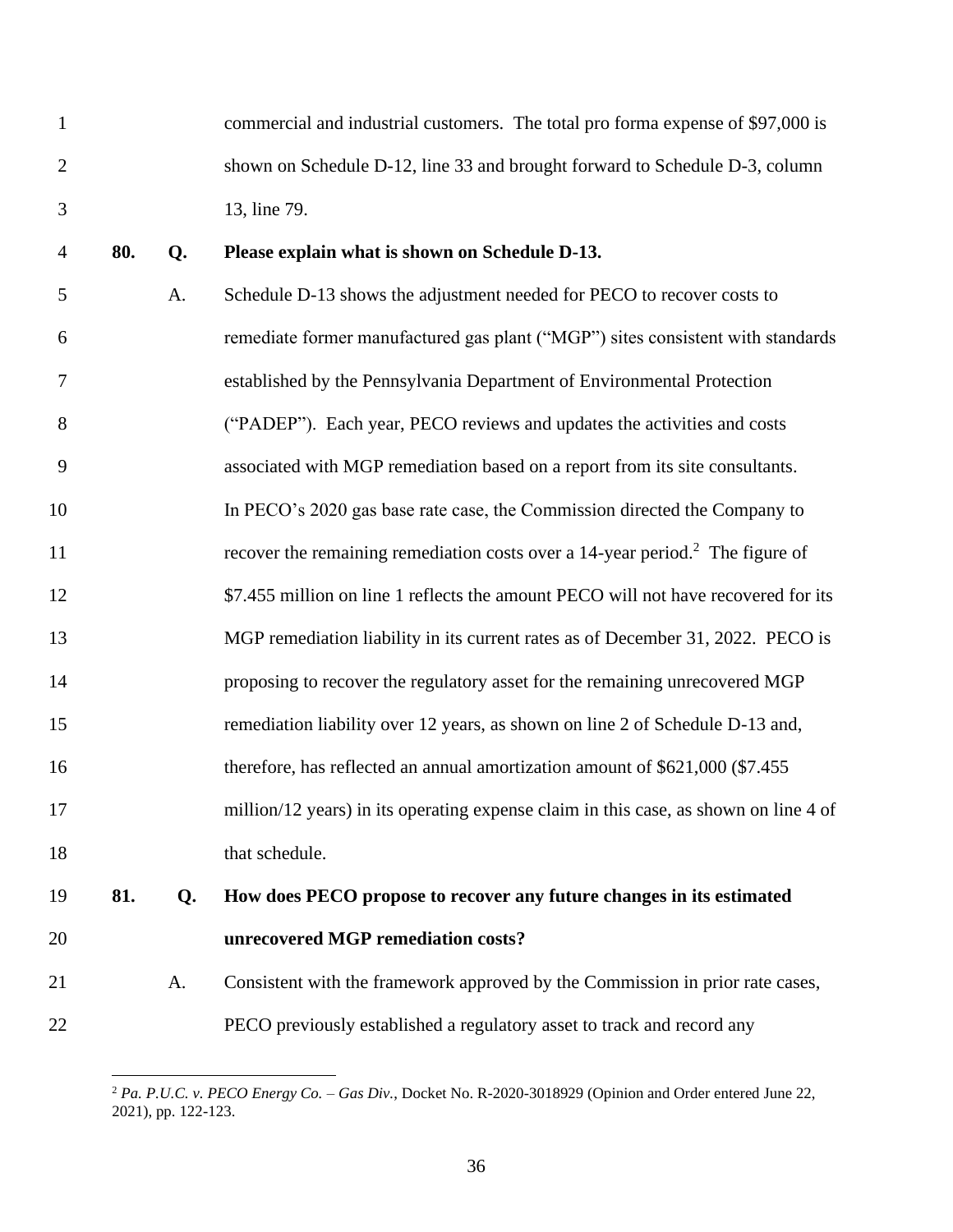- commercial and industrial customers. The total pro forma expense of \$97,000 is shown on Schedule D-12, line 33 and brought forward to Schedule D-3, column 13, line 79.
- **80. Q. Please explain what is shown on Schedule D-13.**
- A. Schedule D-13 shows the adjustment needed for PECO to recover costs to remediate former manufactured gas plant ("MGP") sites consistent with standards established by the Pennsylvania Department of Environmental Protection ("PADEP"). Each year, PECO reviews and updates the activities and costs associated with MGP remediation based on a report from its site consultants. In PECO's 2020 gas base rate case, the Commission directed the Company to 11 recover the remaining remediation costs over a 14-year period.<sup>2</sup> The figure of 12  $\frac{$7.455 \text{ million on line 1 reflects the amount PECO will not have recovered for its}{}$  MGP remediation liability in its current rates as of December 31, 2022. PECO is proposing to recover the regulatory asset for the remaining unrecovered MGP remediation liability over 12 years, as shown on line 2 of Schedule D-13 and, therefore, has reflected an annual amortization amount of \$621,000 (\$7.455 million/12 years) in its operating expense claim in this case, as shown on line 4 of 18 that schedule. **81. Q. How does PECO propose to recover any future changes in its estimated**
- **unrecovered MGP remediation costs?**
- A. Consistent with the framework approved by the Commission in prior rate cases, PECO previously established a regulatory asset to track and record any

 *Pa. P.U.C. v. PECO Energy Co. – Gas Div.*, Docket No. R-2020-3018929 (Opinion and Order entered June 22, 2021), pp. 122-123.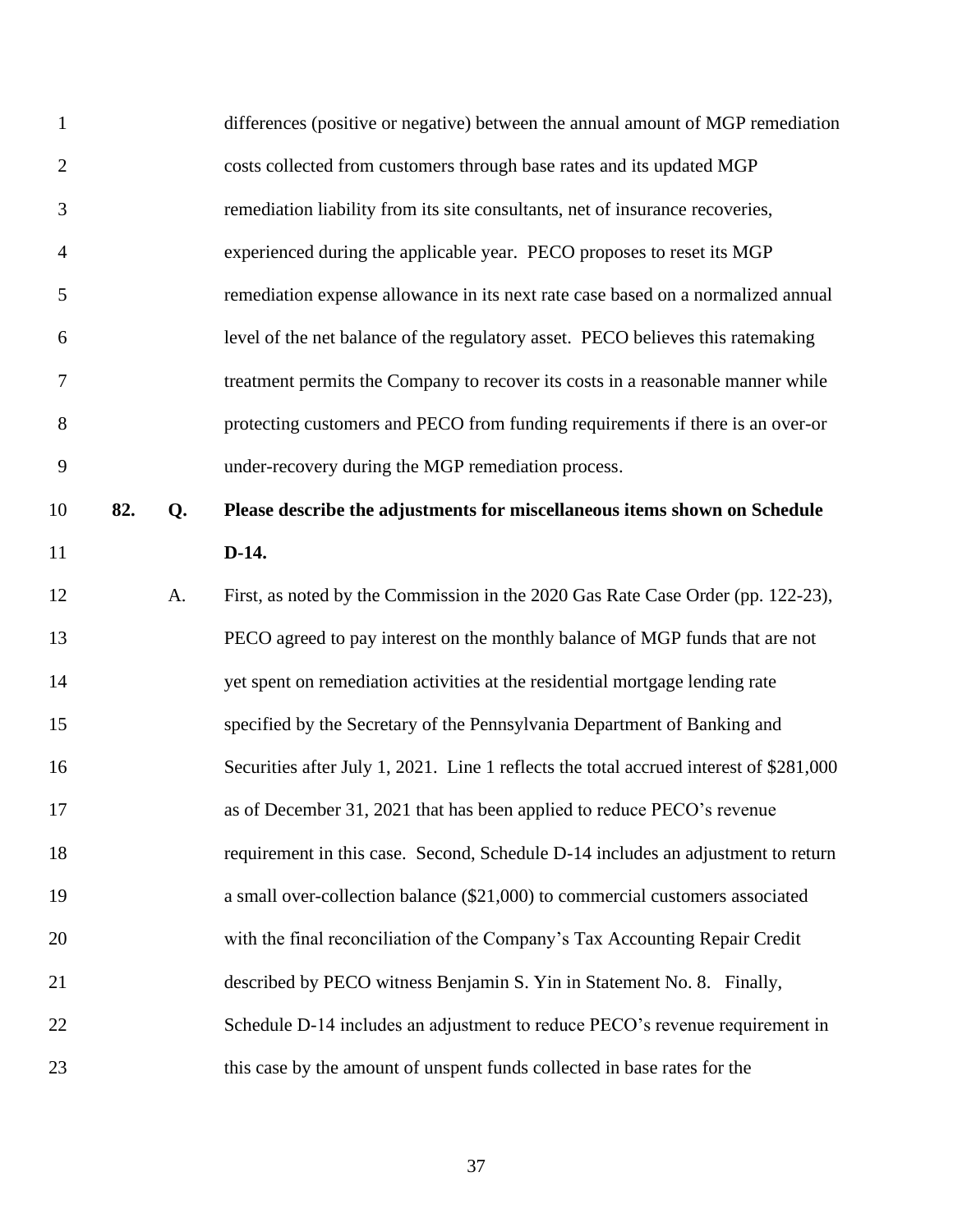| 1              |     |    | differences (positive or negative) between the annual amount of MGP remediation        |
|----------------|-----|----|----------------------------------------------------------------------------------------|
| $\overline{2}$ |     |    | costs collected from customers through base rates and its updated MGP                  |
| 3              |     |    | remediation liability from its site consultants, net of insurance recoveries,          |
| $\overline{4}$ |     |    | experienced during the applicable year. PECO proposes to reset its MGP                 |
| 5              |     |    | remediation expense allowance in its next rate case based on a normalized annual       |
| 6              |     |    | level of the net balance of the regulatory asset. PECO believes this ratemaking        |
| 7              |     |    | treatment permits the Company to recover its costs in a reasonable manner while        |
| 8              |     |    | protecting customers and PECO from funding requirements if there is an over-or         |
| 9              |     |    | under-recovery during the MGP remediation process.                                     |
| 10             | 82. | Q. | Please describe the adjustments for miscellaneous items shown on Schedule              |
| 11             |     |    | $D-14.$                                                                                |
| 12             |     | A. | First, as noted by the Commission in the 2020 Gas Rate Case Order (pp. 122-23),        |
| 13             |     |    | PECO agreed to pay interest on the monthly balance of MGP funds that are not           |
| 14             |     |    | yet spent on remediation activities at the residential mortgage lending rate           |
| 15             |     |    | specified by the Secretary of the Pennsylvania Department of Banking and               |
| 16             |     |    | Securities after July 1, 2021. Line 1 reflects the total accrued interest of \$281,000 |
| 17             |     |    | as of December 31, 2021 that has been applied to reduce PECO's revenue                 |
| 18             |     |    | requirement in this case. Second, Schedule D-14 includes an adjustment to return       |
| 19             |     |    | a small over-collection balance (\$21,000) to commercial customers associated          |
| 20             |     |    | with the final reconciliation of the Company's Tax Accounting Repair Credit            |
| 21             |     |    | described by PECO witness Benjamin S. Yin in Statement No. 8. Finally,                 |
| 22             |     |    | Schedule D-14 includes an adjustment to reduce PECO's revenue requirement in           |
| 23             |     |    | this case by the amount of unspent funds collected in base rates for the               |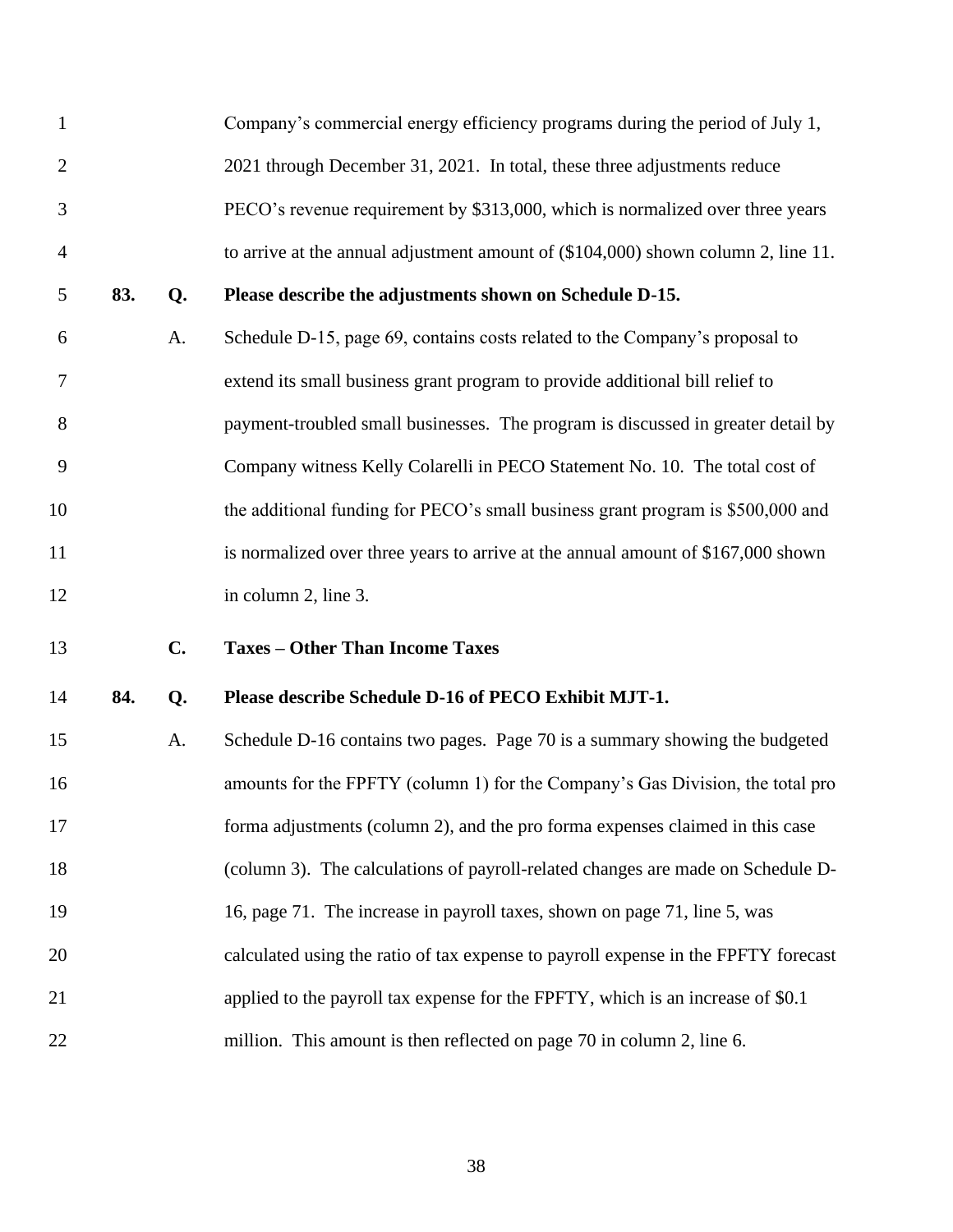<span id="page-39-0"></span>

| $\mathbf{1}$   |     |    | Company's commercial energy efficiency programs during the period of July 1,        |
|----------------|-----|----|-------------------------------------------------------------------------------------|
| $\overline{2}$ |     |    | 2021 through December 31, 2021. In total, these three adjustments reduce            |
| 3              |     |    | PECO's revenue requirement by \$313,000, which is normalized over three years       |
| $\overline{4}$ |     |    | to arrive at the annual adjustment amount of $(\$104,000)$ shown column 2, line 11. |
| 5              | 83. | Q. | Please describe the adjustments shown on Schedule D-15.                             |
| 6              |     | A. | Schedule D-15, page 69, contains costs related to the Company's proposal to         |
| 7              |     |    | extend its small business grant program to provide additional bill relief to        |
| 8              |     |    | payment-troubled small businesses. The program is discussed in greater detail by    |
| 9              |     |    | Company witness Kelly Colarelli in PECO Statement No. 10. The total cost of         |
| 10             |     |    | the additional funding for PECO's small business grant program is \$500,000 and     |
| 11             |     |    | is normalized over three years to arrive at the annual amount of \$167,000 shown    |
| 12             |     |    | in column 2, line 3.                                                                |
| 13             |     | C. | <b>Taxes - Other Than Income Taxes</b>                                              |
| 14             | 84. | Q. | Please describe Schedule D-16 of PECO Exhibit MJT-1.                                |
| 15             |     | A. | Schedule D-16 contains two pages. Page 70 is a summary showing the budgeted         |
| 16             |     |    | amounts for the FPFTY (column 1) for the Company's Gas Division, the total pro      |
| 17             |     |    | forma adjustments (column 2), and the pro forma expenses claimed in this case       |
| 18             |     |    | (column 3). The calculations of payroll-related changes are made on Schedule D-     |
| 19             |     |    | 16, page 71. The increase in payroll taxes, shown on page 71, line 5, was           |
| 20             |     |    | calculated using the ratio of tax expense to payroll expense in the FPFTY forecast  |
| 21             |     |    | applied to the payroll tax expense for the FPFTY, which is an increase of \$0.1     |
| 22             |     |    | million. This amount is then reflected on page 70 in column 2, line 6.              |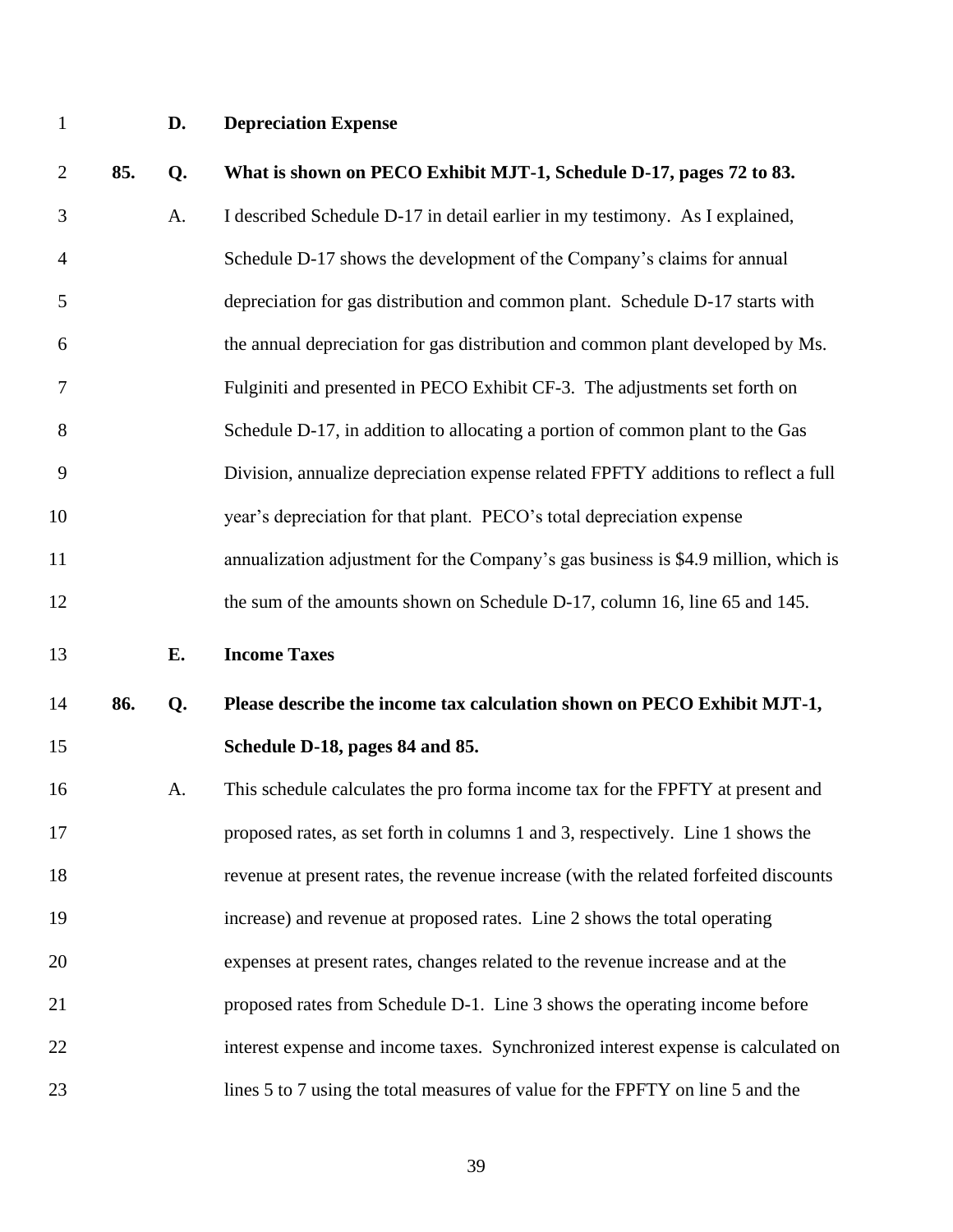<span id="page-40-0"></span>

# **D. Depreciation Expense**

<span id="page-40-1"></span>

| $\overline{2}$ | 85. | Q. | What is shown on PECO Exhibit MJT-1, Schedule D-17, pages 72 to 83.                  |
|----------------|-----|----|--------------------------------------------------------------------------------------|
| 3              |     | A. | I described Schedule D-17 in detail earlier in my testimony. As I explained,         |
| $\overline{4}$ |     |    | Schedule D-17 shows the development of the Company's claims for annual               |
| 5              |     |    | depreciation for gas distribution and common plant. Schedule D-17 starts with        |
| 6              |     |    | the annual depreciation for gas distribution and common plant developed by Ms.       |
| 7              |     |    | Fulginiti and presented in PECO Exhibit CF-3. The adjustments set forth on           |
| 8              |     |    | Schedule D-17, in addition to allocating a portion of common plant to the Gas        |
| 9              |     |    | Division, annualize depreciation expense related FPFTY additions to reflect a full   |
| 10             |     |    | year's depreciation for that plant. PECO's total depreciation expense                |
| 11             |     |    | annualization adjustment for the Company's gas business is \$4.9 million, which is   |
| 12             |     |    | the sum of the amounts shown on Schedule D-17, column 16, line 65 and 145.           |
|                |     |    |                                                                                      |
| 13             |     | Е. | <b>Income Taxes</b>                                                                  |
| 14             | 86. | Q. | Please describe the income tax calculation shown on PECO Exhibit MJT-1,              |
| 15             |     |    | Schedule D-18, pages 84 and 85.                                                      |
| 16             |     | A. | This schedule calculates the pro forma income tax for the FPFTY at present and       |
| 17             |     |    | proposed rates, as set forth in columns 1 and 3, respectively. Line 1 shows the      |
| 18             |     |    | revenue at present rates, the revenue increase (with the related forfeited discounts |
| 19             |     |    | increase) and revenue at proposed rates. Line 2 shows the total operating            |
| 20             |     |    | expenses at present rates, changes related to the revenue increase and at the        |
| 21             |     |    | proposed rates from Schedule D-1. Line 3 shows the operating income before           |
| 22             |     |    | interest expense and income taxes. Synchronized interest expense is calculated on    |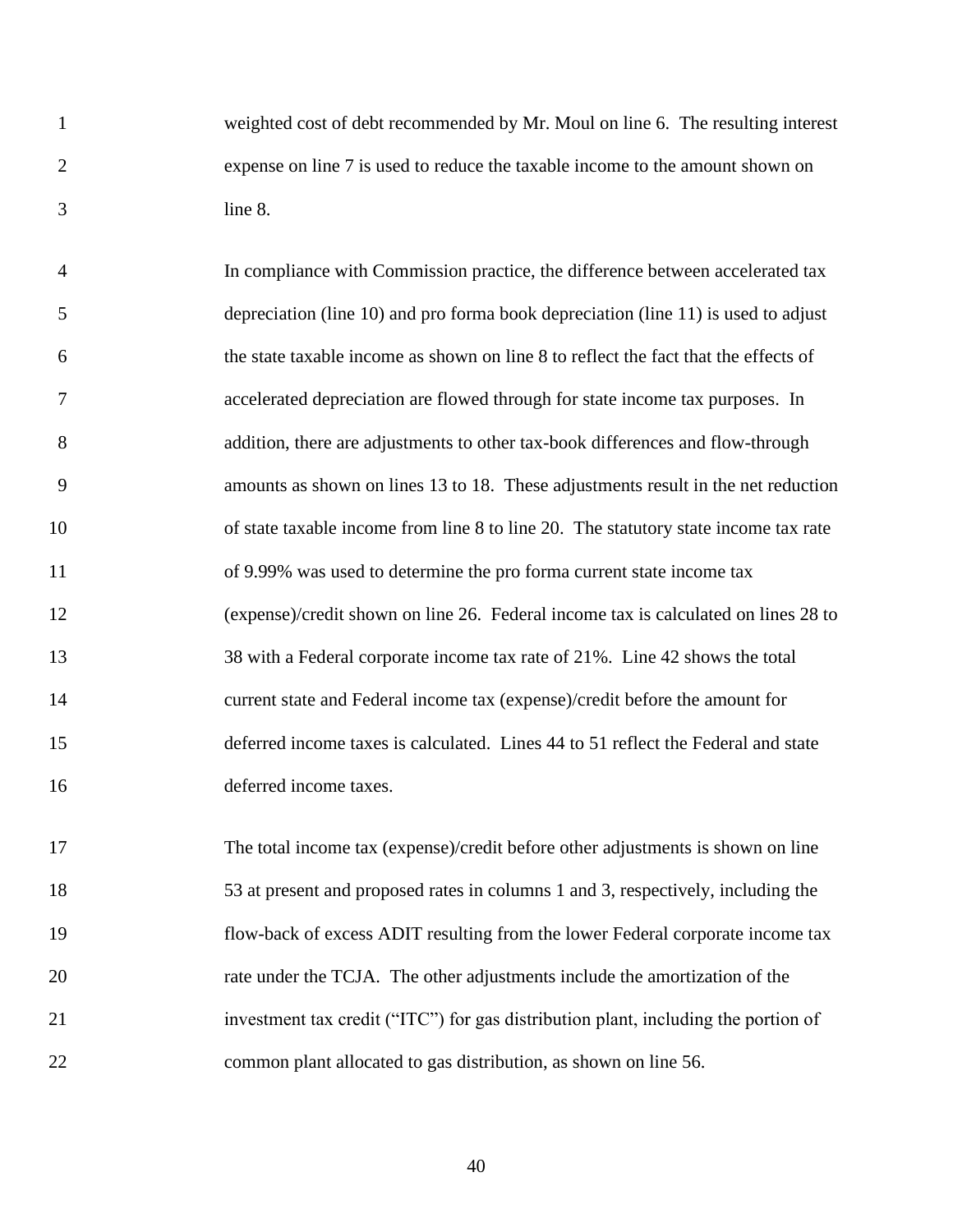weighted cost of debt recommended by Mr. Moul on line 6. The resulting interest expense on line 7 is used to reduce the taxable income to the amount shown on line 8.

 In compliance with Commission practice, the difference between accelerated tax depreciation (line 10) and pro forma book depreciation (line 11) is used to adjust the state taxable income as shown on line 8 to reflect the fact that the effects of accelerated depreciation are flowed through for state income tax purposes. In addition, there are adjustments to other tax-book differences and flow-through amounts as shown on lines 13 to 18. These adjustments result in the net reduction of state taxable income from line 8 to line 20. The statutory state income tax rate of 9.99% was used to determine the pro forma current state income tax (expense)/credit shown on line 26. Federal income tax is calculated on lines 28 to 38 with a Federal corporate income tax rate of 21%. Line 42 shows the total current state and Federal income tax (expense)/credit before the amount for deferred income taxes is calculated. Lines 44 to 51 reflect the Federal and state deferred income taxes.

 The total income tax (expense)/credit before other adjustments is shown on line 53 at present and proposed rates in columns 1 and 3, respectively, including the flow-back of excess ADIT resulting from the lower Federal corporate income tax rate under the TCJA. The other adjustments include the amortization of the investment tax credit ("ITC") for gas distribution plant, including the portion of common plant allocated to gas distribution, as shown on line 56.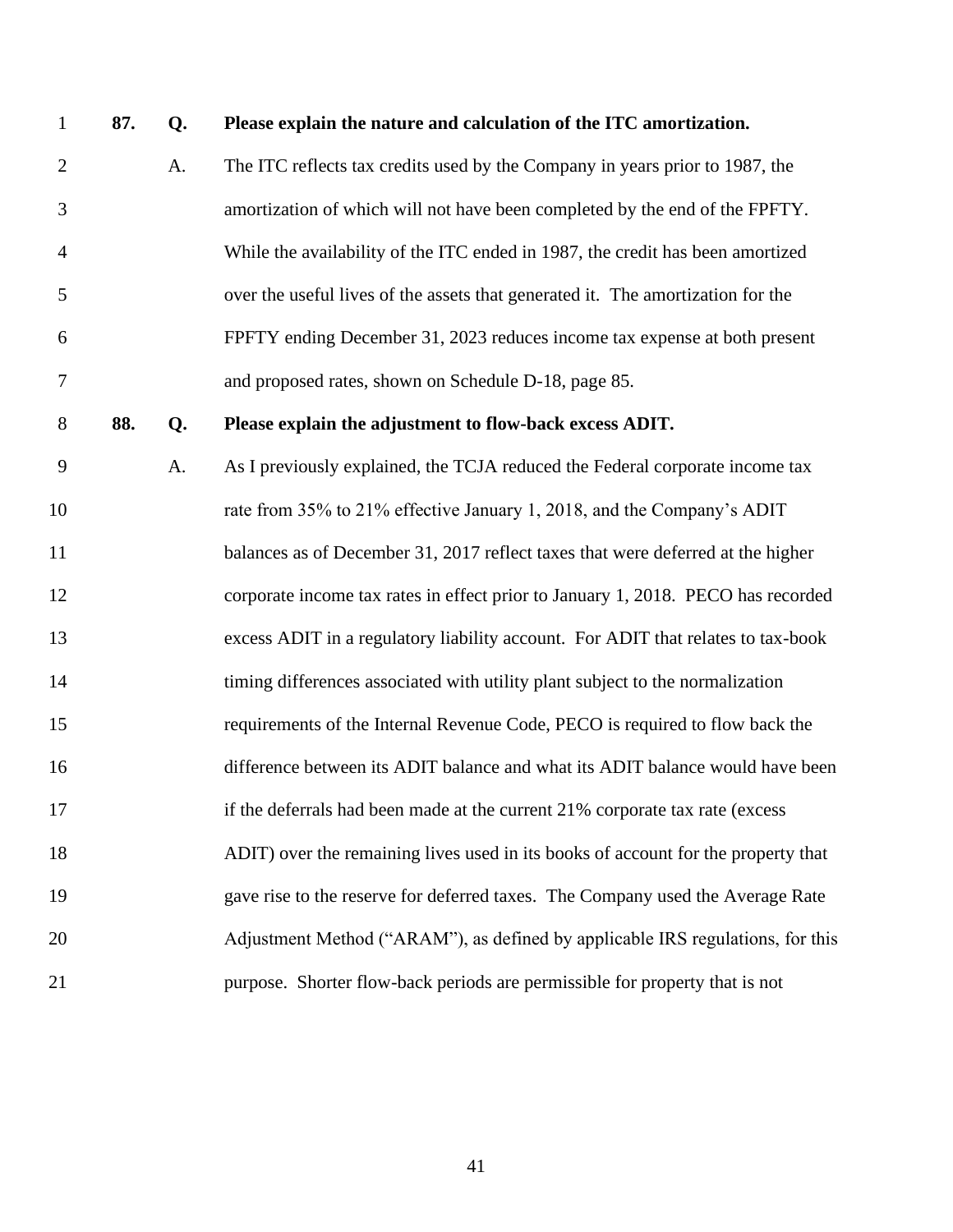| $\mathbf{1}$   | 87. | Q. | Please explain the nature and calculation of the ITC amortization.                |
|----------------|-----|----|-----------------------------------------------------------------------------------|
| $\overline{2}$ |     | A. | The ITC reflects tax credits used by the Company in years prior to 1987, the      |
| 3              |     |    | amortization of which will not have been completed by the end of the FPFTY.       |
| $\overline{4}$ |     |    | While the availability of the ITC ended in 1987, the credit has been amortized    |
| 5              |     |    | over the useful lives of the assets that generated it. The amortization for the   |
| 6              |     |    | FPFTY ending December 31, 2023 reduces income tax expense at both present         |
| 7              |     |    | and proposed rates, shown on Schedule D-18, page 85.                              |
| 8              | 88. | Q. | Please explain the adjustment to flow-back excess ADIT.                           |
| 9              |     | A. | As I previously explained, the TCJA reduced the Federal corporate income tax      |
| 10             |     |    | rate from 35% to 21% effective January 1, 2018, and the Company's ADIT            |
| 11             |     |    | balances as of December 31, 2017 reflect taxes that were deferred at the higher   |
| 12             |     |    | corporate income tax rates in effect prior to January 1, 2018. PECO has recorded  |
| 13             |     |    | excess ADIT in a regulatory liability account. For ADIT that relates to tax-book  |
| 14             |     |    | timing differences associated with utility plant subject to the normalization     |
| 15             |     |    | requirements of the Internal Revenue Code, PECO is required to flow back the      |
| 16             |     |    | difference between its ADIT balance and what its ADIT balance would have been     |
| 17             |     |    | if the deferrals had been made at the current 21% corporate tax rate (excess      |
| 18             |     |    | ADIT) over the remaining lives used in its books of account for the property that |
| 19             |     |    | gave rise to the reserve for deferred taxes. The Company used the Average Rate    |
| 20             |     |    | Adjustment Method ("ARAM"), as defined by applicable IRS regulations, for this    |
| 21             |     |    | purpose. Shorter flow-back periods are permissible for property that is not       |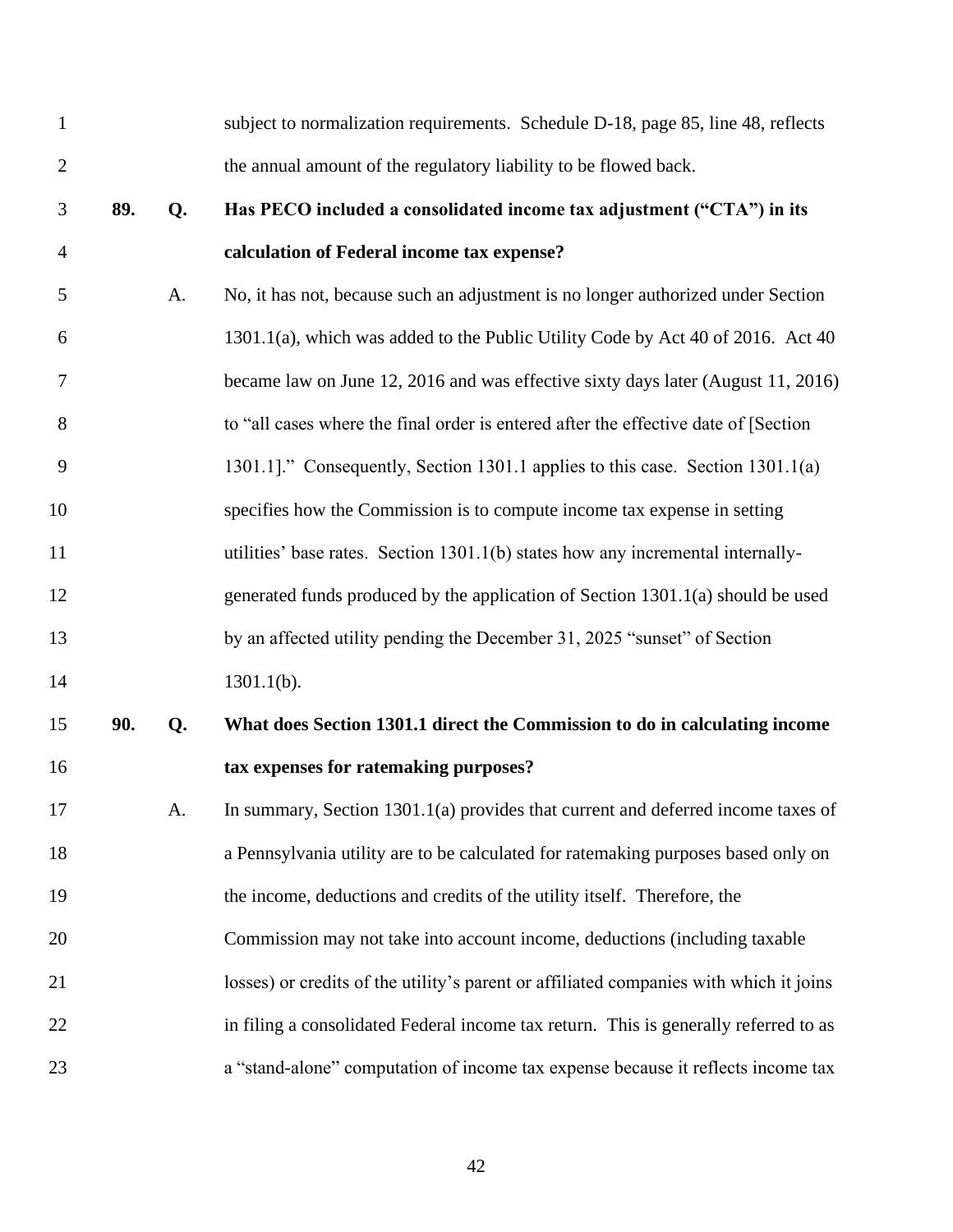| $\mathbf{1}$   |     |    | subject to normalization requirements. Schedule D-18, page 85, line 48, reflects       |
|----------------|-----|----|----------------------------------------------------------------------------------------|
| $\overline{2}$ |     |    | the annual amount of the regulatory liability to be flowed back.                       |
| 3              | 89. | Q. | Has PECO included a consolidated income tax adjustment ("CTA") in its                  |
| $\overline{4}$ |     |    | calculation of Federal income tax expense?                                             |
| 5              |     | A. | No, it has not, because such an adjustment is no longer authorized under Section       |
| 6              |     |    | 1301.1(a), which was added to the Public Utility Code by Act 40 of 2016. Act 40        |
| 7              |     |    | became law on June 12, 2016 and was effective sixty days later (August 11, 2016)       |
| 8              |     |    | to "all cases where the final order is entered after the effective date of [Section    |
| 9              |     |    | 1301.1]." Consequently, Section 1301.1 applies to this case. Section 1301.1(a)         |
| 10             |     |    | specifies how the Commission is to compute income tax expense in setting               |
| 11             |     |    | utilities' base rates. Section 1301.1(b) states how any incremental internally-        |
| 12             |     |    | generated funds produced by the application of Section 1301.1(a) should be used        |
| 13             |     |    | by an affected utility pending the December 31, 2025 "sunset" of Section               |
| 14             |     |    | $1301.1(b)$ .                                                                          |
| 15             | 90. | Q. | What does Section 1301.1 direct the Commission to do in calculating income             |
| 16             |     |    | tax expenses for ratemaking purposes?                                                  |
| 17             |     | A. | In summary, Section $1301.1(a)$ provides that current and deferred income taxes of     |
| 18             |     |    | a Pennsylvania utility are to be calculated for ratemaking purposes based only on      |
| 19             |     |    | the income, deductions and credits of the utility itself. Therefore, the               |
| 20             |     |    | Commission may not take into account income, deductions (including taxable             |
| 21             |     |    | losses) or credits of the utility's parent or affiliated companies with which it joins |
| 22             |     |    | in filing a consolidated Federal income tax return. This is generally referred to as   |
| 23             |     |    | a "stand-alone" computation of income tax expense because it reflects income tax       |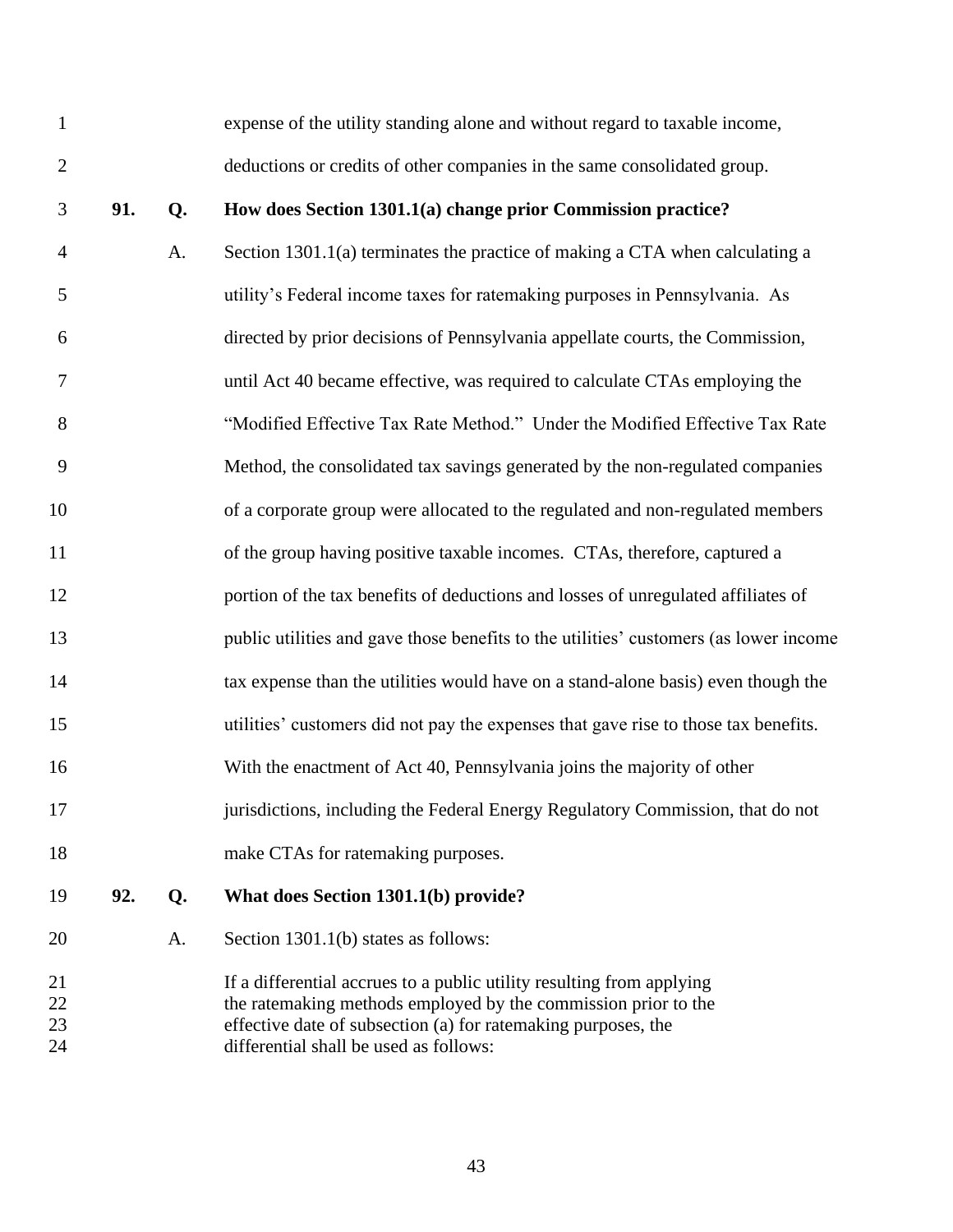| $\mathbf{1}$         |     |    | expense of the utility standing alone and without regard to taxable income,                                                                                                                                                                        |
|----------------------|-----|----|----------------------------------------------------------------------------------------------------------------------------------------------------------------------------------------------------------------------------------------------------|
| $\overline{2}$       |     |    | deductions or credits of other companies in the same consolidated group.                                                                                                                                                                           |
| 3                    | 91. | Q. | How does Section 1301.1(a) change prior Commission practice?                                                                                                                                                                                       |
| $\overline{4}$       |     | A. | Section 1301.1(a) terminates the practice of making a CTA when calculating a                                                                                                                                                                       |
| 5                    |     |    | utility's Federal income taxes for ratemaking purposes in Pennsylvania. As                                                                                                                                                                         |
| 6                    |     |    | directed by prior decisions of Pennsylvania appellate courts, the Commission,                                                                                                                                                                      |
| 7                    |     |    | until Act 40 became effective, was required to calculate CTAs employing the                                                                                                                                                                        |
| 8                    |     |    | "Modified Effective Tax Rate Method." Under the Modified Effective Tax Rate                                                                                                                                                                        |
| 9                    |     |    | Method, the consolidated tax savings generated by the non-regulated companies                                                                                                                                                                      |
| 10                   |     |    | of a corporate group were allocated to the regulated and non-regulated members                                                                                                                                                                     |
| 11                   |     |    | of the group having positive taxable incomes. CTAs, therefore, captured a                                                                                                                                                                          |
| 12                   |     |    | portion of the tax benefits of deductions and losses of unregulated affiliates of                                                                                                                                                                  |
| 13                   |     |    | public utilities and gave those benefits to the utilities' customers (as lower income                                                                                                                                                              |
| 14                   |     |    | tax expense than the utilities would have on a stand-alone basis) even though the                                                                                                                                                                  |
| 15                   |     |    | utilities' customers did not pay the expenses that gave rise to those tax benefits.                                                                                                                                                                |
| 16                   |     |    | With the enactment of Act 40, Pennsylvania joins the majority of other                                                                                                                                                                             |
| 17                   |     |    | jurisdictions, including the Federal Energy Regulatory Commission, that do not                                                                                                                                                                     |
| 18                   |     |    | make CTAs for ratemaking purposes.                                                                                                                                                                                                                 |
| 19                   | 92. | Q. | What does Section 1301.1(b) provide?                                                                                                                                                                                                               |
| 20                   |     | A. | Section 1301.1(b) states as follows:                                                                                                                                                                                                               |
| 21<br>22<br>23<br>24 |     |    | If a differential accrues to a public utility resulting from applying<br>the ratemaking methods employed by the commission prior to the<br>effective date of subsection (a) for ratemaking purposes, the<br>differential shall be used as follows: |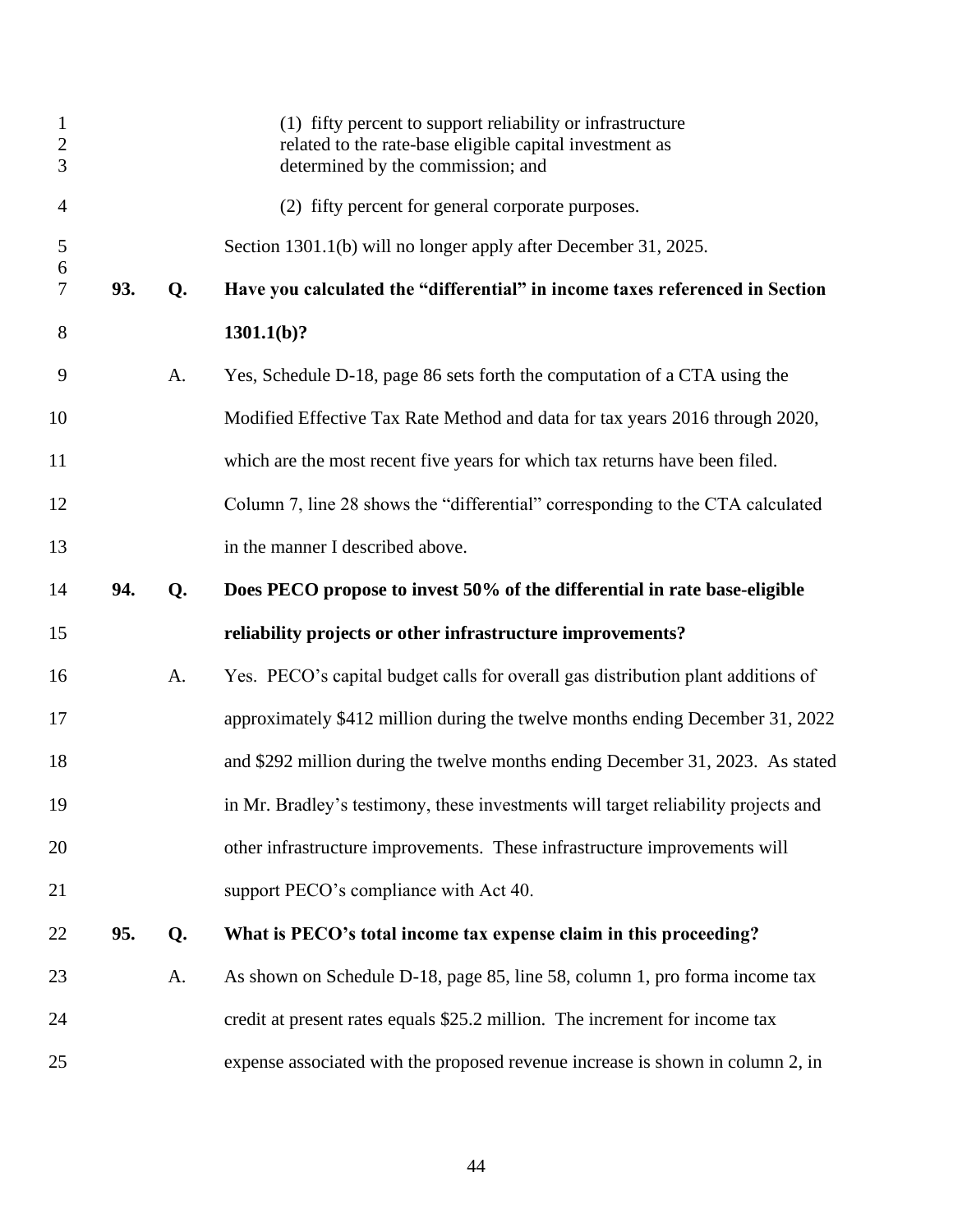| $\mathbf{1}$<br>$\sqrt{2}$<br>3 |     |    | (1) fifty percent to support reliability or infrastructure<br>related to the rate-base eligible capital investment as<br>determined by the commission; and |
|---------------------------------|-----|----|------------------------------------------------------------------------------------------------------------------------------------------------------------|
| 4                               |     |    | (2) fifty percent for general corporate purposes.                                                                                                          |
| 5                               |     |    | Section 1301.1(b) will no longer apply after December 31, 2025.                                                                                            |
| 6<br>7                          | 93. | Q. | Have you calculated the "differential" in income taxes referenced in Section                                                                               |
| 8                               |     |    | $1301.1(b)$ ?                                                                                                                                              |
| 9                               |     | A. | Yes, Schedule D-18, page 86 sets forth the computation of a CTA using the                                                                                  |
| 10                              |     |    | Modified Effective Tax Rate Method and data for tax years 2016 through 2020,                                                                               |
| 11                              |     |    | which are the most recent five years for which tax returns have been filed.                                                                                |
| 12                              |     |    | Column 7, line 28 shows the "differential" corresponding to the CTA calculated                                                                             |
| 13                              |     |    | in the manner I described above.                                                                                                                           |
| 14                              | 94. | Q. | Does PECO propose to invest 50% of the differential in rate base-eligible                                                                                  |
| 15                              |     |    | reliability projects or other infrastructure improvements?                                                                                                 |
| 16                              |     | A. | Yes. PECO's capital budget calls for overall gas distribution plant additions of                                                                           |
| 17                              |     |    | approximately \$412 million during the twelve months ending December 31, 2022                                                                              |
| 18                              |     |    | and \$292 million during the twelve months ending December 31, 2023. As stated                                                                             |
| 19                              |     |    | in Mr. Bradley's testimony, these investments will target reliability projects and                                                                         |
| 20                              |     |    | other infrastructure improvements. These infrastructure improvements will                                                                                  |
| 21                              |     |    | support PECO's compliance with Act 40.                                                                                                                     |
| 22                              | 95. | Q. | What is PECO's total income tax expense claim in this proceeding?                                                                                          |
| 23                              |     | A. | As shown on Schedule D-18, page 85, line 58, column 1, pro forma income tax                                                                                |
| 24                              |     |    | credit at present rates equals \$25.2 million. The increment for income tax                                                                                |
| 25                              |     |    | expense associated with the proposed revenue increase is shown in column 2, in                                                                             |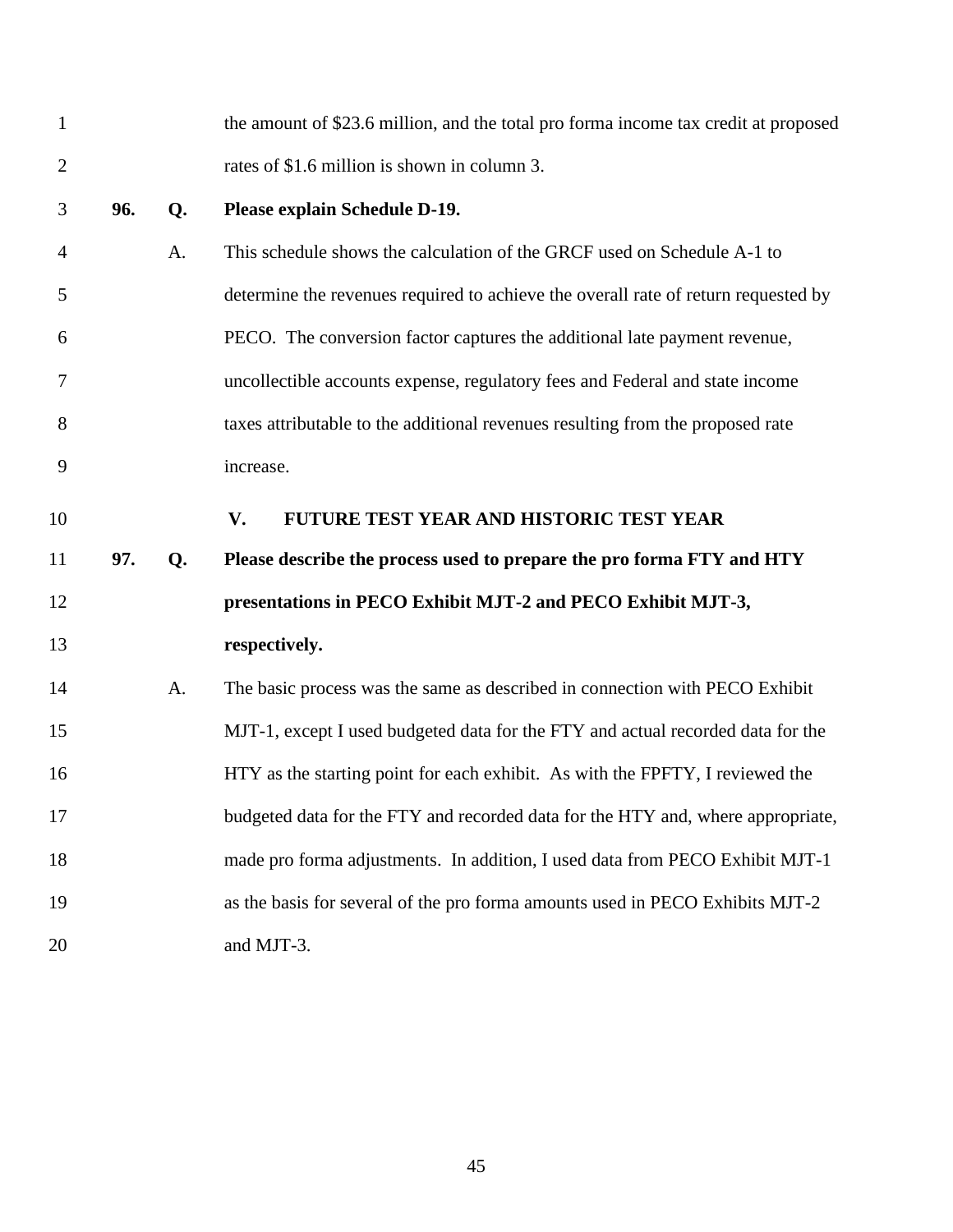<span id="page-46-0"></span>

| $\mathbf{1}$   |     |    | the amount of \$23.6 million, and the total pro forma income tax credit at proposed |
|----------------|-----|----|-------------------------------------------------------------------------------------|
| $\overline{2}$ |     |    | rates of \$1.6 million is shown in column 3.                                        |
| 3              | 96. | Q. | Please explain Schedule D-19.                                                       |
| $\overline{4}$ |     | A. | This schedule shows the calculation of the GRCF used on Schedule A-1 to             |
| 5              |     |    | determine the revenues required to achieve the overall rate of return requested by  |
| 6              |     |    | PECO. The conversion factor captures the additional late payment revenue,           |
| 7              |     |    | uncollectible accounts expense, regulatory fees and Federal and state income        |
| 8              |     |    | taxes attributable to the additional revenues resulting from the proposed rate      |
| 9              |     |    | increase.                                                                           |
| 10             |     |    | FUTURE TEST YEAR AND HISTORIC TEST YEAR<br>V.                                       |
| 11             | 97. | Q. | Please describe the process used to prepare the pro forma FTY and HTY               |
| 12             |     |    | presentations in PECO Exhibit MJT-2 and PECO Exhibit MJT-3,                         |
| 13             |     |    | respectively.                                                                       |
| 14             |     | A. | The basic process was the same as described in connection with PECO Exhibit         |
| 15             |     |    | MJT-1, except I used budgeted data for the FTY and actual recorded data for the     |
| 16             |     |    | HTY as the starting point for each exhibit. As with the FPFTY, I reviewed the       |
| 17             |     |    | budgeted data for the FTY and recorded data for the HTY and, where appropriate,     |
| 18             |     |    | made pro forma adjustments. In addition, I used data from PECO Exhibit MJT-1        |
| 19             |     |    | as the basis for several of the pro forma amounts used in PECO Exhibits MJT-2       |
| 20             |     |    | and MJT-3.                                                                          |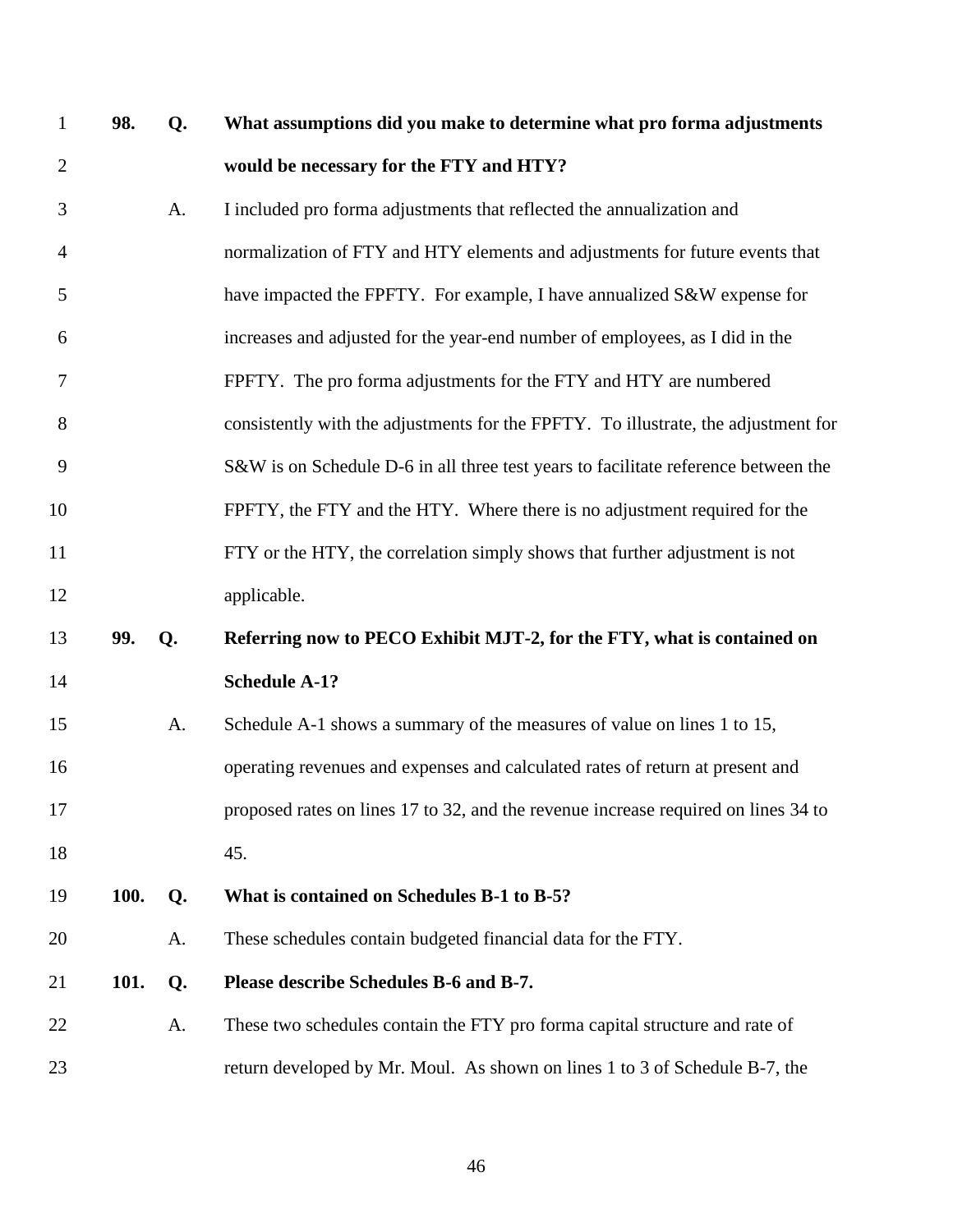| $\mathbf{1}$   | 98.         | Q. | What assumptions did you make to determine what pro forma adjustments              |
|----------------|-------------|----|------------------------------------------------------------------------------------|
| $\overline{2}$ |             |    | would be necessary for the FTY and HTY?                                            |
| 3              |             | A. | I included pro forma adjustments that reflected the annualization and              |
| 4              |             |    | normalization of FTY and HTY elements and adjustments for future events that       |
| 5              |             |    | have impacted the FPFTY. For example, I have annualized S&W expense for            |
| 6              |             |    | increases and adjusted for the year-end number of employees, as I did in the       |
| 7              |             |    | FPFTY. The pro forma adjustments for the FTY and HTY are numbered                  |
| 8              |             |    | consistently with the adjustments for the FPFTY. To illustrate, the adjustment for |
| 9              |             |    | S&W is on Schedule D-6 in all three test years to facilitate reference between the |
| 10             |             |    | FPFTY, the FTY and the HTY. Where there is no adjustment required for the          |
| 11             |             |    | FTY or the HTY, the correlation simply shows that further adjustment is not        |
| 12             |             |    | applicable.                                                                        |
| 13             | 99.         | Q. | Referring now to PECO Exhibit MJT-2, for the FTY, what is contained on             |
| 14             |             |    | <b>Schedule A-1?</b>                                                               |
| 15             |             | A. | Schedule A-1 shows a summary of the measures of value on lines 1 to 15,            |
| 16             |             |    | operating revenues and expenses and calculated rates of return at present and      |
| 17             |             |    | proposed rates on lines 17 to 32, and the revenue increase required on lines 34 to |
| 18             |             |    | 45.                                                                                |
| 19             | <b>100.</b> | Q. | What is contained on Schedules B-1 to B-5?                                         |
| 20             |             | A. | These schedules contain budgeted financial data for the FTY.                       |
| 21             | 101.        | Q. | Please describe Schedules B-6 and B-7.                                             |
| 22             |             | A. | These two schedules contain the FTY pro forma capital structure and rate of        |
| 23             |             |    | return developed by Mr. Moul. As shown on lines 1 to 3 of Schedule B-7, the        |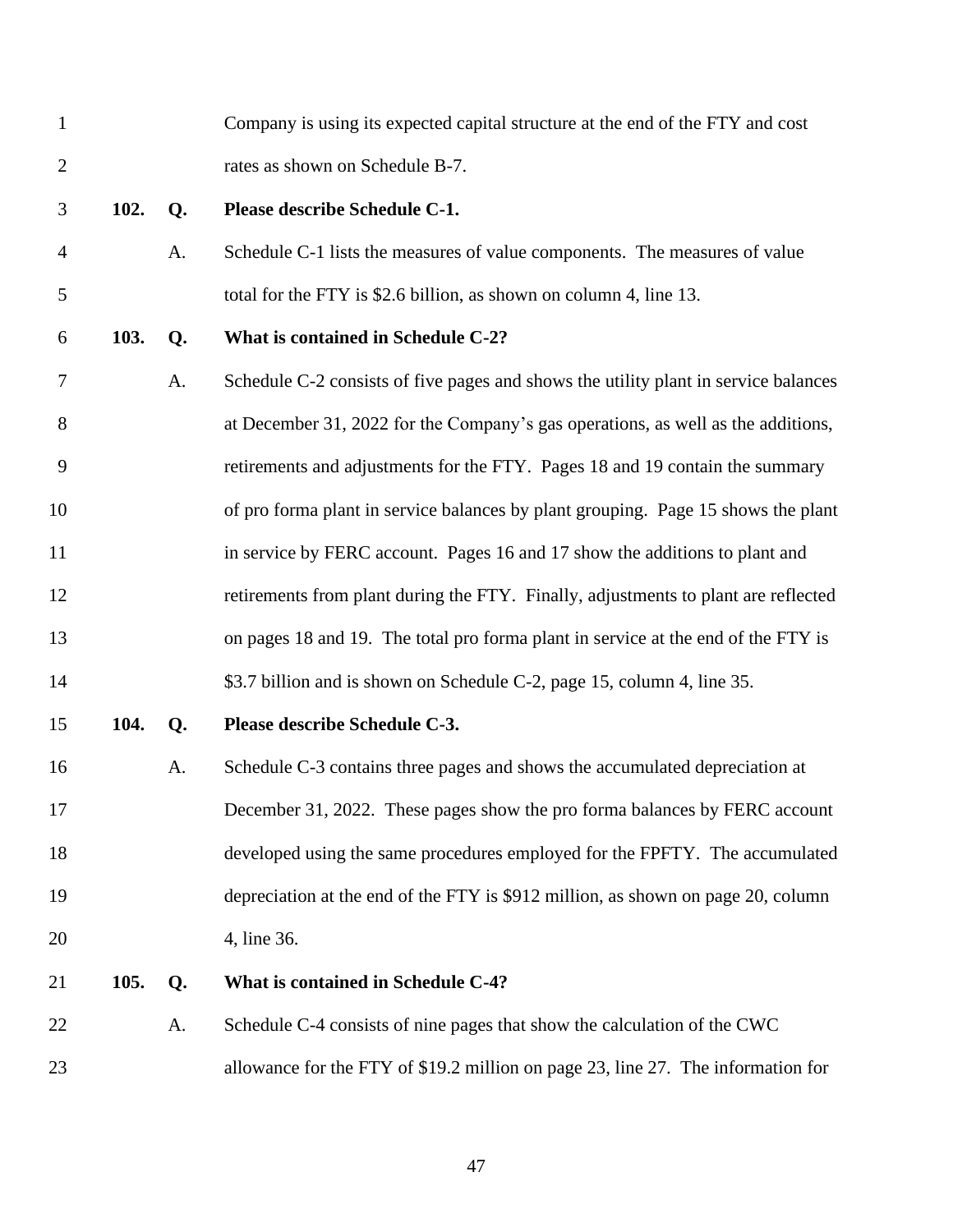| $\mathbf{1}$   |      |    | Company is using its expected capital structure at the end of the FTY and cost      |
|----------------|------|----|-------------------------------------------------------------------------------------|
| $\overline{2}$ |      |    | rates as shown on Schedule B-7.                                                     |
| 3              | 102. | Q. | Please describe Schedule C-1.                                                       |
| $\overline{4}$ |      | A. | Schedule C-1 lists the measures of value components. The measures of value          |
| 5              |      |    | total for the FTY is \$2.6 billion, as shown on column 4, line 13.                  |
| 6              | 103. | Q. | What is contained in Schedule C-2?                                                  |
| 7              |      | A. | Schedule C-2 consists of five pages and shows the utility plant in service balances |
| 8              |      |    | at December 31, 2022 for the Company's gas operations, as well as the additions,    |
| 9              |      |    | retirements and adjustments for the FTY. Pages 18 and 19 contain the summary        |
| 10             |      |    | of pro forma plant in service balances by plant grouping. Page 15 shows the plant   |
| 11             |      |    | in service by FERC account. Pages 16 and 17 show the additions to plant and         |
| 12             |      |    | retirements from plant during the FTY. Finally, adjustments to plant are reflected  |
| 13             |      |    | on pages 18 and 19. The total pro forma plant in service at the end of the FTY is   |
| 14             |      |    | \$3.7 billion and is shown on Schedule C-2, page 15, column 4, line 35.             |
| 15             | 104. | Q. | Please describe Schedule C-3.                                                       |
| 16             |      | A. | Schedule C-3 contains three pages and shows the accumulated depreciation at         |
| 17             |      |    | December 31, 2022. These pages show the pro forma balances by FERC account          |
| 18             |      |    | developed using the same procedures employed for the FPFTY. The accumulated         |
| 19             |      |    | depreciation at the end of the FTY is \$912 million, as shown on page 20, column    |
| 20             |      |    | 4, line 36.                                                                         |
| 21             | 105. | Q. | What is contained in Schedule C-4?                                                  |
| 22             |      | A. | Schedule C-4 consists of nine pages that show the calculation of the CWC            |
| 23             |      |    | allowance for the FTY of \$19.2 million on page 23, line 27. The information for    |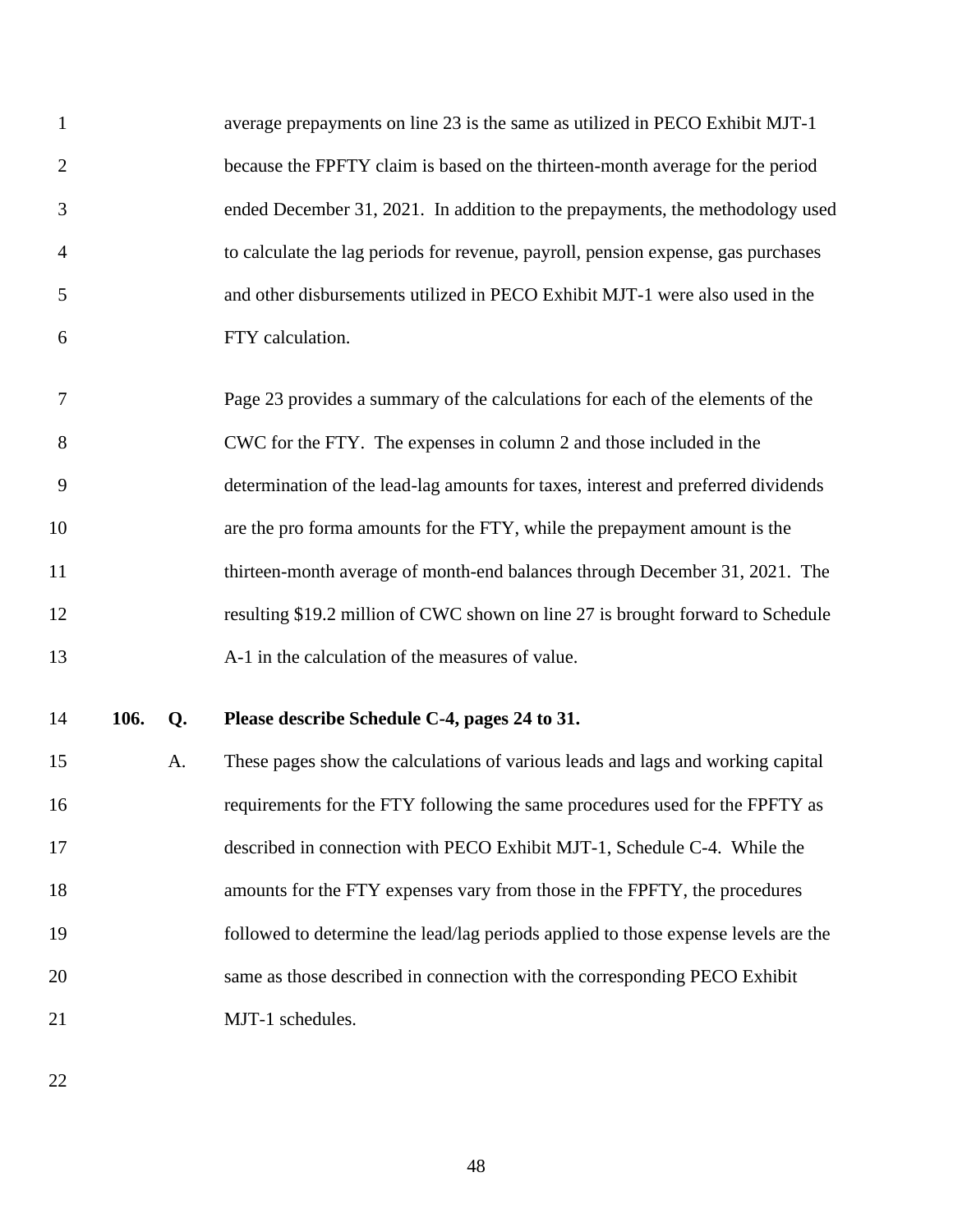| $\mathbf{1}$   |      |    | average prepayments on line 23 is the same as utilized in PECO Exhibit MJT-1       |
|----------------|------|----|------------------------------------------------------------------------------------|
| $\mathbf{2}$   |      |    | because the FPFTY claim is based on the thirteen-month average for the period      |
| 3              |      |    | ended December 31, 2021. In addition to the prepayments, the methodology used      |
| $\overline{4}$ |      |    | to calculate the lag periods for revenue, payroll, pension expense, gas purchases  |
| 5              |      |    | and other disbursements utilized in PECO Exhibit MJT-1 were also used in the       |
| 6              |      |    | FTY calculation.                                                                   |
| 7              |      |    | Page 23 provides a summary of the calculations for each of the elements of the     |
| 8              |      |    | CWC for the FTY. The expenses in column 2 and those included in the                |
| 9              |      |    | determination of the lead-lag amounts for taxes, interest and preferred dividends  |
| 10             |      |    | are the pro forma amounts for the FTY, while the prepayment amount is the          |
| 11             |      |    | thirteen-month average of month-end balances through December 31, 2021. The        |
| 12             |      |    | resulting \$19.2 million of CWC shown on line 27 is brought forward to Schedule    |
| 13             |      |    | A-1 in the calculation of the measures of value.                                   |
| 14             | 106. | Q. | Please describe Schedule C-4, pages 24 to 31.                                      |
| 15             |      | A. | These pages show the calculations of various leads and lags and working capital    |
| 16             |      |    | requirements for the FTY following the same procedures used for the FPFTY as       |
| 17             |      |    | described in connection with PECO Exhibit MJT-1, Schedule C-4. While the           |
| 18             |      |    | amounts for the FTY expenses vary from those in the FPFTY, the procedures          |
| 19             |      |    | followed to determine the lead/lag periods applied to those expense levels are the |
| 20             |      |    | same as those described in connection with the corresponding PECO Exhibit          |
| 21             |      |    | MJT-1 schedules.                                                                   |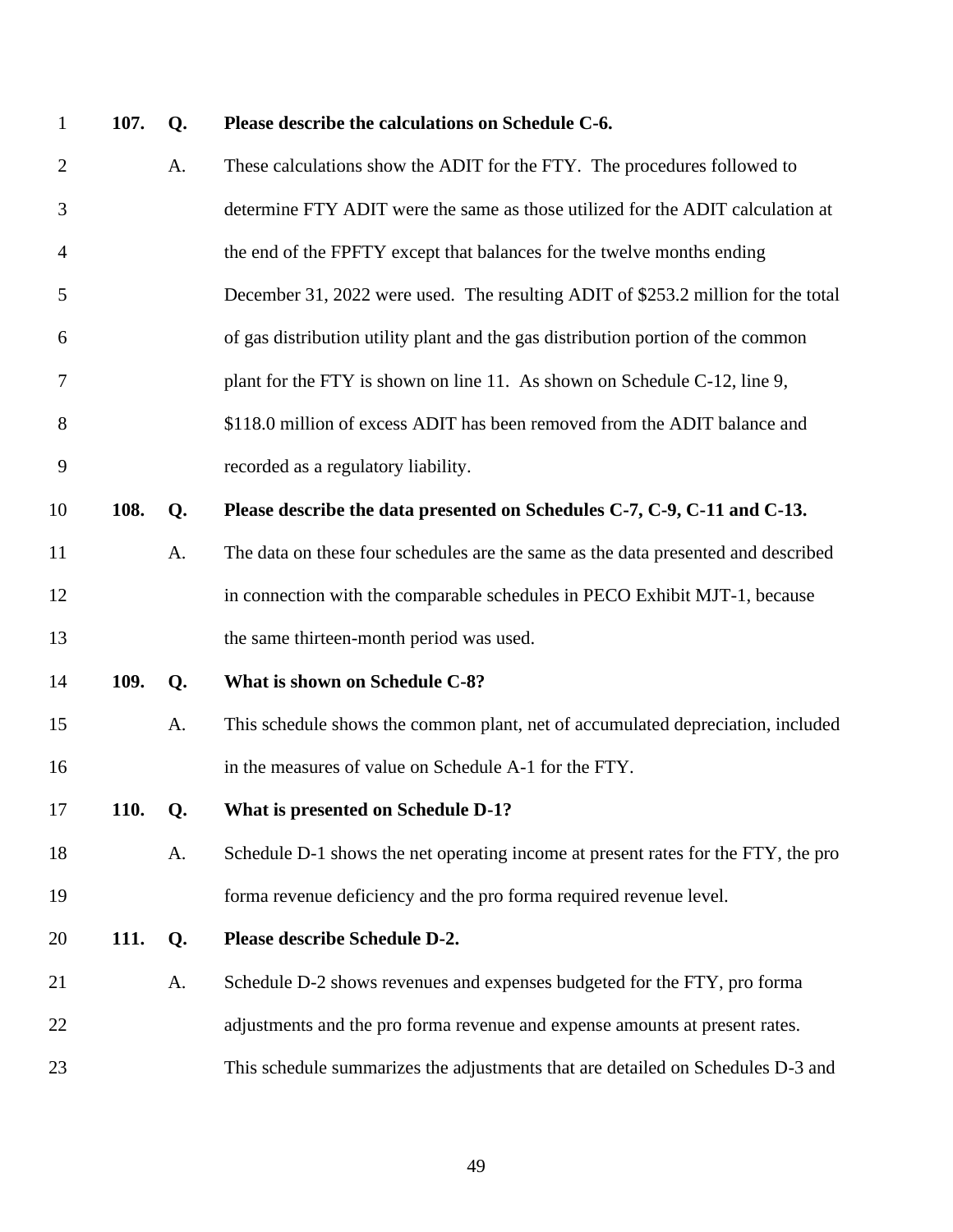| $\mathbf{1}$   | 107.        | Q. | Please describe the calculations on Schedule C-6.                                 |
|----------------|-------------|----|-----------------------------------------------------------------------------------|
| $\overline{2}$ |             | A. | These calculations show the ADIT for the FTY. The procedures followed to          |
| 3              |             |    | determine FTY ADIT were the same as those utilized for the ADIT calculation at    |
| $\overline{4}$ |             |    | the end of the FPFTY except that balances for the twelve months ending            |
| 5              |             |    | December 31, 2022 were used. The resulting ADIT of \$253.2 million for the total  |
| 6              |             |    | of gas distribution utility plant and the gas distribution portion of the common  |
| 7              |             |    | plant for the FTY is shown on line 11. As shown on Schedule C-12, line 9,         |
| 8              |             |    | \$118.0 million of excess ADIT has been removed from the ADIT balance and         |
| 9              |             |    | recorded as a regulatory liability.                                               |
| 10             | 108.        | Q. | Please describe the data presented on Schedules C-7, C-9, C-11 and C-13.          |
| 11             |             | A. | The data on these four schedules are the same as the data presented and described |
| 12             |             |    | in connection with the comparable schedules in PECO Exhibit MJT-1, because        |
| 13             |             |    | the same thirteen-month period was used.                                          |
| 14             | 109.        | Q. | What is shown on Schedule C-8?                                                    |
| 15             |             | A. | This schedule shows the common plant, net of accumulated depreciation, included   |
| 16             |             |    | in the measures of value on Schedule A-1 for the FTY.                             |
| 17             | <b>110.</b> | Q. | What is presented on Schedule D-1?                                                |
| 18             |             | A. | Schedule D-1 shows the net operating income at present rates for the FTY, the pro |
| 19             |             |    | forma revenue deficiency and the pro forma required revenue level.                |
| 20             | 111.        | Q. | Please describe Schedule D-2.                                                     |
| 21             |             | A. | Schedule D-2 shows revenues and expenses budgeted for the FTY, pro forma          |
| 22             |             |    | adjustments and the pro forma revenue and expense amounts at present rates.       |
| 23             |             |    | This schedule summarizes the adjustments that are detailed on Schedules D-3 and   |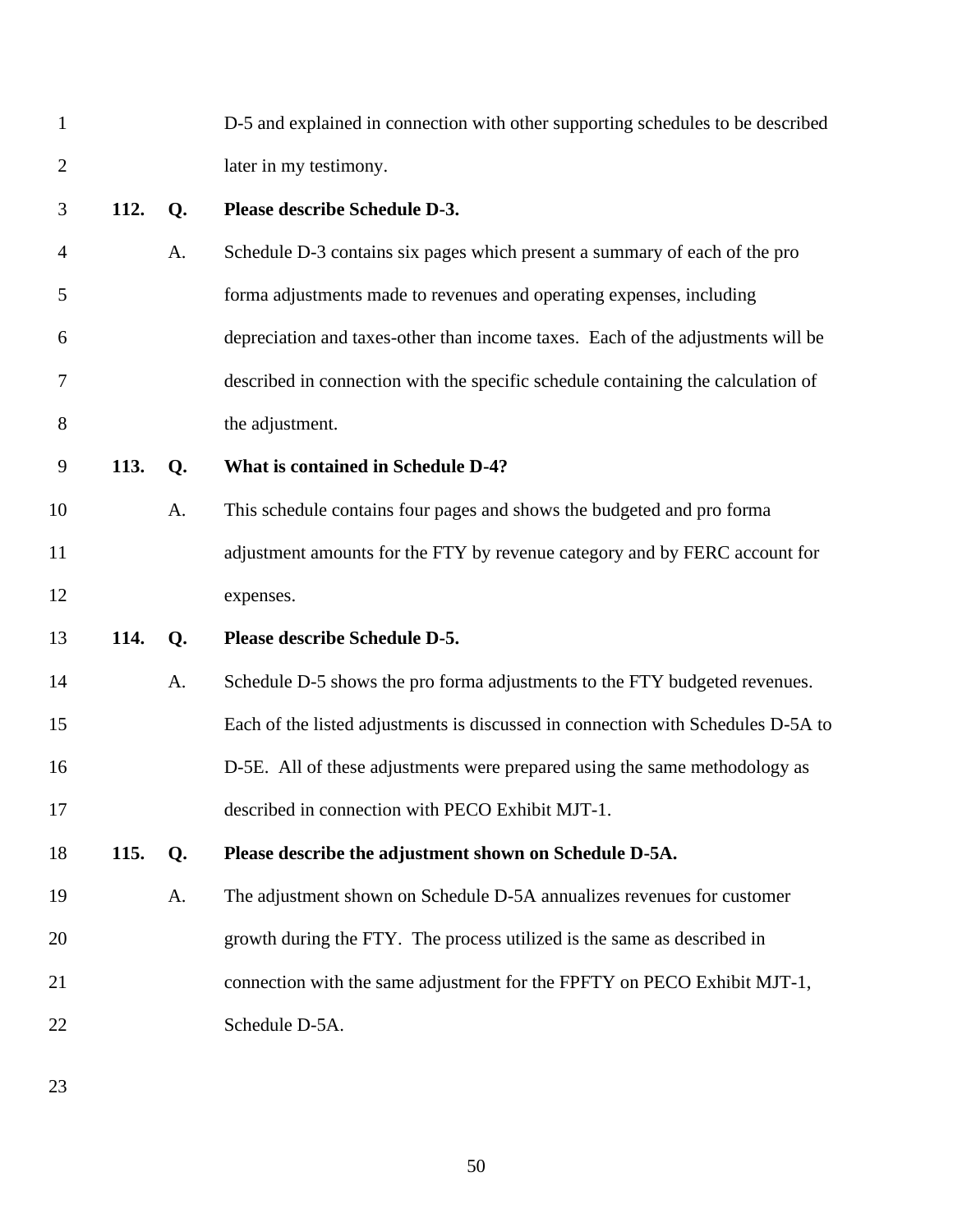| $\mathbf{1}$   |      |                | D-5 and explained in connection with other supporting schedules to be described  |
|----------------|------|----------------|----------------------------------------------------------------------------------|
| $\overline{2}$ |      |                | later in my testimony.                                                           |
| 3              | 112. | Q <sub>1</sub> | Please describe Schedule D-3.                                                    |
| $\overline{4}$ |      | A.             | Schedule D-3 contains six pages which present a summary of each of the pro       |
| 5              |      |                | forma adjustments made to revenues and operating expenses, including             |
| 6              |      |                | depreciation and taxes-other than income taxes. Each of the adjustments will be  |
| 7              |      |                | described in connection with the specific schedule containing the calculation of |
| 8              |      |                | the adjustment.                                                                  |
| 9              | 113. | Q.             | What is contained in Schedule D-4?                                               |
| 10             |      | A.             | This schedule contains four pages and shows the budgeted and pro forma           |
| 11             |      |                | adjustment amounts for the FTY by revenue category and by FERC account for       |
| 12             |      |                | expenses.                                                                        |
| 13             | 114. | Q.             | Please describe Schedule D-5.                                                    |
| 14             |      | A.             | Schedule D-5 shows the pro forma adjustments to the FTY budgeted revenues.       |
| 15             |      |                | Each of the listed adjustments is discussed in connection with Schedules D-5A to |
| 16             |      |                | D-5E. All of these adjustments were prepared using the same methodology as       |
| 17             |      |                | described in connection with PECO Exhibit MJT-1.                                 |
| 18             | 115. | Q.             | Please describe the adjustment shown on Schedule D-5A.                           |
| 19             |      | A.             | The adjustment shown on Schedule D-5A annualizes revenues for customer           |
| 20             |      |                | growth during the FTY. The process utilized is the same as described in          |
| 21             |      |                | connection with the same adjustment for the FPFTY on PECO Exhibit MJT-1,         |
| 22             |      |                | Schedule D-5A.                                                                   |
|                |      |                |                                                                                  |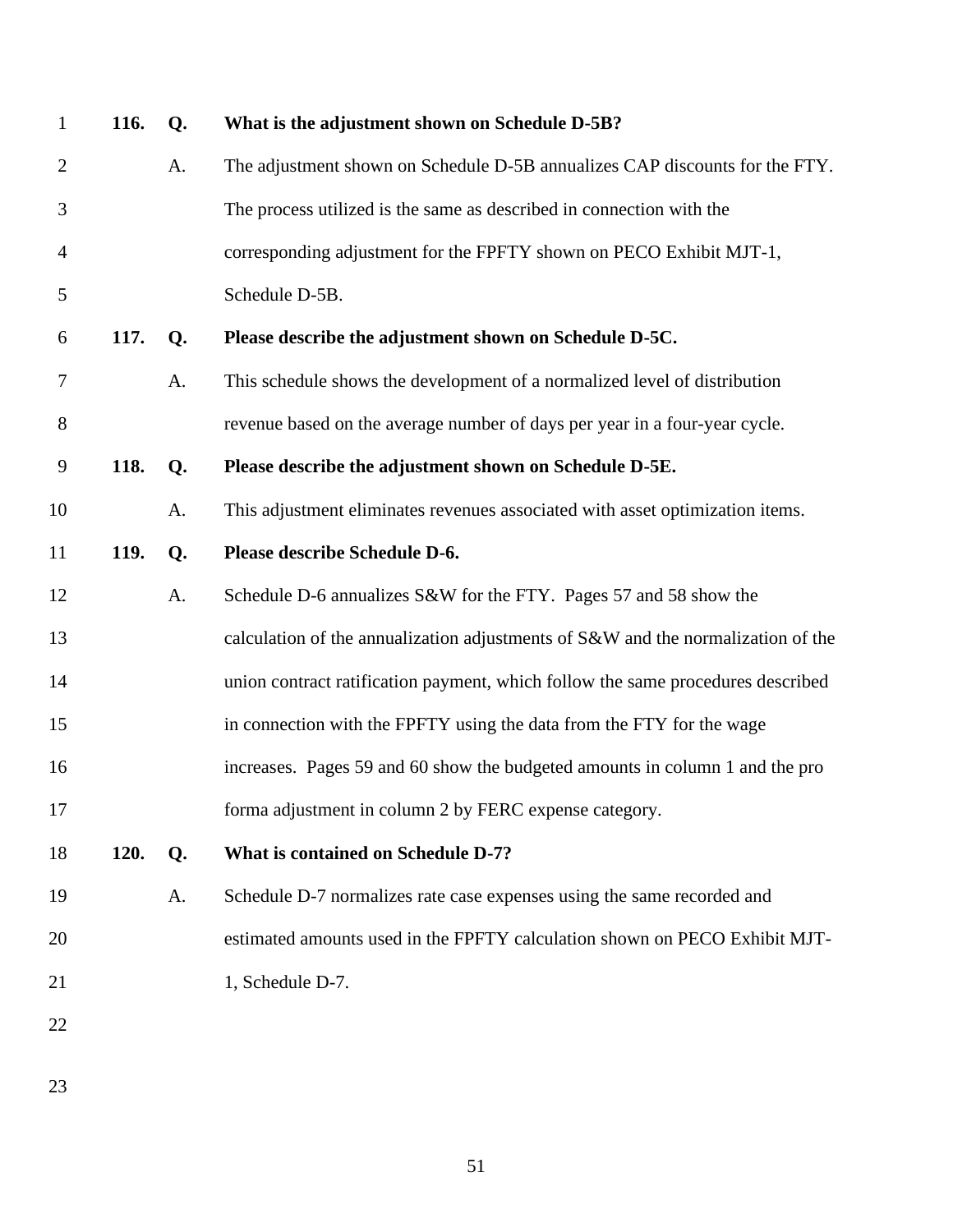| $\mathbf{1}$   | 116.        | Q. | What is the adjustment shown on Schedule D-5B?                                   |
|----------------|-------------|----|----------------------------------------------------------------------------------|
| $\overline{c}$ |             | A. | The adjustment shown on Schedule D-5B annualizes CAP discounts for the FTY.      |
| 3              |             |    | The process utilized is the same as described in connection with the             |
| $\overline{4}$ |             |    | corresponding adjustment for the FPFTY shown on PECO Exhibit MJT-1,              |
| 5              |             |    | Schedule D-5B.                                                                   |
| 6              | <b>117.</b> | Q. | Please describe the adjustment shown on Schedule D-5C.                           |
| 7              |             | A. | This schedule shows the development of a normalized level of distribution        |
| $8\,$          |             |    | revenue based on the average number of days per year in a four-year cycle.       |
| $\mathbf{9}$   | 118.        | Q. | Please describe the adjustment shown on Schedule D-5E.                           |
| 10             |             | A. | This adjustment eliminates revenues associated with asset optimization items.    |
| 11             | 119.        | Q. | Please describe Schedule D-6.                                                    |
| 12             |             | A. | Schedule D-6 annualizes S&W for the FTY. Pages 57 and 58 show the                |
| 13             |             |    | calculation of the annualization adjustments of S&W and the normalization of the |
| 14             |             |    | union contract ratification payment, which follow the same procedures described  |
| 15             |             |    | in connection with the FPFTY using the data from the FTY for the wage            |
| 16             |             |    | increases. Pages 59 and 60 show the budgeted amounts in column 1 and the pro     |
| 17             |             |    | forma adjustment in column 2 by FERC expense category.                           |
| 18             | <b>120.</b> | Q. | What is contained on Schedule D-7?                                               |
| 19             |             | A. | Schedule D-7 normalizes rate case expenses using the same recorded and           |
| 20             |             |    | estimated amounts used in the FPFTY calculation shown on PECO Exhibit MJT-       |
| 21             |             |    | 1, Schedule D-7.                                                                 |
| 22             |             |    |                                                                                  |
|                |             |    |                                                                                  |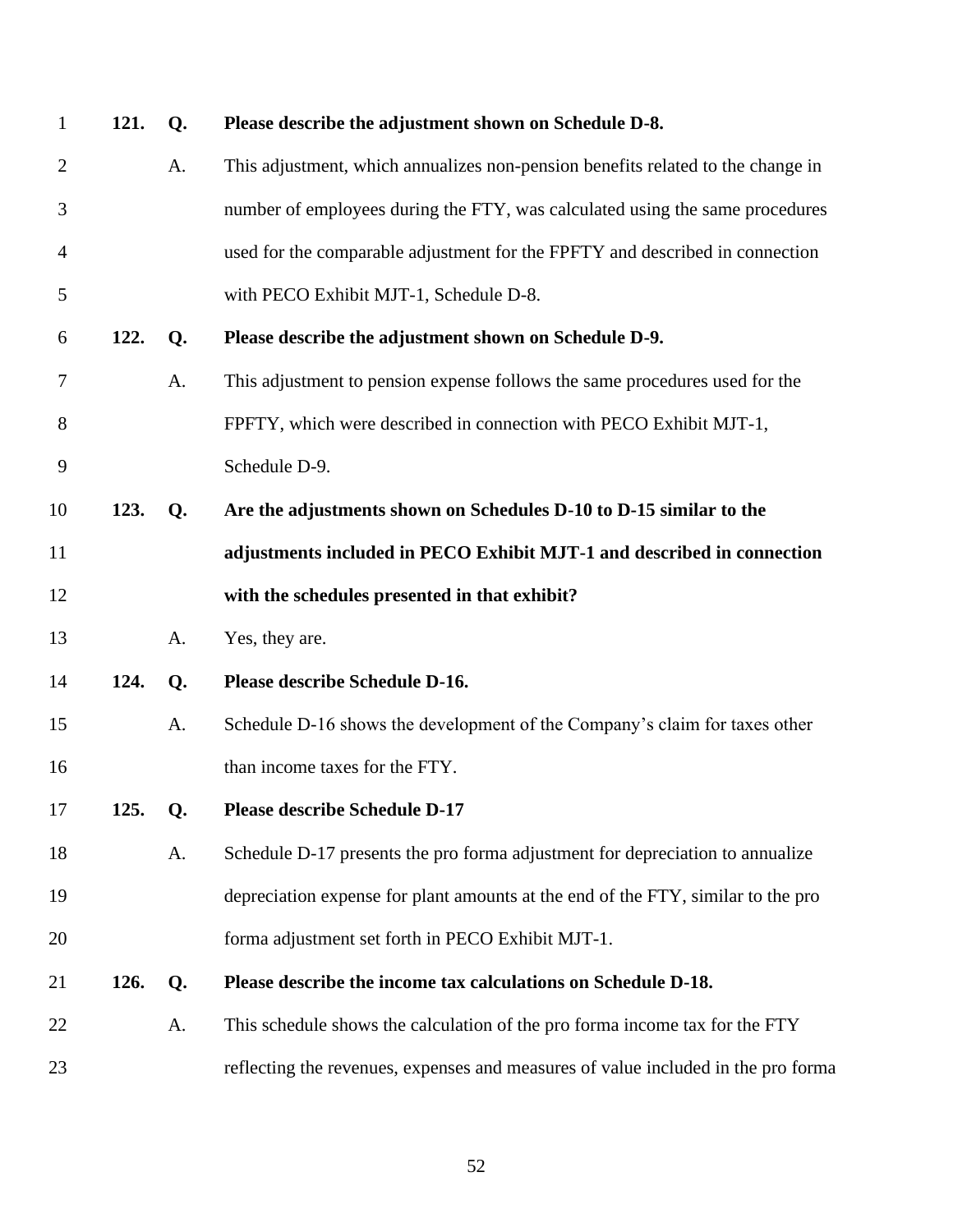| $\mathbf{1}$   | 121. | Q.             | Please describe the adjustment shown on Schedule D-8.                             |
|----------------|------|----------------|-----------------------------------------------------------------------------------|
| $\overline{2}$ |      | A.             | This adjustment, which annualizes non-pension benefits related to the change in   |
| 3              |      |                | number of employees during the FTY, was calculated using the same procedures      |
| 4              |      |                | used for the comparable adjustment for the FPFTY and described in connection      |
| 5              |      |                | with PECO Exhibit MJT-1, Schedule D-8.                                            |
| 6              | 122. | Q <sub>1</sub> | Please describe the adjustment shown on Schedule D-9.                             |
| 7              |      | A.             | This adjustment to pension expense follows the same procedures used for the       |
| 8              |      |                | FPFTY, which were described in connection with PECO Exhibit MJT-1,                |
| 9              |      |                | Schedule D-9.                                                                     |
| 10             | 123. | Q.             | Are the adjustments shown on Schedules D-10 to D-15 similar to the                |
| 11             |      |                | adjustments included in PECO Exhibit MJT-1 and described in connection            |
| 12             |      |                | with the schedules presented in that exhibit?                                     |
| 13             |      | A.             | Yes, they are.                                                                    |
| 14             | 124. | Q.             | Please describe Schedule D-16.                                                    |
| 15             |      | A.             | Schedule D-16 shows the development of the Company's claim for taxes other        |
| 16             |      |                | than income taxes for the FTY.                                                    |
| 17             | 125. | Q.             | <b>Please describe Schedule D-17</b>                                              |
| 18             |      | A.             | Schedule D-17 presents the pro forma adjustment for depreciation to annualize     |
| 19             |      |                | depreciation expense for plant amounts at the end of the FTY, similar to the pro  |
| 20             |      |                | forma adjustment set forth in PECO Exhibit MJT-1.                                 |
| 21             | 126. | Q.             | Please describe the income tax calculations on Schedule D-18.                     |
| 22             |      | A.             | This schedule shows the calculation of the pro forma income tax for the FTY       |
| 23             |      |                | reflecting the revenues, expenses and measures of value included in the pro forma |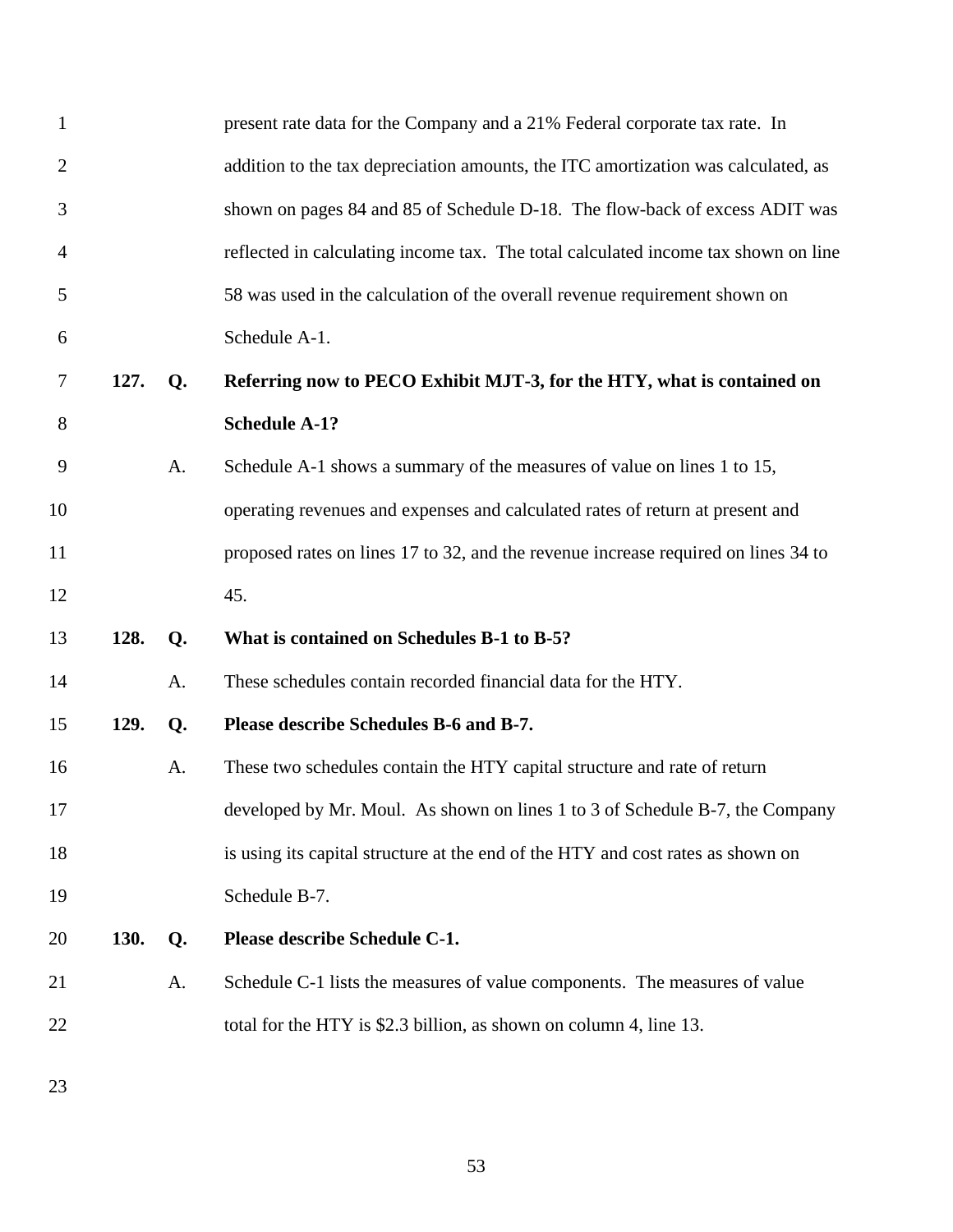| 1              |             |    | present rate data for the Company and a 21% Federal corporate tax rate. In         |
|----------------|-------------|----|------------------------------------------------------------------------------------|
| $\overline{2}$ |             |    | addition to the tax depreciation amounts, the ITC amortization was calculated, as  |
| 3              |             |    | shown on pages 84 and 85 of Schedule D-18. The flow-back of excess ADIT was        |
| 4              |             |    | reflected in calculating income tax. The total calculated income tax shown on line |
| 5              |             |    | 58 was used in the calculation of the overall revenue requirement shown on         |
| 6              |             |    | Schedule A-1.                                                                      |
| 7              | 127.        | Q. | Referring now to PECO Exhibit MJT-3, for the HTY, what is contained on             |
| 8              |             |    | <b>Schedule A-1?</b>                                                               |
| 9              |             | A. | Schedule A-1 shows a summary of the measures of value on lines 1 to 15,            |
| 10             |             |    | operating revenues and expenses and calculated rates of return at present and      |
| 11             |             |    | proposed rates on lines 17 to 32, and the revenue increase required on lines 34 to |
| 12             |             |    | 45.                                                                                |
| 13             | 128.        | Q. | What is contained on Schedules B-1 to B-5?                                         |
| 14             |             | A. | These schedules contain recorded financial data for the HTY.                       |
| 15             | 129.        | Q. | Please describe Schedules B-6 and B-7.                                             |
| 16             |             | A. | These two schedules contain the HTY capital structure and rate of return           |
| 17             |             |    | developed by Mr. Moul. As shown on lines 1 to 3 of Schedule B-7, the Company       |
| 18             |             |    | is using its capital structure at the end of the HTY and cost rates as shown on    |
| 19             |             |    | Schedule B-7.                                                                      |
| 20             | <b>130.</b> | Q. | Please describe Schedule C-1.                                                      |
| 21             |             | A. | Schedule C-1 lists the measures of value components. The measures of value         |
| 22             |             |    | total for the HTY is \$2.3 billion, as shown on column 4, line 13.                 |
|                |             |    |                                                                                    |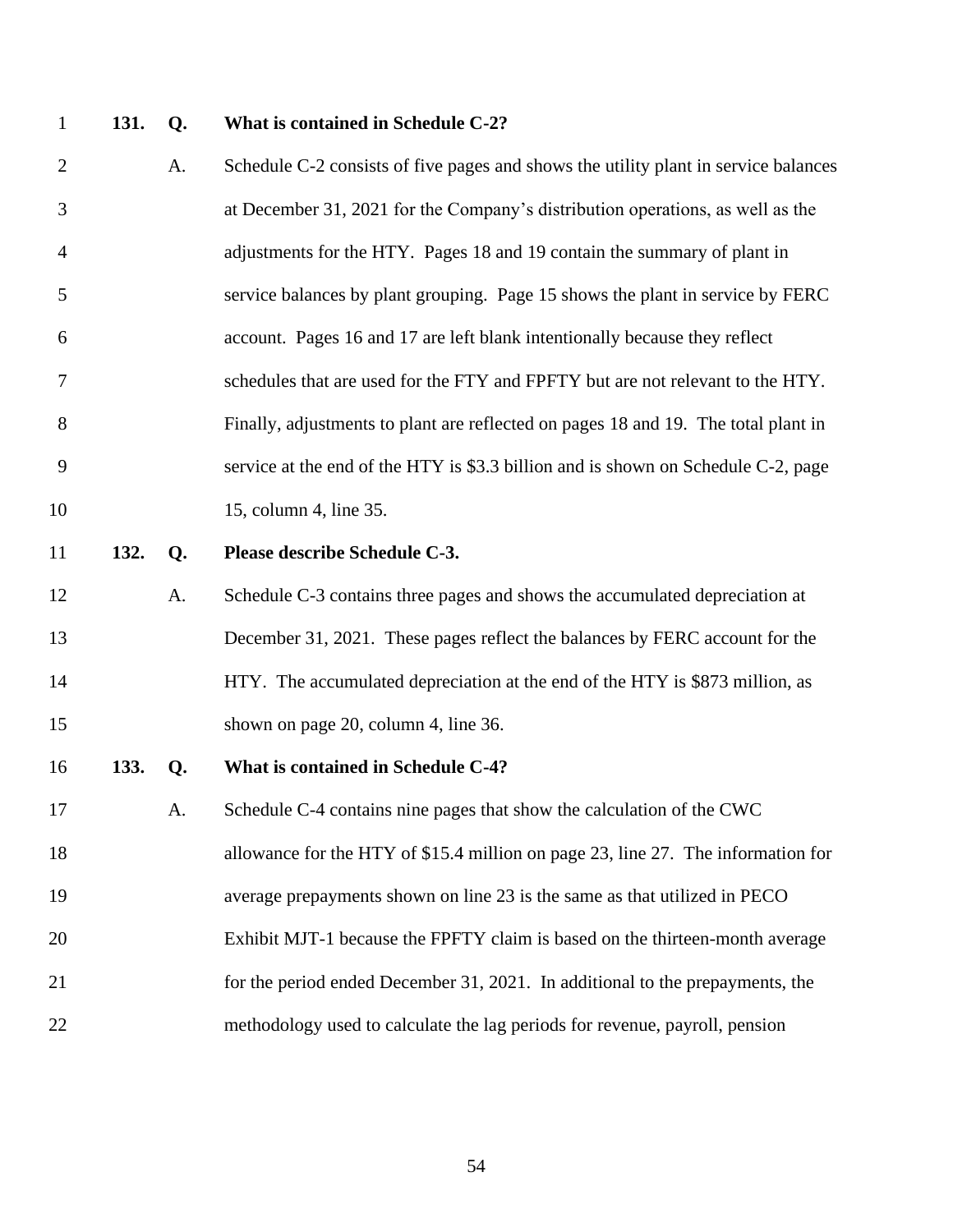### **131. Q. What is contained in Schedule C-2?**

- 2 A. Schedule C-2 consists of five pages and shows the utility plant in service balances at December 31, 2021 for the Company's distribution operations, as well as the adjustments for the HTY. Pages 18 and 19 contain the summary of plant in service balances by plant grouping. Page 15 shows the plant in service by FERC account. Pages 16 and 17 are left blank intentionally because they reflect schedules that are used for the FTY and FPFTY but are not relevant to the HTY. Finally, adjustments to plant are reflected on pages 18 and 19. The total plant in service at the end of the HTY is \$3.3 billion and is shown on Schedule C-2, page 10 15, column 4, line 35. **132. Q. Please describe Schedule C-3.** A. Schedule C-3 contains three pages and shows the accumulated depreciation at December 31, 2021. These pages reflect the balances by FERC account for the 14 HTY. The accumulated depreciation at the end of the HTY is \$873 million, as 15 shown on page 20, column 4, line 36. **133. Q. What is contained in Schedule C-4?** A. Schedule C-4 contains nine pages that show the calculation of the CWC allowance for the HTY of \$15.4 million on page 23, line 27. The information for
- average prepayments shown on line 23 is the same as that utilized in PECO Exhibit MJT-1 because the FPFTY claim is based on the thirteen-month average for the period ended December 31, 2021. In additional to the prepayments, the
- methodology used to calculate the lag periods for revenue, payroll, pension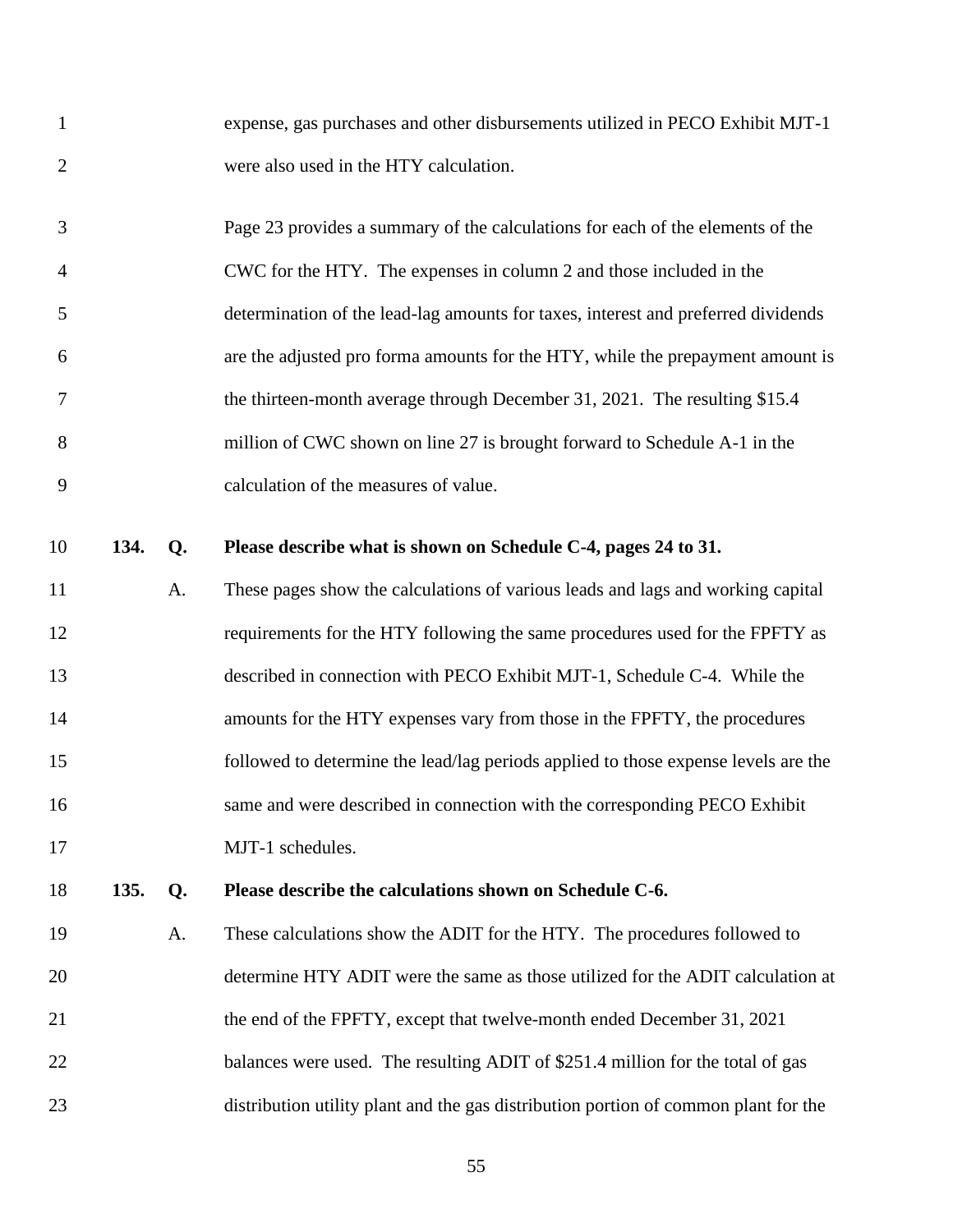| expense, gas purchases and other disbursements utilized in PECO Exhibit MJT-1 |
|-------------------------------------------------------------------------------|
| were also used in the HTY calculation.                                        |

| 3              | Page 23 provides a summary of the calculations for each of the elements of the    |
|----------------|-----------------------------------------------------------------------------------|
| $\overline{4}$ | CWC for the HTY. The expenses in column 2 and those included in the               |
| -5             | determination of the lead-lag amounts for taxes, interest and preferred dividends |
| 6              | are the adjusted pro forma amounts for the HTY, while the prepayment amount is    |
| 7              | the thirteen-month average through December 31, 2021. The resulting \$15.4        |
| 8              | million of CWC shown on line 27 is brought forward to Schedule A-1 in the         |
| 9              | calculation of the measures of value.                                             |

**134. Q. Please describe what is shown on Schedule C-4, pages 24 to 31.**

 A. These pages show the calculations of various leads and lags and working capital requirements for the HTY following the same procedures used for the FPFTY as described in connection with PECO Exhibit MJT-1, Schedule C-4. While the amounts for the HTY expenses vary from those in the FPFTY, the procedures followed to determine the lead/lag periods applied to those expense levels are the same and were described in connection with the corresponding PECO Exhibit 17 MJT-1 schedules.

**135. Q. Please describe the calculations shown on Schedule C-6.**

 A. These calculations show the ADIT for the HTY. The procedures followed to determine HTY ADIT were the same as those utilized for the ADIT calculation at 21 the end of the FPFTY, except that twelve-month ended December 31, 2021 22 balances were used. The resulting ADIT of \$251.4 million for the total of gas distribution utility plant and the gas distribution portion of common plant for the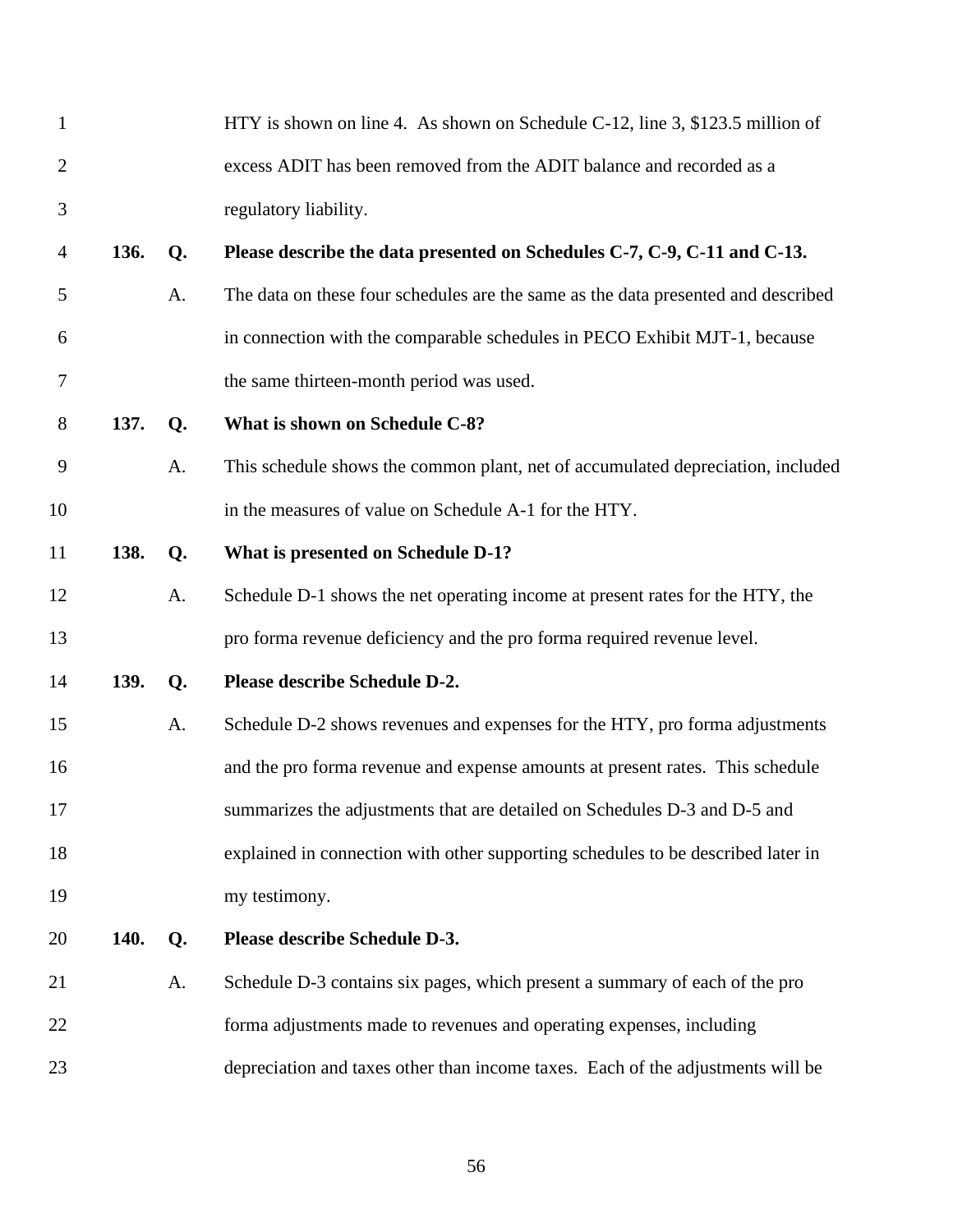| $\mathbf{1}$   |      |    | HTY is shown on line 4. As shown on Schedule C-12, line 3, \$123.5 million of     |
|----------------|------|----|-----------------------------------------------------------------------------------|
| $\overline{2}$ |      |    | excess ADIT has been removed from the ADIT balance and recorded as a              |
| 3              |      |    | regulatory liability.                                                             |
| $\overline{4}$ | 136. | Q. | Please describe the data presented on Schedules C-7, C-9, C-11 and C-13.          |
| 5              |      | A. | The data on these four schedules are the same as the data presented and described |
| 6              |      |    | in connection with the comparable schedules in PECO Exhibit MJT-1, because        |
| 7              |      |    | the same thirteen-month period was used.                                          |
| 8              | 137. | Q. | What is shown on Schedule C-8?                                                    |
| 9              |      | A. | This schedule shows the common plant, net of accumulated depreciation, included   |
| 10             |      |    | in the measures of value on Schedule A-1 for the HTY.                             |
| 11             | 138. | Q. | What is presented on Schedule D-1?                                                |
| 12             |      | A. | Schedule D-1 shows the net operating income at present rates for the HTY, the     |
| 13             |      |    | pro forma revenue deficiency and the pro forma required revenue level.            |
| 14             | 139. | Q. | Please describe Schedule D-2.                                                     |
| 15             |      | A. | Schedule D-2 shows revenues and expenses for the HTY, pro forma adjustments       |
| 16             |      |    | and the pro forma revenue and expense amounts at present rates. This schedule     |
| 17             |      |    | summarizes the adjustments that are detailed on Schedules D-3 and D-5 and         |
| 18             |      |    | explained in connection with other supporting schedules to be described later in  |
| 19             |      |    | my testimony.                                                                     |
| 20             | 140. | Q. | Please describe Schedule D-3.                                                     |
| 21             |      | A. | Schedule D-3 contains six pages, which present a summary of each of the pro       |
| 22             |      |    | forma adjustments made to revenues and operating expenses, including              |
| 23             |      |    | depreciation and taxes other than income taxes. Each of the adjustments will be   |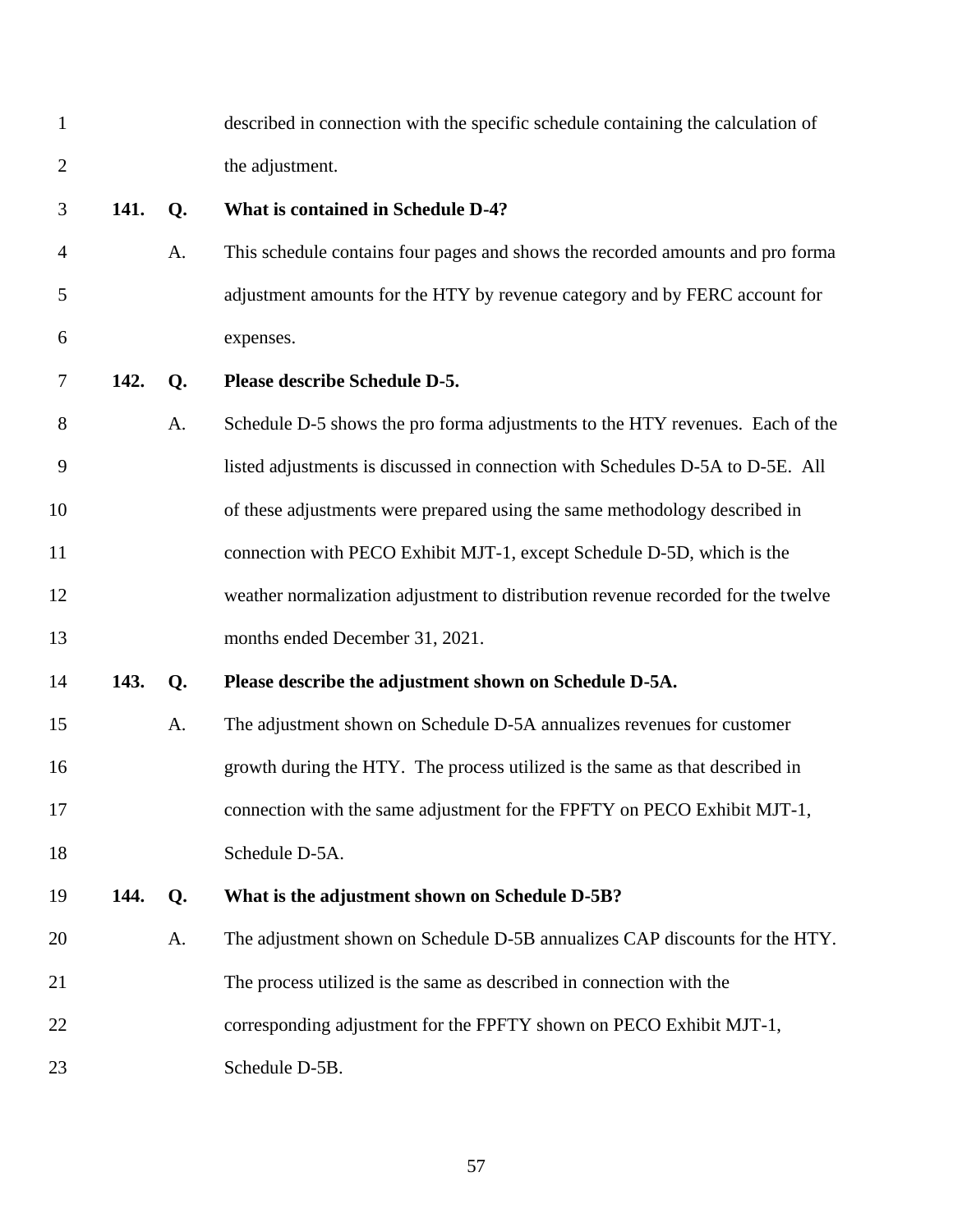| $\mathbf{1}$   |      |                | described in connection with the specific schedule containing the calculation of |
|----------------|------|----------------|----------------------------------------------------------------------------------|
| $\overline{2}$ |      |                | the adjustment.                                                                  |
| 3              | 141. | Q.             | What is contained in Schedule D-4?                                               |
| 4              |      | A.             | This schedule contains four pages and shows the recorded amounts and pro forma   |
| 5              |      |                | adjustment amounts for the HTY by revenue category and by FERC account for       |
| 6              |      |                | expenses.                                                                        |
| 7              | 142. | Q.             | Please describe Schedule D-5.                                                    |
| 8              |      | A.             | Schedule D-5 shows the pro forma adjustments to the HTY revenues. Each of the    |
| 9              |      |                | listed adjustments is discussed in connection with Schedules D-5A to D-5E. All   |
| 10             |      |                | of these adjustments were prepared using the same methodology described in       |
| 11             |      |                | connection with PECO Exhibit MJT-1, except Schedule D-5D, which is the           |
| 12             |      |                | weather normalization adjustment to distribution revenue recorded for the twelve |
| 13             |      |                | months ended December 31, 2021.                                                  |
| 14             | 143. | Q.             | Please describe the adjustment shown on Schedule D-5A.                           |
| 15             |      | A.             | The adjustment shown on Schedule D-5A annualizes revenues for customer           |
| 16             |      |                | growth during the HTY. The process utilized is the same as that described in     |
| 17             |      |                | connection with the same adjustment for the FPFTY on PECO Exhibit MJT-1          |
| 18             |      |                | Schedule D-5A.                                                                   |
| 19             | 144. | Q <sub>1</sub> | What is the adjustment shown on Schedule D-5B?                                   |
| 20             |      | A.             | The adjustment shown on Schedule D-5B annualizes CAP discounts for the HTY.      |
| 21             |      |                | The process utilized is the same as described in connection with the             |
| 22             |      |                | corresponding adjustment for the FPFTY shown on PECO Exhibit MJT-1,              |
| 23             |      |                | Schedule D-5B.                                                                   |
|                |      |                |                                                                                  |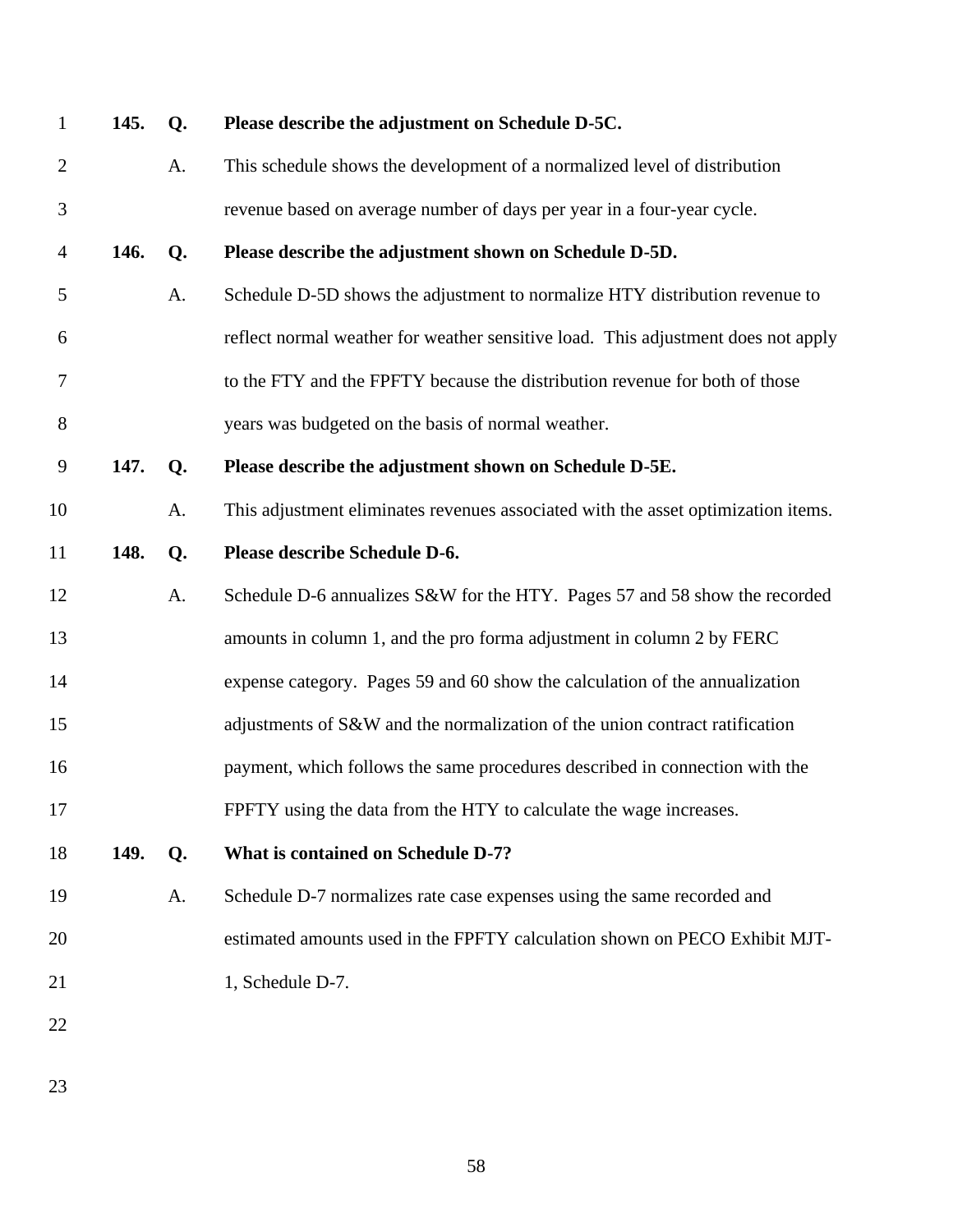| $\mathbf{1}$   | 145. | Q. | Please describe the adjustment on Schedule D-5C.                                  |
|----------------|------|----|-----------------------------------------------------------------------------------|
| $\overline{2}$ |      | A. | This schedule shows the development of a normalized level of distribution         |
| $\mathfrak{Z}$ |      |    | revenue based on average number of days per year in a four-year cycle.            |
| 4              | 146. | Q. | Please describe the adjustment shown on Schedule D-5D.                            |
| 5              |      | A. | Schedule D-5D shows the adjustment to normalize HTY distribution revenue to       |
| 6              |      |    | reflect normal weather for weather sensitive load. This adjustment does not apply |
| 7              |      |    | to the FTY and the FPFTY because the distribution revenue for both of those       |
| 8              |      |    | years was budgeted on the basis of normal weather.                                |
| 9              | 147. | Q. | Please describe the adjustment shown on Schedule D-5E.                            |
| 10             |      | A. | This adjustment eliminates revenues associated with the asset optimization items. |
| 11             | 148. | Q. | Please describe Schedule D-6.                                                     |
| 12             |      | А. | Schedule D-6 annualizes S&W for the HTY. Pages 57 and 58 show the recorded        |
| 13             |      |    | amounts in column 1, and the pro forma adjustment in column 2 by FERC             |
| 14             |      |    | expense category. Pages 59 and 60 show the calculation of the annualization       |
| 15             |      |    | adjustments of S&W and the normalization of the union contract ratification       |
| 16             |      |    | payment, which follows the same procedures described in connection with the       |
| 17             |      |    | FPFTY using the data from the HTY to calculate the wage increases.                |
| 18             | 149. | Q. | What is contained on Schedule D-7?                                                |
| 19             |      | A. | Schedule D-7 normalizes rate case expenses using the same recorded and            |
| 20             |      |    | estimated amounts used in the FPFTY calculation shown on PECO Exhibit MJT-        |
| 21             |      |    | 1, Schedule D-7.                                                                  |
| 22             |      |    |                                                                                   |
|                |      |    |                                                                                   |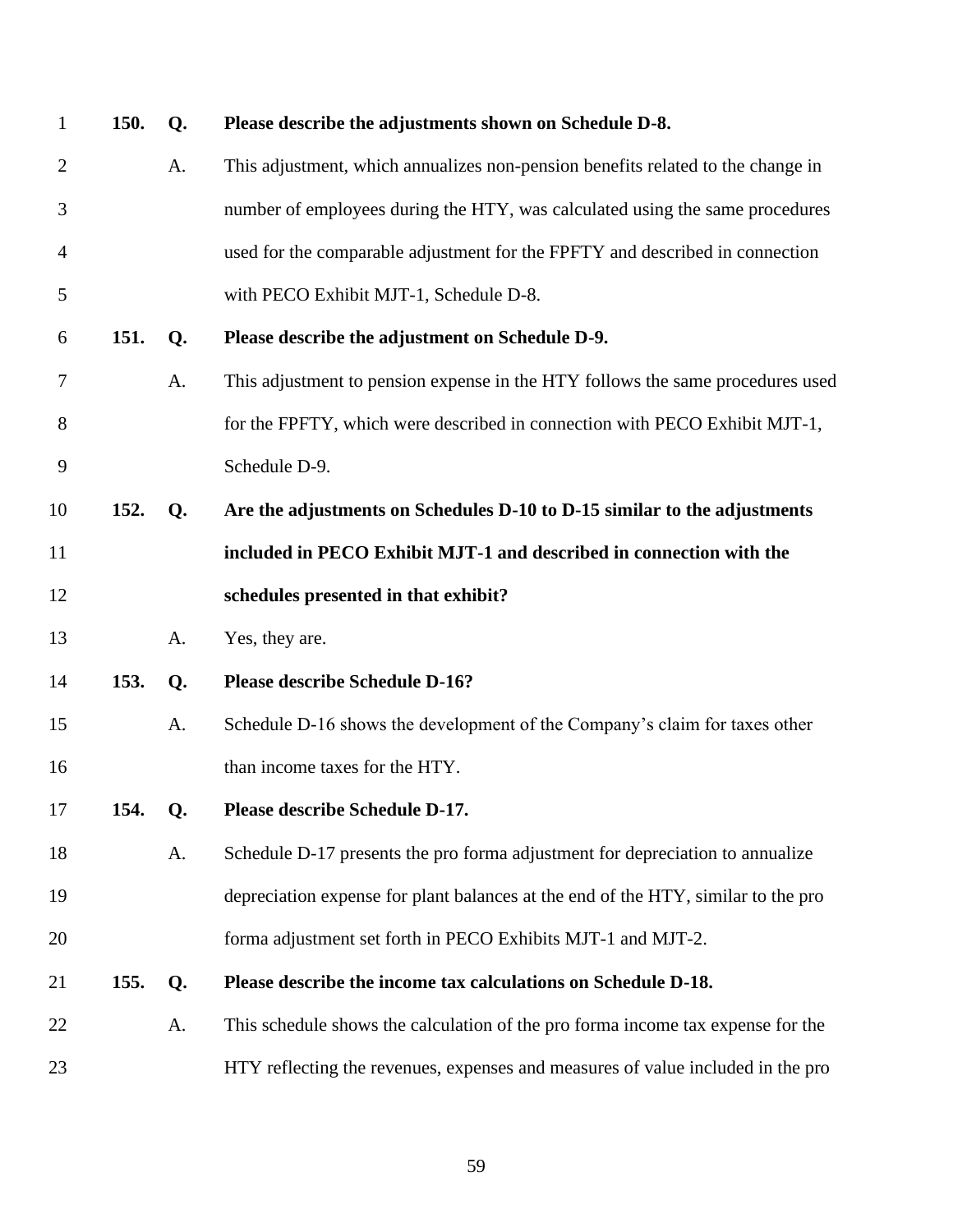| $\mathbf{1}$   | 150. | Q. | Please describe the adjustments shown on Schedule D-8.                            |
|----------------|------|----|-----------------------------------------------------------------------------------|
| $\overline{2}$ |      | Α. | This adjustment, which annualizes non-pension benefits related to the change in   |
| 3              |      |    | number of employees during the HTY, was calculated using the same procedures      |
| $\overline{4}$ |      |    | used for the comparable adjustment for the FPFTY and described in connection      |
| 5              |      |    | with PECO Exhibit MJT-1, Schedule D-8.                                            |
| 6              | 151. | Q. | Please describe the adjustment on Schedule D-9.                                   |
| 7              |      | A. | This adjustment to pension expense in the HTY follows the same procedures used    |
| 8              |      |    | for the FPFTY, which were described in connection with PECO Exhibit MJT-1,        |
| 9              |      |    | Schedule D-9.                                                                     |
| 10             | 152. | Q. | Are the adjustments on Schedules D-10 to D-15 similar to the adjustments          |
| 11             |      |    | included in PECO Exhibit MJT-1 and described in connection with the               |
| 12             |      |    | schedules presented in that exhibit?                                              |
| 13             |      | Α. | Yes, they are.                                                                    |
| 14             | 153. | Q. | <b>Please describe Schedule D-16?</b>                                             |
| 15             |      | A. | Schedule D-16 shows the development of the Company's claim for taxes other        |
| 16             |      |    | than income taxes for the HTY.                                                    |
| 17             | 154. | Q. | Please describe Schedule D-17.                                                    |
| 18             |      | A. | Schedule D-17 presents the pro forma adjustment for depreciation to annualize     |
| 19             |      |    | depreciation expense for plant balances at the end of the HTY, similar to the pro |
| 20             |      |    | forma adjustment set forth in PECO Exhibits MJT-1 and MJT-2.                      |
| 21             | 155. | Q. | Please describe the income tax calculations on Schedule D-18.                     |
| 22             |      | A. | This schedule shows the calculation of the proforma income tax expense for the    |
| 23             |      |    | HTY reflecting the revenues, expenses and measures of value included in the pro   |